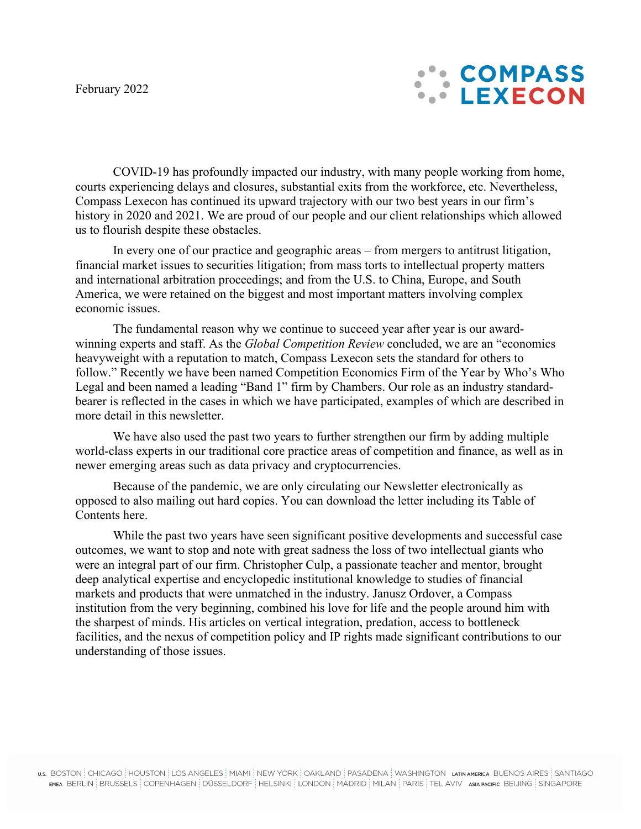

COVID-19 has profoundly impacted our industry, with many people working from home, courts experiencing delays and closures, substantial exits from the workforce, etc. Nevertheless, Compass Lexecon has continued its upward trajectory with our two best years in our firm's history in 2020 and 2021. We are proud of our people and our client relationships which allowed us to flourish despite these obstacles.

In every one of our practice and geographic areas – from mergers to antitrust litigation, financial market issues to securities litigation; from mass torts to intellectual property matters and international arbitration proceedings; and from the U.S. to China, Europe, and South America, we were retained on the biggest and most important matters involving complex economic issues.

The fundamental reason why we continue to succeed year after year is our awardwinning experts and staff. As the *Global Competition Review* concluded, we are an "economics heavyweight with a reputation to match, Compass Lexecon sets the standard for others to follow." Recently we have been named Competition Economics Firm of the Year by Who's Who Legal and been named a leading "Band 1" firm by Chambers. Our role as an industry standardbearer is reflected in the cases in which we have participated, examples of which are described in more detail in this newsletter.

We have also used the past two years to further strengthen our firm by adding multiple world-class experts in our traditional core practice areas of competition and finance, as well as in newer emerging areas such as data privacy and cryptocurrencies.

Because of the pandemic, we are only circulating our Newsletter electronically as opposed to also mailing out hard copies. You can download the letter including its Table of Contents here.

While the past two years have seen significant positive developments and successful case outcomes, we want to stop and note with great sadness the loss of two intellectual giants who were an integral part of our firm. Christopher Culp, a passionate teacher and mentor, brought deep analytical expertise and encyclopedic institutional knowledge to studies of financial markets and products that were unmatched in the industry. Janusz Ordover, a Compass institution from the very beginning, combined his love for life and the people around him with the sharpest of minds. His articles on vertical integration, predation, access to bottleneck facilities, and the nexus of competition policy and IP rights made significant contributions to our understanding of those issues.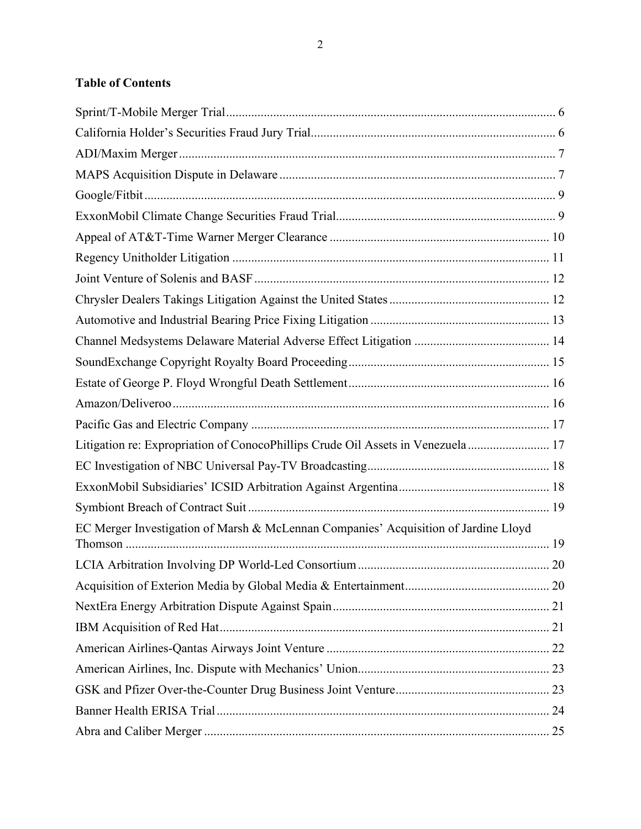# **Table of Contents**

| Litigation re: Expropriation of ConocoPhillips Crude Oil Assets in Venezuela 17     |  |
|-------------------------------------------------------------------------------------|--|
|                                                                                     |  |
|                                                                                     |  |
|                                                                                     |  |
| EC Merger Investigation of Marsh & McLennan Companies' Acquisition of Jardine Lloyd |  |
|                                                                                     |  |
|                                                                                     |  |
|                                                                                     |  |
|                                                                                     |  |
|                                                                                     |  |
|                                                                                     |  |
|                                                                                     |  |
|                                                                                     |  |
|                                                                                     |  |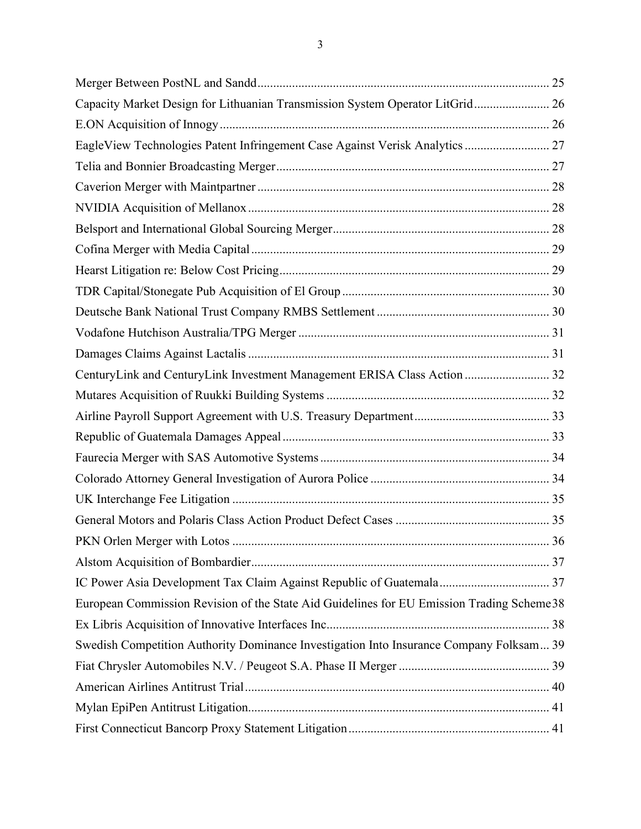| Capacity Market Design for Lithuanian Transmission System Operator LitGrid 26              |  |
|--------------------------------------------------------------------------------------------|--|
|                                                                                            |  |
| EagleView Technologies Patent Infringement Case Against Verisk Analytics  27               |  |
|                                                                                            |  |
|                                                                                            |  |
|                                                                                            |  |
|                                                                                            |  |
|                                                                                            |  |
|                                                                                            |  |
|                                                                                            |  |
|                                                                                            |  |
|                                                                                            |  |
|                                                                                            |  |
| CenturyLink and CenturyLink Investment Management ERISA Class Action  32                   |  |
|                                                                                            |  |
|                                                                                            |  |
|                                                                                            |  |
|                                                                                            |  |
|                                                                                            |  |
|                                                                                            |  |
|                                                                                            |  |
|                                                                                            |  |
|                                                                                            |  |
|                                                                                            |  |
| European Commission Revision of the State Aid Guidelines for EU Emission Trading Scheme 38 |  |
|                                                                                            |  |
| Swedish Competition Authority Dominance Investigation Into Insurance Company Folksam 39    |  |
|                                                                                            |  |
|                                                                                            |  |
|                                                                                            |  |
|                                                                                            |  |
|                                                                                            |  |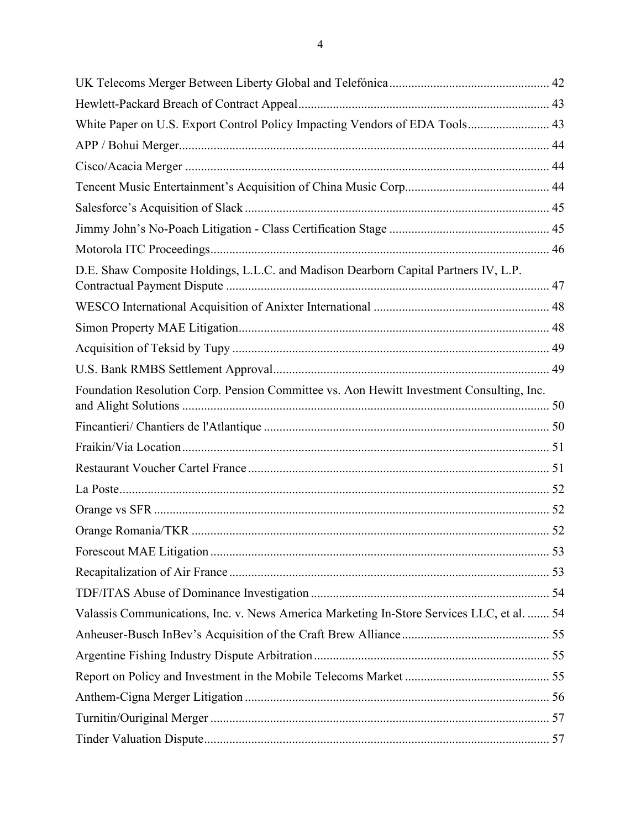| White Paper on U.S. Export Control Policy Impacting Vendors of EDA Tools 43               |  |
|-------------------------------------------------------------------------------------------|--|
|                                                                                           |  |
|                                                                                           |  |
|                                                                                           |  |
|                                                                                           |  |
|                                                                                           |  |
|                                                                                           |  |
| D.E. Shaw Composite Holdings, L.L.C. and Madison Dearborn Capital Partners IV, L.P.       |  |
|                                                                                           |  |
|                                                                                           |  |
|                                                                                           |  |
|                                                                                           |  |
| Foundation Resolution Corp. Pension Committee vs. Aon Hewitt Investment Consulting, Inc.  |  |
|                                                                                           |  |
|                                                                                           |  |
|                                                                                           |  |
|                                                                                           |  |
|                                                                                           |  |
|                                                                                           |  |
|                                                                                           |  |
|                                                                                           |  |
|                                                                                           |  |
| Valassis Communications, Inc. v. News America Marketing In-Store Services LLC, et al.  54 |  |
|                                                                                           |  |
|                                                                                           |  |
|                                                                                           |  |
|                                                                                           |  |
|                                                                                           |  |
|                                                                                           |  |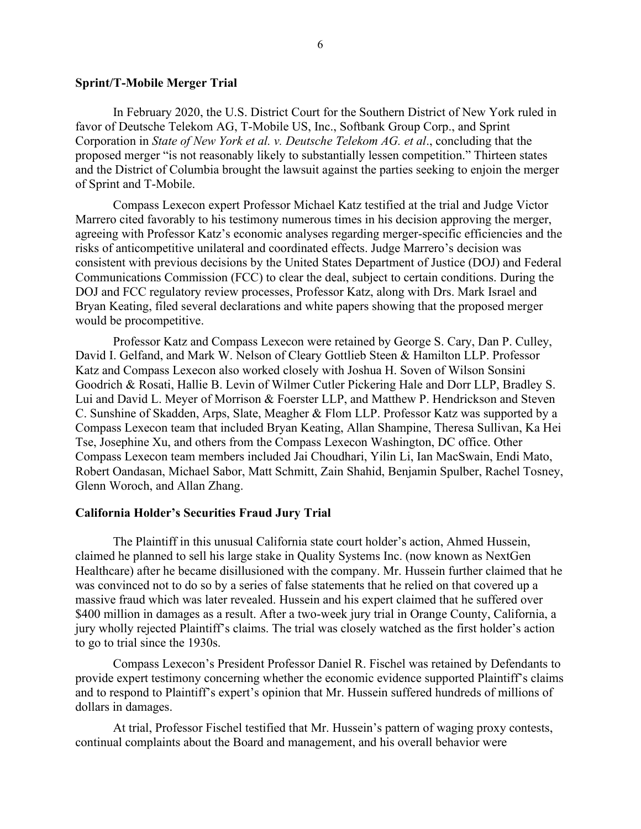#### <span id="page-5-0"></span>**Sprint/T-Mobile Merger Trial**

In February 2020, the U.S. District Court for the Southern District of New York ruled in favor of Deutsche Telekom AG, T-Mobile US, Inc., Softbank Group Corp., and Sprint Corporation in *State of New York et al. v. Deutsche Telekom AG. et al*., concluding that the proposed merger "is not reasonably likely to substantially lessen competition." Thirteen states and the District of Columbia brought the lawsuit against the parties seeking to enjoin the merger of Sprint and T-Mobile.

Compass Lexecon expert Professor [Michael Katz](https://www.compasslexecon.com/professionals/michael-l-katz/) testified at the trial and Judge Victor Marrero cited favorably to his testimony numerous times in his decision approving the merger, agreeing with Professor Katz's economic analyses regarding merger-specific efficiencies and the risks of anticompetitive unilateral and coordinated effects. Judge Marrero's decision was consistent with previous decisions by the United States Department of Justice (DOJ) and Federal Communications Commission (FCC) to clear the deal, subject to certain conditions. During the DOJ and FCC regulatory review processes, Professor Katz, along with Drs. [Mark Israel](https://www.compasslexecon.com/professionals/mark-a-israel/) and Bryan Keating, filed several declarations and white papers showing that the proposed merger would be procompetitive.

Professor Katz and Compass Lexecon were retained by George S. Cary, Dan P. Culley, David I. Gelfand, and Mark W. Nelson of Cleary Gottlieb Steen & Hamilton LLP. Professor Katz and Compass Lexecon also worked closely with Joshua H. Soven of Wilson Sonsini Goodrich & Rosati, Hallie B. Levin of Wilmer Cutler Pickering Hale and Dorr LLP, Bradley S. Lui and David L. Meyer of Morrison & Foerster LLP, and Matthew P. Hendrickson and Steven C. Sunshine of Skadden, Arps, Slate, Meagher & Flom LLP. Professor Katz was supported by a Compass Lexecon team that included [Bryan Keating,](https://www.compasslexecon.com/professionals/bryan-keating/) [Allan Shampine,](https://www.compasslexecon.com/professionals/allan-l-shampine/) [Theresa Sullivan,](https://www.compasslexecon.com/professionals/theresa-sullivan/) [Ka Hei](https://www.compasslexecon.com/professionals/ka-hei-tse/)  [Tse,](https://www.compasslexecon.com/professionals/ka-hei-tse/) [Josephine Xu,](https://www.compasslexecon.com/professionals/josephine-xu/) and others from the Compass Lexecon Washington, DC office. Other Compass Lexecon team members included Jai Choudhari, Yilin Li, [Ian MacSwain,](https://www.compasslexecon.com/professionals/ian-w-macswain/) Endi Mato, [Robert Oandasan,](https://www.compasslexecon.com/professionals/robert-oandasan/) [Michael Sabor,](https://www.compasslexecon.com/professionals/michael-sabor/) Matt Schmitt, Zain Shahid, [Benjamin Spulber,](https://www.compasslexecon.com/professionals/benjamin-a-spulber/) Rachel Tosney, [Glenn Woroch,](https://www.compasslexecon.com/professionals/glenn-woroch/) and Allan Zhang.

#### <span id="page-5-1"></span>**California Holder's Securities Fraud Jury Trial**

The Plaintiff in this unusual California state court holder's action, Ahmed Hussein, claimed he planned to sell his large stake in Quality Systems Inc. (now known as NextGen Healthcare) after he became disillusioned with the company. Mr. Hussein further claimed that he was convinced not to do so by a series of false statements that he relied on that covered up a massive fraud which was later revealed. Hussein and his expert claimed that he suffered over \$400 million in damages as a result. After a two-week jury trial in Orange County, California, a jury wholly rejected Plaintiff's claims. The trial was closely watched as the first holder's action to go to trial since the 1930s.

Compass Lexecon's President Professor Daniel R. Fischel was retained by Defendants to provide expert testimony concerning whether the economic evidence supported Plaintiff's claims and to respond to Plaintiff's expert's opinion that Mr. Hussein suffered hundreds of millions of dollars in damages.

At trial, Professor Fischel testified that Mr. Hussein's pattern of waging proxy contests, continual complaints about the Board and management, and his overall behavior were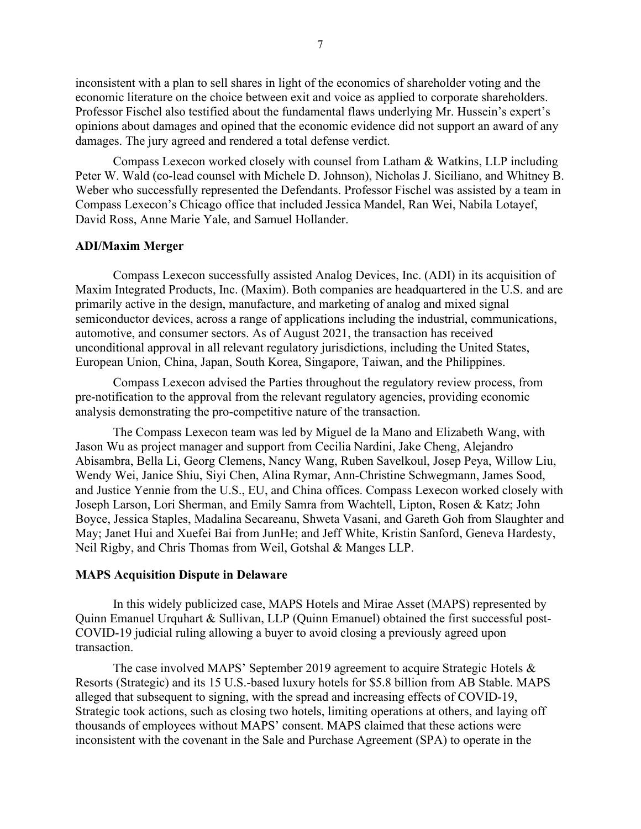inconsistent with a plan to sell shares in light of the economics of shareholder voting and the economic literature on the choice between exit and voice as applied to corporate shareholders. Professor Fischel also testified about the fundamental flaws underlying Mr. Hussein's expert's opinions about damages and opined that the economic evidence did not support an award of any damages. The jury agreed and rendered a total defense verdict.

Compass Lexecon worked closely with counsel from Latham & Watkins, LLP including Peter W. Wald (co-lead counsel with Michele D. Johnson), Nicholas J. Siciliano, and Whitney B. Weber who successfully represented the Defendants. Professor Fischel was assisted by a team in Compass Lexecon's Chicago office that included Jessica Mandel, Ran Wei, Nabila Lotayef, David Ross, Anne Marie Yale, and Samuel Hollander.

#### <span id="page-6-0"></span>**ADI/Maxim Merger**

Compass Lexecon successfully assisted Analog Devices, Inc. (ADI) in its acquisition of Maxim Integrated Products, Inc. (Maxim). Both companies are headquartered in the U.S. and are primarily active in the design, manufacture, and marketing of analog and mixed signal semiconductor devices, across a range of applications including the industrial, communications, automotive, and consumer sectors. As of August 2021, the transaction has received unconditional approval in all relevant regulatory jurisdictions, including the United States, European Union, China, Japan, South Korea, Singapore, Taiwan, and the Philippines.

Compass Lexecon advised the Parties throughout the regulatory review process, from pre-notification to the approval from the relevant regulatory agencies, providing economic analysis demonstrating the pro-competitive nature of the transaction.

The Compass Lexecon team was led by Miguel de la Mano and Elizabeth Wang, with Jason Wu as project manager and support from Cecilia Nardini, Jake Cheng, Alejandro Abisambra, Bella Li, Georg Clemens, Nancy Wang, Ruben Savelkoul, Josep Peya, Willow Liu, Wendy Wei, Janice Shiu, Siyi Chen, Alina Rymar, Ann-Christine Schwegmann, James Sood, and Justice Yennie from the U.S., EU, and China offices. Compass Lexecon worked closely with Joseph Larson, Lori Sherman, and Emily Samra from Wachtell, Lipton, Rosen & Katz; John Boyce, Jessica Staples, Madalina Secareanu, Shweta Vasani, and Gareth Goh from Slaughter and May; Janet Hui and Xuefei Bai from JunHe; and Jeff White, Kristin Sanford, Geneva Hardesty, Neil Rigby, and Chris Thomas from Weil, Gotshal & Manges LLP.

#### <span id="page-6-1"></span>**MAPS Acquisition Dispute in Delaware**

In this widely publicized case, MAPS Hotels and Mirae Asset (MAPS) represented by Quinn Emanuel Urquhart & Sullivan, LLP (Quinn Emanuel) obtained the first successful post-COVID-19 judicial ruling allowing a buyer to avoid closing a previously agreed upon transaction.

The case involved MAPS' September 2019 agreement to acquire Strategic Hotels & Resorts (Strategic) and its 15 U.S.-based luxury hotels for \$5.8 billion from AB Stable. MAPS alleged that subsequent to signing, with the spread and increasing effects of COVID-19, Strategic took actions, such as closing two hotels, limiting operations at others, and laying off thousands of employees without MAPS' consent. MAPS claimed that these actions were inconsistent with the covenant in the Sale and Purchase Agreement (SPA) to operate in the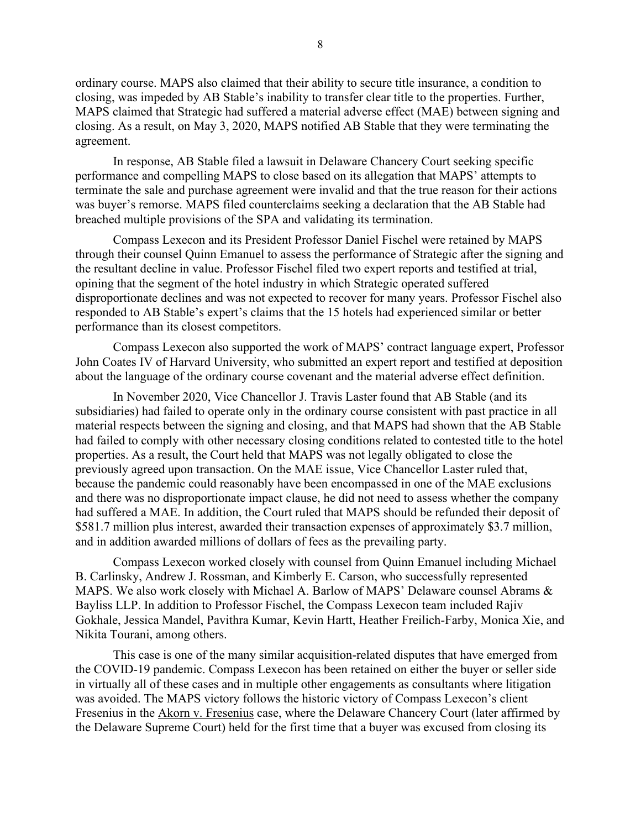ordinary course. MAPS also claimed that their ability to secure title insurance, a condition to closing, was impeded by AB Stable's inability to transfer clear title to the properties. Further, MAPS claimed that Strategic had suffered a material adverse effect (MAE) between signing and closing. As a result, on May 3, 2020, MAPS notified AB Stable that they were terminating the agreement.

In response, AB Stable filed a lawsuit in Delaware Chancery Court seeking specific performance and compelling MAPS to close based on its allegation that MAPS' attempts to terminate the sale and purchase agreement were invalid and that the true reason for their actions was buyer's remorse. MAPS filed counterclaims seeking a declaration that the AB Stable had breached multiple provisions of the SPA and validating its termination.

Compass Lexecon and its President Professor Daniel Fischel were retained by MAPS through their counsel Quinn Emanuel to assess the performance of Strategic after the signing and the resultant decline in value. Professor Fischel filed two expert reports and testified at trial, opining that the segment of the hotel industry in which Strategic operated suffered disproportionate declines and was not expected to recover for many years. Professor Fischel also responded to AB Stable's expert's claims that the 15 hotels had experienced similar or better performance than its closest competitors.

Compass Lexecon also supported the work of MAPS' contract language expert, Professor John Coates IV of Harvard University, who submitted an expert report and testified at deposition about the language of the ordinary course covenant and the material adverse effect definition.

In November 2020, Vice Chancellor J. Travis Laster found that AB Stable (and its subsidiaries) had failed to operate only in the ordinary course consistent with past practice in all material respects between the signing and closing, and that MAPS had shown that the AB Stable had failed to comply with other necessary closing conditions related to contested title to the hotel properties. As a result, the Court held that MAPS was not legally obligated to close the previously agreed upon transaction. On the MAE issue, Vice Chancellor Laster ruled that, because the pandemic could reasonably have been encompassed in one of the MAE exclusions and there was no disproportionate impact clause, he did not need to assess whether the company had suffered a MAE. In addition, the Court ruled that MAPS should be refunded their deposit of \$581.7 million plus interest, awarded their transaction expenses of approximately \$3.7 million, and in addition awarded millions of dollars of fees as the prevailing party.

Compass Lexecon worked closely with counsel from Quinn Emanuel including Michael B. Carlinsky, Andrew J. Rossman, and Kimberly E. Carson, who successfully represented MAPS. We also work closely with Michael A. Barlow of MAPS' Delaware counsel Abrams & Bayliss LLP. In addition to Professor Fischel, the Compass Lexecon team included Rajiv Gokhale, Jessica Mandel, Pavithra Kumar, Kevin Hartt, Heather Freilich-Farby, Monica Xie, and Nikita Tourani, among others.

This case is one of the many similar acquisition-related disputes that have emerged from the COVID-19 pandemic. Compass Lexecon has been retained on either the buyer or seller side in virtually all of these cases and in multiple other engagements as consultants where litigation was avoided. The MAPS victory follows the historic victory of Compass Lexecon's client Fresenius in the [Akorn v. Fresenius](https://www.compasslexecon.com/cases/compass-lexecon-client-prevails-in-historic-delaware-mae-trial/) case, where the Delaware Chancery Court (later affirmed by the Delaware Supreme Court) held for the first time that a buyer was excused from closing its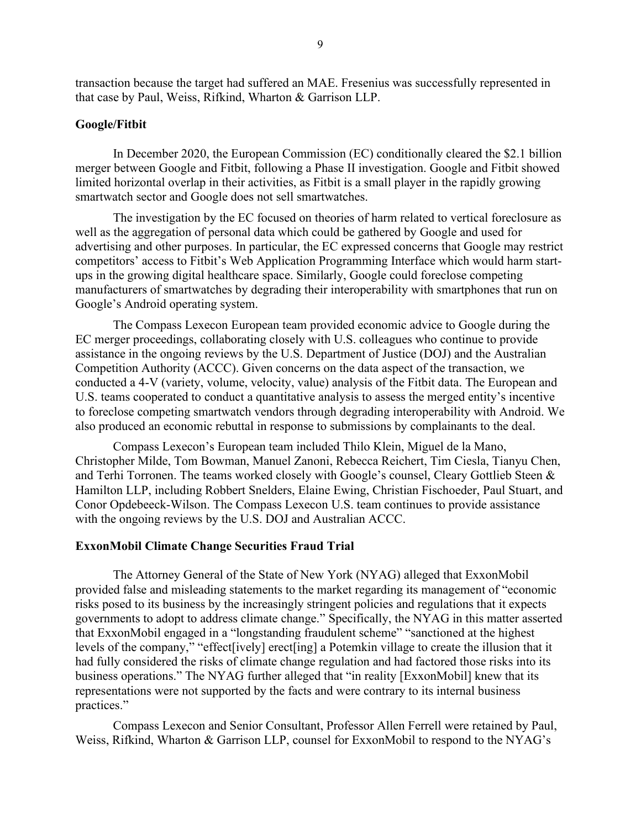transaction because the target had suffered an MAE. Fresenius was successfully represented in that case by Paul, Weiss, Rifkind, Wharton & Garrison LLP.

### <span id="page-8-0"></span>**Google/Fitbit**

In December 2020, the European Commission (EC) conditionally cleared the \$2.1 billion merger between Google and Fitbit, following a Phase II investigation. Google and Fitbit showed limited horizontal overlap in their activities, as Fitbit is a small player in the rapidly growing smartwatch sector and Google does not sell smartwatches.

The investigation by the EC focused on theories of harm related to vertical foreclosure as well as the aggregation of personal data which could be gathered by Google and used for advertising and other purposes. In particular, the EC expressed concerns that Google may restrict competitors' access to Fitbit's Web Application Programming Interface which would harm startups in the growing digital healthcare space. Similarly, Google could foreclose competing manufacturers of smartwatches by degrading their interoperability with smartphones that run on Google's Android operating system.

The Compass Lexecon European team provided economic advice to Google during the EC merger proceedings, collaborating closely with U.S. colleagues who continue to provide assistance in the ongoing reviews by the U.S. Department of Justice (DOJ) and the Australian Competition Authority (ACCC). Given concerns on the data aspect of the transaction, we conducted a 4-V (variety, volume, velocity, value) analysis of the Fitbit data. The European and U.S. teams cooperated to conduct a quantitative analysis to assess the merged entity's incentive to foreclose competing smartwatch vendors through degrading interoperability with Android. We also produced an economic rebuttal in response to submissions by complainants to the deal.

Compass Lexecon's European team included Thilo Klein, Miguel de la Mano, Christopher Milde, Tom Bowman, Manuel Zanoni, Rebecca Reichert, Tim Ciesla, Tianyu Chen, and Terhi Torronen. The teams worked closely with Google's counsel, Cleary Gottlieb Steen & Hamilton LLP, including Robbert Snelders, Elaine Ewing, Christian Fischoeder, Paul Stuart, and Conor Opdebeeck-Wilson. The Compass Lexecon U.S. team continues to provide assistance with the ongoing reviews by the U.S. DOJ and Australian ACCC.

#### <span id="page-8-1"></span>**ExxonMobil Climate Change Securities Fraud Trial**

The Attorney General of the State of New York (NYAG) alleged that ExxonMobil provided false and misleading statements to the market regarding its management of "economic risks posed to its business by the increasingly stringent policies and regulations that it expects governments to adopt to address climate change." Specifically, the NYAG in this matter asserted that ExxonMobil engaged in a "longstanding fraudulent scheme" "sanctioned at the highest levels of the company," "effect[ively] erect[ing] a Potemkin village to create the illusion that it had fully considered the risks of climate change regulation and had factored those risks into its business operations." The NYAG further alleged that "in reality [ExxonMobil] knew that its representations were not supported by the facts and were contrary to its internal business practices."

Compass Lexecon and Senior Consultant, Professor Allen Ferrell were retained by Paul, Weiss, Rifkind, Wharton & Garrison LLP, counsel for ExxonMobil to respond to the NYAG's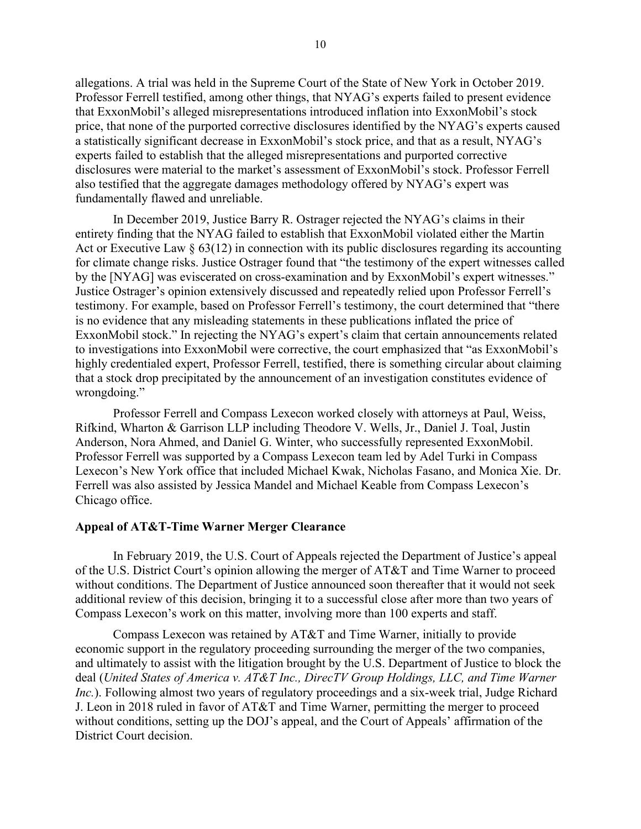allegations. A trial was held in the Supreme Court of the State of New York in October 2019. Professor Ferrell testified, among other things, that NYAG's experts failed to present evidence that ExxonMobil's alleged misrepresentations introduced inflation into ExxonMobil's stock price, that none of the purported corrective disclosures identified by the NYAG's experts caused a statistically significant decrease in ExxonMobil's stock price, and that as a result, NYAG's experts failed to establish that the alleged misrepresentations and purported corrective disclosures were material to the market's assessment of ExxonMobil's stock. Professor Ferrell also testified that the aggregate damages methodology offered by NYAG's expert was fundamentally flawed and unreliable.

In December 2019, Justice Barry R. Ostrager rejected the NYAG's claims in their entirety finding that the NYAG failed to establish that ExxonMobil violated either the Martin Act or Executive Law  $\S 63(12)$  in connection with its public disclosures regarding its accounting for climate change risks. Justice Ostrager found that "the testimony of the expert witnesses called by the [NYAG] was eviscerated on cross-examination and by ExxonMobil's expert witnesses." Justice Ostrager's opinion extensively discussed and repeatedly relied upon Professor Ferrell's testimony. For example, based on Professor Ferrell's testimony, the court determined that "there is no evidence that any misleading statements in these publications inflated the price of ExxonMobil stock." In rejecting the NYAG's expert's claim that certain announcements related to investigations into ExxonMobil were corrective, the court emphasized that "as ExxonMobil's highly credentialed expert, Professor Ferrell, testified, there is something circular about claiming that a stock drop precipitated by the announcement of an investigation constitutes evidence of wrongdoing."

Professor Ferrell and Compass Lexecon worked closely with attorneys at Paul, Weiss, Rifkind, Wharton & Garrison LLP including Theodore V. Wells, Jr., Daniel J. Toal, Justin Anderson, Nora Ahmed, and Daniel G. Winter, who successfully represented ExxonMobil. Professor Ferrell was supported by a Compass Lexecon team led by Adel Turki in Compass Lexecon's New York office that included Michael Kwak, Nicholas Fasano, and Monica Xie. Dr. Ferrell was also assisted by Jessica Mandel and Michael Keable from Compass Lexecon's Chicago office.

# <span id="page-9-0"></span>**Appeal of AT&T-Time Warner Merger Clearance**

In February 2019, the U.S. Court of Appeals rejected the Department of Justice's appeal of the U.S. District Court's opinion allowing the merger of AT&T and Time Warner to proceed without conditions. The Department of Justice announced soon thereafter that it would not seek additional review of this decision, bringing it to a successful close after more than two years of Compass Lexecon's work on this matter, involving more than 100 experts and staff.

Compass Lexecon was retained by AT&T and Time Warner, initially to provide economic support in the regulatory proceeding surrounding the merger of the two companies, and ultimately to assist with the litigation brought by the U.S. Department of Justice to block the deal (*United States of America v. AT&T Inc., DirecTV Group Holdings, LLC, and Time Warner Inc.*). Following almost two years of regulatory proceedings and a six-week trial, Judge Richard J. Leon in 2018 ruled in favor of AT&T and Time Warner, permitting the merger to proceed without conditions, setting up the DOJ's appeal, and the Court of Appeals' affirmation of the District Court decision.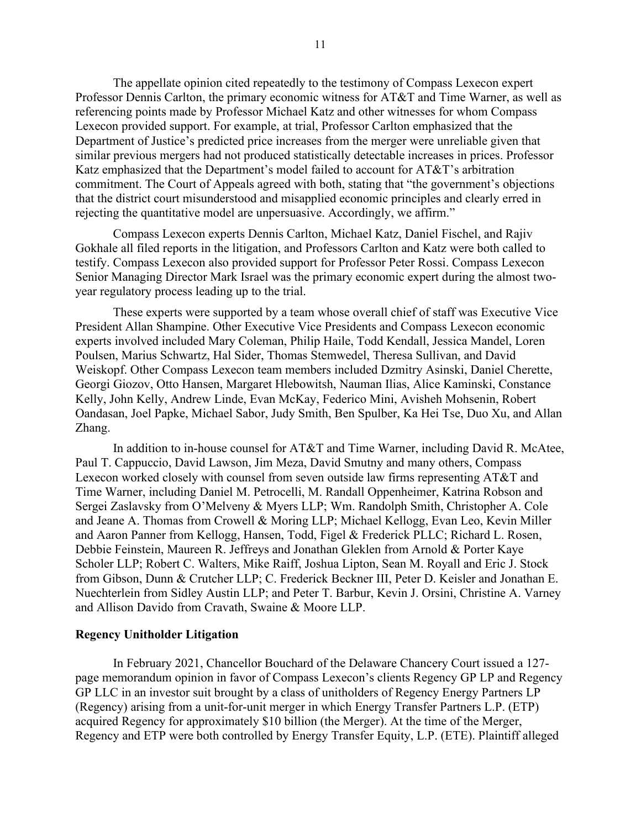The appellate opinion cited repeatedly to the testimony of Compass Lexecon expert Professor Dennis Carlton, the primary economic witness for AT&T and Time Warner, as well as referencing points made by Professor Michael Katz and other witnesses for whom Compass Lexecon provided support. For example, at trial, Professor Carlton emphasized that the Department of Justice's predicted price increases from the merger were unreliable given that similar previous mergers had not produced statistically detectable increases in prices. Professor Katz emphasized that the Department's model failed to account for AT&T's arbitration commitment. The Court of Appeals agreed with both, stating that "the government's objections that the district court misunderstood and misapplied economic principles and clearly erred in rejecting the quantitative model are unpersuasive. Accordingly, we affirm."

Compass Lexecon experts Dennis Carlton, Michael Katz, Daniel Fischel, and Rajiv Gokhale all filed reports in the litigation, and Professors Carlton and Katz were both called to testify. Compass Lexecon also provided support for Professor Peter Rossi. Compass Lexecon Senior Managing Director Mark Israel was the primary economic expert during the almost twoyear regulatory process leading up to the trial.

These experts were supported by a team whose overall chief of staff was Executive Vice President Allan Shampine. Other Executive Vice Presidents and Compass Lexecon economic experts involved included Mary Coleman, Philip Haile, Todd Kendall, Jessica Mandel, Loren Poulsen, Marius Schwartz, Hal Sider, Thomas Stemwedel, Theresa Sullivan, and David Weiskopf. Other Compass Lexecon team members included Dzmitry Asinski, Daniel Cherette, Georgi Giozov, Otto Hansen, Margaret Hlebowitsh, Nauman Ilias, Alice Kaminski, Constance Kelly, John Kelly, Andrew Linde, Evan McKay, Federico Mini, Avisheh Mohsenin, Robert Oandasan, Joel Papke, Michael Sabor, Judy Smith, Ben Spulber, Ka Hei Tse, Duo Xu, and Allan Zhang.

In addition to in-house counsel for AT&T and Time Warner, including David R. McAtee, Paul T. Cappuccio, David Lawson, Jim Meza, David Smutny and many others, Compass Lexecon worked closely with counsel from seven outside law firms representing AT&T and Time Warner, including Daniel M. Petrocelli, M. Randall Oppenheimer, Katrina Robson and Sergei Zaslavsky from O'Melveny & Myers LLP; Wm. Randolph Smith, Christopher A. Cole and Jeane A. Thomas from Crowell & Moring LLP; Michael Kellogg, Evan Leo, Kevin Miller and Aaron Panner from Kellogg, Hansen, Todd, Figel & Frederick PLLC; Richard L. Rosen, Debbie Feinstein, Maureen R. Jeffreys and Jonathan Gleklen from Arnold & Porter Kaye Scholer LLP; Robert C. Walters, Mike Raiff, Joshua Lipton, Sean M. Royall and Eric J. Stock from Gibson, Dunn & Crutcher LLP; C. Frederick Beckner III, Peter D. Keisler and Jonathan E. Nuechterlein from Sidley Austin LLP; and Peter T. Barbur, Kevin J. Orsini, Christine A. Varney and Allison Davido from Cravath, Swaine & Moore LLP.

#### <span id="page-10-0"></span>**Regency Unitholder Litigation**

In February 2021, Chancellor Bouchard of the Delaware Chancery Court issued a 127 page memorandum opinion in favor of Compass Lexecon's clients Regency GP LP and Regency GP LLC in an investor suit brought by a class of unitholders of Regency Energy Partners LP (Regency) arising from a unit-for-unit merger in which Energy Transfer Partners L.P. (ETP) acquired Regency for approximately \$10 billion (the Merger). At the time of the Merger, Regency and ETP were both controlled by Energy Transfer Equity, L.P. (ETE). Plaintiff alleged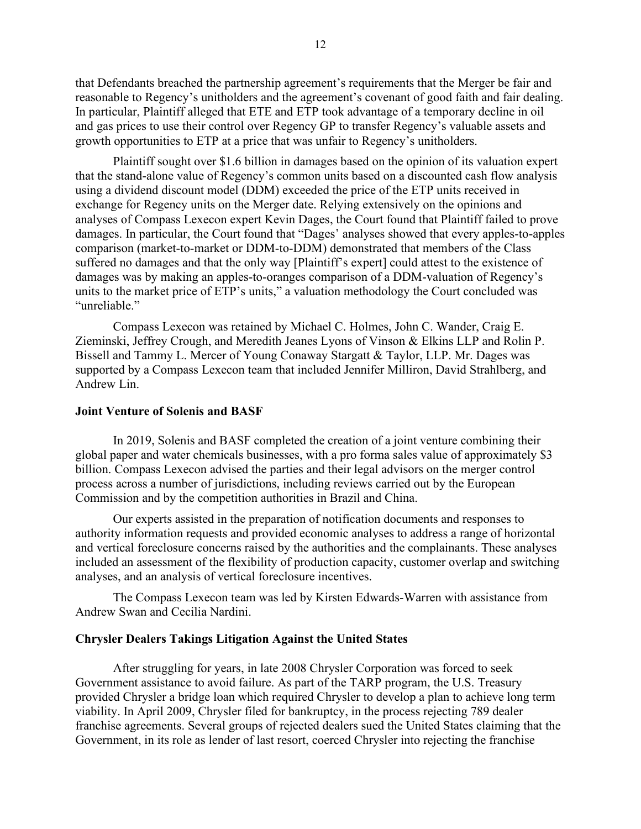that Defendants breached the partnership agreement's requirements that the Merger be fair and reasonable to Regency's unitholders and the agreement's covenant of good faith and fair dealing. In particular, Plaintiff alleged that ETE and ETP took advantage of a temporary decline in oil and gas prices to use their control over Regency GP to transfer Regency's valuable assets and growth opportunities to ETP at a price that was unfair to Regency's unitholders.

Plaintiff sought over \$1.6 billion in damages based on the opinion of its valuation expert that the stand-alone value of Regency's common units based on a discounted cash flow analysis using a dividend discount model (DDM) exceeded the price of the ETP units received in exchange for Regency units on the Merger date. Relying extensively on the opinions and analyses of Compass Lexecon expert Kevin Dages, the Court found that Plaintiff failed to prove damages. In particular, the Court found that "Dages' analyses showed that every apples-to-apples comparison (market-to-market or DDM-to-DDM) demonstrated that members of the Class suffered no damages and that the only way [Plaintiff's expert] could attest to the existence of damages was by making an apples-to-oranges comparison of a DDM-valuation of Regency's units to the market price of ETP's units," a valuation methodology the Court concluded was "unreliable."

Compass Lexecon was retained by Michael C. Holmes, John C. Wander, Craig E. Zieminski, Jeffrey Crough, and Meredith Jeanes Lyons of Vinson & Elkins LLP and Rolin P. Bissell and Tammy L. Mercer of Young Conaway Stargatt & Taylor, LLP. Mr. Dages was supported by a Compass Lexecon team that included Jennifer Milliron, David Strahlberg, and Andrew Lin.

### <span id="page-11-0"></span>**Joint Venture of Solenis and BASF**

In 2019, Solenis and BASF completed the creation of a joint venture combining their global paper and water chemicals businesses, with a pro forma sales value of approximately \$3 billion. Compass Lexecon advised the parties and their legal advisors on the merger control process across a number of jurisdictions, including reviews carried out by the European Commission and by the competition authorities in Brazil and China.

Our experts assisted in the preparation of notification documents and responses to authority information requests and provided economic analyses to address a range of horizontal and vertical foreclosure concerns raised by the authorities and the complainants. These analyses included an assessment of the flexibility of production capacity, customer overlap and switching analyses, and an analysis of vertical foreclosure incentives.

The Compass Lexecon team was led by Kirsten Edwards-Warren with assistance from Andrew Swan and Cecilia Nardini.

#### <span id="page-11-1"></span>**Chrysler Dealers Takings Litigation Against the United States**

After struggling for years, in late 2008 Chrysler Corporation was forced to seek Government assistance to avoid failure. As part of the TARP program, the U.S. Treasury provided Chrysler a bridge loan which required Chrysler to develop a plan to achieve long term viability. In April 2009, Chrysler filed for bankruptcy, in the process rejecting 789 dealer franchise agreements. Several groups of rejected dealers sued the United States claiming that the Government, in its role as lender of last resort, coerced Chrysler into rejecting the franchise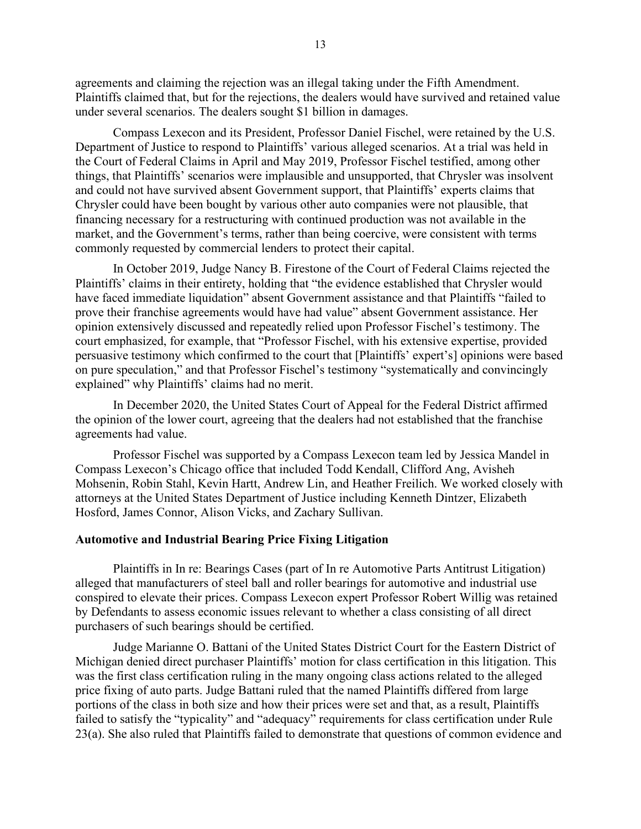agreements and claiming the rejection was an illegal taking under the Fifth Amendment. Plaintiffs claimed that, but for the rejections, the dealers would have survived and retained value under several scenarios. The dealers sought \$1 billion in damages.

Compass Lexecon and its President, Professor Daniel Fischel, were retained by the U.S. Department of Justice to respond to Plaintiffs' various alleged scenarios. At a trial was held in the Court of Federal Claims in April and May 2019, Professor Fischel testified, among other things, that Plaintiffs' scenarios were implausible and unsupported, that Chrysler was insolvent and could not have survived absent Government support, that Plaintiffs' experts claims that Chrysler could have been bought by various other auto companies were not plausible, that financing necessary for a restructuring with continued production was not available in the market, and the Government's terms, rather than being coercive, were consistent with terms commonly requested by commercial lenders to protect their capital.

In October 2019, Judge Nancy B. Firestone of the Court of Federal Claims rejected the Plaintiffs' claims in their entirety, holding that "the evidence established that Chrysler would have faced immediate liquidation" absent Government assistance and that Plaintiffs "failed to prove their franchise agreements would have had value" absent Government assistance. Her opinion extensively discussed and repeatedly relied upon Professor Fischel's testimony. The court emphasized, for example, that "Professor Fischel, with his extensive expertise, provided persuasive testimony which confirmed to the court that [Plaintiffs' expert's] opinions were based on pure speculation," and that Professor Fischel's testimony "systematically and convincingly explained" why Plaintiffs' claims had no merit.

In December 2020, the United States Court of Appeal for the Federal District affirmed the opinion of the lower court, agreeing that the dealers had not established that the franchise agreements had value.

Professor Fischel was supported by a Compass Lexecon team led by Jessica Mandel in Compass Lexecon's Chicago office that included Todd Kendall, Clifford Ang, Avisheh Mohsenin, Robin Stahl, Kevin Hartt, Andrew Lin, and Heather Freilich. We worked closely with attorneys at the United States Department of Justice including Kenneth Dintzer, Elizabeth Hosford, James Connor, Alison Vicks, and Zachary Sullivan.

# <span id="page-12-0"></span>**Automotive and Industrial Bearing Price Fixing Litigation**

Plaintiffs in In re: Bearings Cases (part of In re Automotive Parts Antitrust Litigation) alleged that manufacturers of steel ball and roller bearings for automotive and industrial use conspired to elevate their prices. Compass Lexecon expert Professor Robert Willig was retained by Defendants to assess economic issues relevant to whether a class consisting of all direct purchasers of such bearings should be certified.

Judge Marianne O. Battani of the United States District Court for the Eastern District of Michigan denied direct purchaser Plaintiffs' motion for class certification in this litigation. This was the first class certification ruling in the many ongoing class actions related to the alleged price fixing of auto parts. Judge Battani ruled that the named Plaintiffs differed from large portions of the class in both size and how their prices were set and that, as a result, Plaintiffs failed to satisfy the "typicality" and "adequacy" requirements for class certification under Rule 23(a). She also ruled that Plaintiffs failed to demonstrate that questions of common evidence and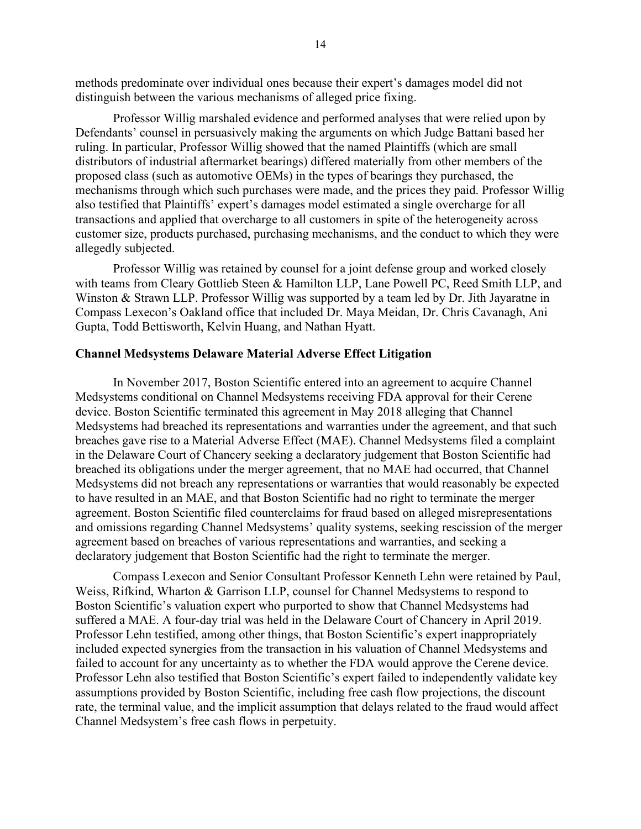methods predominate over individual ones because their expert's damages model did not distinguish between the various mechanisms of alleged price fixing.

Professor Willig marshaled evidence and performed analyses that were relied upon by Defendants' counsel in persuasively making the arguments on which Judge Battani based her ruling. In particular, Professor Willig showed that the named Plaintiffs (which are small distributors of industrial aftermarket bearings) differed materially from other members of the proposed class (such as automotive OEMs) in the types of bearings they purchased, the mechanisms through which such purchases were made, and the prices they paid. Professor Willig also testified that Plaintiffs' expert's damages model estimated a single overcharge for all transactions and applied that overcharge to all customers in spite of the heterogeneity across customer size, products purchased, purchasing mechanisms, and the conduct to which they were allegedly subjected.

Professor Willig was retained by counsel for a joint defense group and worked closely with teams from Cleary Gottlieb Steen & Hamilton LLP, Lane Powell PC, Reed Smith LLP, and Winston & Strawn LLP. Professor Willig was supported by a team led by Dr. Jith Jayaratne in Compass Lexecon's Oakland office that included Dr. Maya Meidan, Dr. Chris Cavanagh, Ani Gupta, Todd Bettisworth, Kelvin Huang, and Nathan Hyatt.

#### <span id="page-13-0"></span>**Channel Medsystems Delaware Material Adverse Effect Litigation**

In November 2017, Boston Scientific entered into an agreement to acquire Channel Medsystems conditional on Channel Medsystems receiving FDA approval for their Cerene device. Boston Scientific terminated this agreement in May 2018 alleging that Channel Medsystems had breached its representations and warranties under the agreement, and that such breaches gave rise to a Material Adverse Effect (MAE). Channel Medsystems filed a complaint in the Delaware Court of Chancery seeking a declaratory judgement that Boston Scientific had breached its obligations under the merger agreement, that no MAE had occurred, that Channel Medsystems did not breach any representations or warranties that would reasonably be expected to have resulted in an MAE, and that Boston Scientific had no right to terminate the merger agreement. Boston Scientific filed counterclaims for fraud based on alleged misrepresentations and omissions regarding Channel Medsystems' quality systems, seeking rescission of the merger agreement based on breaches of various representations and warranties, and seeking a declaratory judgement that Boston Scientific had the right to terminate the merger.

Compass Lexecon and Senior Consultant Professor Kenneth Lehn were retained by Paul, Weiss, Rifkind, Wharton & Garrison LLP, counsel for Channel Medsystems to respond to Boston Scientific's valuation expert who purported to show that Channel Medsystems had suffered a MAE. A four-day trial was held in the Delaware Court of Chancery in April 2019. Professor Lehn testified, among other things, that Boston Scientific's expert inappropriately included expected synergies from the transaction in his valuation of Channel Medsystems and failed to account for any uncertainty as to whether the FDA would approve the Cerene device. Professor Lehn also testified that Boston Scientific's expert failed to independently validate key assumptions provided by Boston Scientific, including free cash flow projections, the discount rate, the terminal value, and the implicit assumption that delays related to the fraud would affect Channel Medsystem's free cash flows in perpetuity.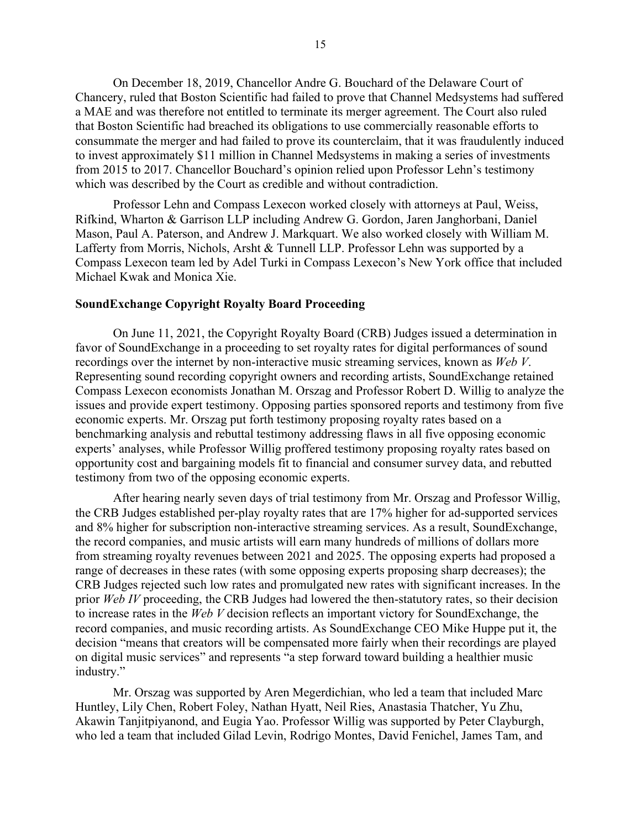On December 18, 2019, Chancellor Andre G. Bouchard of the Delaware Court of Chancery, ruled that Boston Scientific had failed to prove that Channel Medsystems had suffered a MAE and was therefore not entitled to terminate its merger agreement. The Court also ruled that Boston Scientific had breached its obligations to use commercially reasonable efforts to consummate the merger and had failed to prove its counterclaim, that it was fraudulently induced to invest approximately \$11 million in Channel Medsystems in making a series of investments from 2015 to 2017. Chancellor Bouchard's opinion relied upon Professor Lehn's testimony which was described by the Court as credible and without contradiction.

Professor Lehn and Compass Lexecon worked closely with attorneys at Paul, Weiss, Rifkind, Wharton & Garrison LLP including Andrew G. Gordon, Jaren Janghorbani, Daniel Mason, Paul A. Paterson, and Andrew J. Markquart. We also worked closely with William M. Lafferty from Morris, Nichols, Arsht & Tunnell LLP. Professor Lehn was supported by a Compass Lexecon team led by Adel Turki in Compass Lexecon's New York office that included Michael Kwak and Monica Xie.

#### <span id="page-14-0"></span>**SoundExchange Copyright Royalty Board Proceeding**

On June 11, 2021, the Copyright Royalty Board (CRB) Judges issued a determination in favor of SoundExchange in a proceeding to set royalty rates for digital performances of sound recordings over the internet by non-interactive music streaming services, known as *Web V*. Representing sound recording copyright owners and recording artists, SoundExchange retained Compass Lexecon economists Jonathan M. Orszag and Professor Robert D. Willig to analyze the issues and provide expert testimony. Opposing parties sponsored reports and testimony from five economic experts. Mr. Orszag put forth testimony proposing royalty rates based on a benchmarking analysis and rebuttal testimony addressing flaws in all five opposing economic experts' analyses, while Professor Willig proffered testimony proposing royalty rates based on opportunity cost and bargaining models fit to financial and consumer survey data, and rebutted testimony from two of the opposing economic experts.

After hearing nearly seven days of trial testimony from Mr. Orszag and Professor Willig, the CRB Judges established per-play royalty rates that are 17% higher for ad-supported services and 8% higher for subscription non-interactive streaming services. As a result, SoundExchange, the record companies, and music artists will earn many hundreds of millions of dollars more from streaming royalty revenues between 2021 and 2025. The opposing experts had proposed a range of decreases in these rates (with some opposing experts proposing sharp decreases); the CRB Judges rejected such low rates and promulgated new rates with significant increases. In the prior *Web IV* proceeding, the CRB Judges had lowered the then-statutory rates, so their decision to increase rates in the *Web V* decision reflects an important victory for SoundExchange, the record companies, and music recording artists. As SoundExchange CEO Mike Huppe put it, the decision "means that creators will be compensated more fairly when their recordings are played on digital music services" and represents "a step forward toward building a healthier music industry."

Mr. Orszag was supported by Aren Megerdichian, who led a team that included Marc Huntley, Lily Chen, Robert Foley, Nathan Hyatt, Neil Ries, Anastasia Thatcher, Yu Zhu, Akawin Tanjitpiyanond, and Eugia Yao. Professor Willig was supported by Peter Clayburgh, who led a team that included Gilad Levin, Rodrigo Montes, David Fenichel, James Tam, and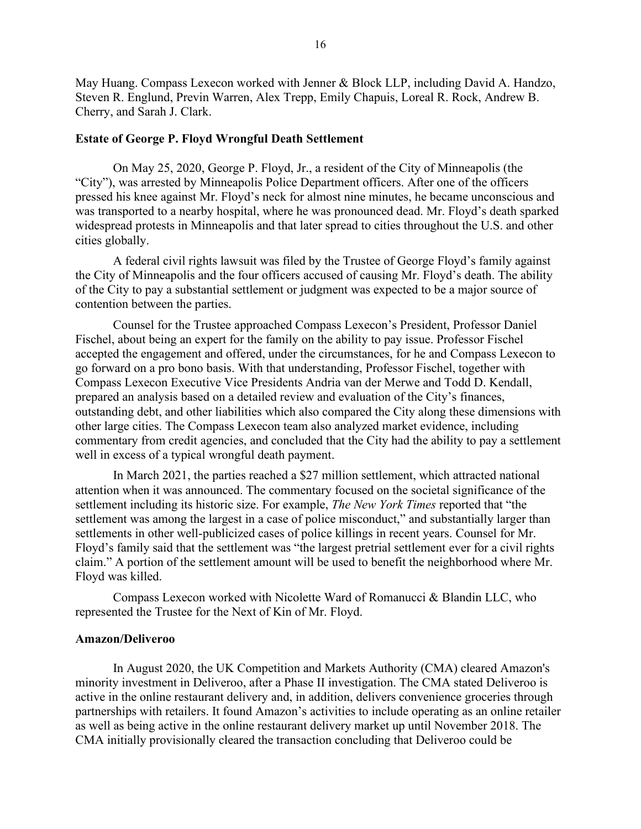May Huang. Compass Lexecon worked with Jenner & Block LLP, including David A. Handzo, Steven R. Englund, Previn Warren, Alex Trepp, Emily Chapuis, Loreal R. Rock, Andrew B. Cherry, and Sarah J. Clark.

#### <span id="page-15-0"></span>**Estate of George P. Floyd Wrongful Death Settlement**

On May 25, 2020, George P. Floyd, Jr., a resident of the City of Minneapolis (the "City"), was arrested by Minneapolis Police Department officers. After one of the officers pressed his knee against Mr. Floyd's neck for almost nine minutes, he became unconscious and was transported to a nearby hospital, where he was pronounced dead. Mr. Floyd's death sparked widespread protests in Minneapolis and that later spread to cities throughout the U.S. and other cities globally.

A federal civil rights lawsuit was filed by the Trustee of George Floyd's family against the City of Minneapolis and the four officers accused of causing Mr. Floyd's death. The ability of the City to pay a substantial settlement or judgment was expected to be a major source of contention between the parties.

Counsel for the Trustee approached Compass Lexecon's President, Professor Daniel Fischel, about being an expert for the family on the ability to pay issue. Professor Fischel accepted the engagement and offered, under the circumstances, for he and Compass Lexecon to go forward on a pro bono basis. With that understanding, Professor Fischel, together with Compass Lexecon Executive Vice Presidents Andria van der Merwe and Todd D. Kendall, prepared an analysis based on a detailed review and evaluation of the City's finances, outstanding debt, and other liabilities which also compared the City along these dimensions with other large cities. The Compass Lexecon team also analyzed market evidence, including commentary from credit agencies, and concluded that the City had the ability to pay a settlement well in excess of a typical wrongful death payment.

In March 2021, the parties reached a \$27 million settlement, which attracted national attention when it was announced. The commentary focused on the societal significance of the settlement including its historic size. For example, *The New York Times* reported that "the settlement was among the largest in a case of police misconduct," and substantially larger than settlements in other well-publicized cases of police killings in recent years. Counsel for Mr. Floyd's family said that the settlement was "the largest pretrial settlement ever for a civil rights claim." A portion of the settlement amount will be used to benefit the neighborhood where Mr. Floyd was killed.

Compass Lexecon worked with Nicolette Ward of Romanucci & Blandin LLC, who represented the Trustee for the Next of Kin of Mr. Floyd.

## <span id="page-15-1"></span>**Amazon/Deliveroo**

In August 2020, the UK Competition and Markets Authority (CMA) cleared Amazon's minority investment in Deliveroo, after a Phase II investigation. The CMA stated Deliveroo is active in the online restaurant delivery and, in addition, delivers convenience groceries through partnerships with retailers. It found Amazon's activities to include operating as an online retailer as well as being active in the online restaurant delivery market up until November 2018. The CMA initially provisionally cleared the transaction concluding that Deliveroo could be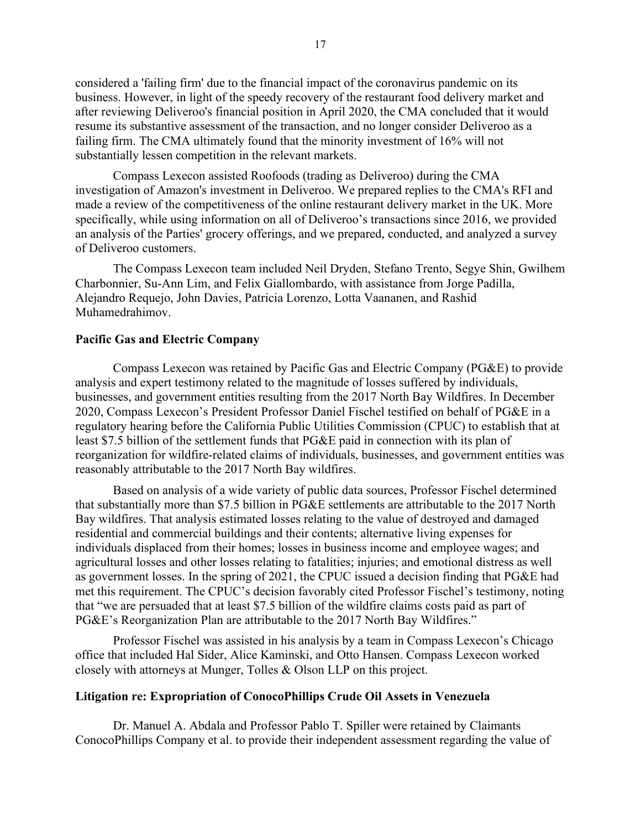considered a 'failing firm' due to the financial impact of the coronavirus pandemic on its business. However, in light of the speedy recovery of the restaurant food delivery market and after reviewing Deliveroo's financial position in April 2020, the CMA concluded that it would resume its substantive assessment of the transaction, and no longer consider Deliveroo as a failing firm. The CMA ultimately found that the minority investment of 16% will not substantially lessen competition in the relevant markets.

Compass Lexecon assisted Roofoods (trading as Deliveroo) during the CMA investigation of Amazon's investment in Deliveroo. We prepared replies to the CMA's RFI and made a review of the competitiveness of the online restaurant delivery market in the UK. More specifically, while using information on all of Deliveroo's transactions since 2016, we provided an analysis of the Parties' grocery offerings, and we prepared, conducted, and analyzed a survey of Deliveroo customers.

The Compass Lexecon team included Neil Dryden, Stefano Trento, Segye Shin, Gwilhem Charbonnier, Su-Ann Lim, and Felix Giallombardo, with assistance from Jorge Padilla, Alejandro Requejo, John Davies, Patricia Lorenzo, Lotta Vaananen, and Rashid Muhamedrahimov.

# <span id="page-16-0"></span>**Pacific Gas and Electric Company**

Compass Lexecon was retained by Pacific Gas and Electric Company (PG&E) to provide analysis and expert testimony related to the magnitude of losses suffered by individuals, businesses, and government entities resulting from the 2017 North Bay Wildfires. In December 2020, Compass Lexecon's President Professor Daniel Fischel testified on behalf of PG&E in a regulatory hearing before the California Public Utilities Commission (CPUC) to establish that at least \$7.5 billion of the settlement funds that PG&E paid in connection with its plan of reorganization for wildfire-related claims of individuals, businesses, and government entities was reasonably attributable to the 2017 North Bay wildfires.

Based on analysis of a wide variety of public data sources, Professor Fischel determined that substantially more than \$7.5 billion in PG&E settlements are attributable to the 2017 North Bay wildfires. That analysis estimated losses relating to the value of destroyed and damaged residential and commercial buildings and their contents; alternative living expenses for individuals displaced from their homes; losses in business income and employee wages; and agricultural losses and other losses relating to fatalities; injuries; and emotional distress as well as government losses. In the spring of 2021, the CPUC issued a decision finding that PG&E had met this requirement. The CPUC's decision favorably cited Professor Fischel's testimony, noting that "we are persuaded that at least \$7.5 billion of the wildfire claims costs paid as part of PG&E's Reorganization Plan are attributable to the 2017 North Bay Wildfires."

Professor Fischel was assisted in his analysis by a team in Compass Lexecon's Chicago office that included Hal Sider, Alice Kaminski, and Otto Hansen. Compass Lexecon worked closely with attorneys at Munger, Tolles & Olson LLP on this project.

### <span id="page-16-1"></span>**Litigation re: Expropriation of ConocoPhillips Crude Oil Assets in Venezuela**

Dr. Manuel A. Abdala and Professor Pablo T. Spiller were retained by Claimants ConocoPhillips Company et al. to provide their independent assessment regarding the value of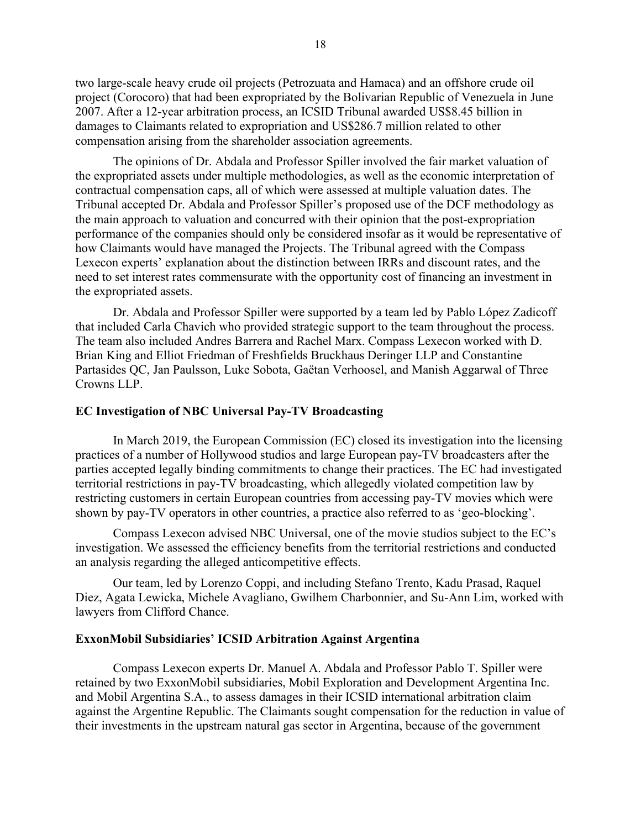two large-scale heavy crude oil projects (Petrozuata and Hamaca) and an offshore crude oil project (Corocoro) that had been expropriated by the Bolivarian Republic of Venezuela in June 2007. After a 12-year arbitration process, an ICSID Tribunal awarded US\$8.45 billion in damages to Claimants related to expropriation and US\$286.7 million related to other compensation arising from the shareholder association agreements.

The opinions of Dr. Abdala and Professor Spiller involved the fair market valuation of the expropriated assets under multiple methodologies, as well as the economic interpretation of contractual compensation caps, all of which were assessed at multiple valuation dates. The Tribunal accepted Dr. Abdala and Professor Spiller's proposed use of the DCF methodology as the main approach to valuation and concurred with their opinion that the post-expropriation performance of the companies should only be considered insofar as it would be representative of how Claimants would have managed the Projects. The Tribunal agreed with the Compass Lexecon experts' explanation about the distinction between IRRs and discount rates, and the need to set interest rates commensurate with the opportunity cost of financing an investment in the expropriated assets.

Dr. Abdala and Professor Spiller were supported by a team led by Pablo López Zadicoff that included Carla Chavich who provided strategic support to the team throughout the process. The team also included Andres Barrera and Rachel Marx. Compass Lexecon worked with D. Brian King and Elliot Friedman of Freshfields Bruckhaus Deringer LLP and Constantine Partasides QC, Jan Paulsson, Luke Sobota, Gaëtan Verhoosel, and Manish Aggarwal of Three Crowns LLP.

### <span id="page-17-0"></span>**EC Investigation of NBC Universal Pay-TV Broadcasting**

In March 2019, the European Commission (EC) closed its investigation into the licensing practices of a number of Hollywood studios and large European pay-TV broadcasters after the parties accepted legally binding commitments to change their practices. The EC had investigated territorial restrictions in pay-TV broadcasting, which allegedly violated competition law by restricting customers in certain European countries from accessing pay-TV movies which were shown by pay-TV operators in other countries, a practice also referred to as 'geo-blocking'.

Compass Lexecon advised NBC Universal, one of the movie studios subject to the EC's investigation. We assessed the efficiency benefits from the territorial restrictions and conducted an analysis regarding the alleged anticompetitive effects.

Our team, led by Lorenzo Coppi, and including Stefano Trento, Kadu Prasad, Raquel Diez, Agata Lewicka, Michele Avagliano, Gwilhem Charbonnier, and Su-Ann Lim, worked with lawyers from Clifford Chance.

## <span id="page-17-1"></span>**ExxonMobil Subsidiaries' ICSID Arbitration Against Argentina**

Compass Lexecon experts Dr. Manuel A. Abdala and Professor Pablo T. Spiller were retained by two ExxonMobil subsidiaries, Mobil Exploration and Development Argentina Inc. and Mobil Argentina S.A., to assess damages in their ICSID international arbitration claim against the Argentine Republic. The Claimants sought compensation for the reduction in value of their investments in the upstream natural gas sector in Argentina, because of the government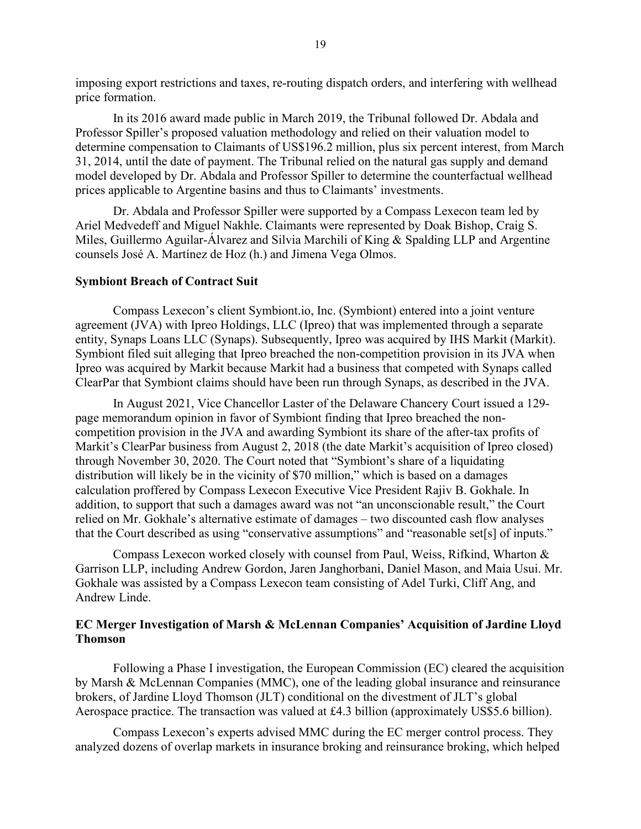imposing export restrictions and taxes, re-routing dispatch orders, and interfering with wellhead price formation.

In its 2016 award made public in March 2019, the Tribunal followed Dr. Abdala and Professor Spiller's proposed valuation methodology and relied on their valuation model to determine compensation to Claimants of US\$196.2 million, plus six percent interest, from March 31, 2014, until the date of payment. The Tribunal relied on the natural gas supply and demand model developed by Dr. Abdala and Professor Spiller to determine the counterfactual wellhead prices applicable to Argentine basins and thus to Claimants' investments.

Dr. Abdala and Professor Spiller were supported by a Compass Lexecon team led by Ariel Medvedeff and Miguel Nakhle. Claimants were represented by Doak Bishop, Craig S. Miles, Guillermo Aguilar-Álvarez and Silvia Marchili of King & Spalding LLP and Argentine counsels José A. Martínez de Hoz (h.) and Jimena Vega Olmos.

### <span id="page-18-0"></span>**Symbiont Breach of Contract Suit**

Compass Lexecon's client Symbiont.io, Inc. (Symbiont) entered into a joint venture agreement (JVA) with Ipreo Holdings, LLC (Ipreo) that was implemented through a separate entity, Synaps Loans LLC (Synaps). Subsequently, Ipreo was acquired by IHS Markit (Markit). Symbiont filed suit alleging that Ipreo breached the non-competition provision in its JVA when Ipreo was acquired by Markit because Markit had a business that competed with Synaps called ClearPar that Symbiont claims should have been run through Synaps, as described in the JVA.

In August 2021, Vice Chancellor Laster of the Delaware Chancery Court issued a 129 page memorandum opinion in favor of Symbiont finding that Ipreo breached the noncompetition provision in the JVA and awarding Symbiont its share of the after-tax profits of Markit's ClearPar business from August 2, 2018 (the date Markit's acquisition of Ipreo closed) through November 30, 2020. The Court noted that "Symbiont's share of a liquidating distribution will likely be in the vicinity of \$70 million," which is based on a damages calculation proffered by Compass Lexecon Executive Vice President Rajiv B. Gokhale. In addition, to support that such a damages award was not "an unconscionable result," the Court relied on Mr. Gokhale's alternative estimate of damages – two discounted cash flow analyses that the Court described as using "conservative assumptions" and "reasonable set[s] of inputs."

Compass Lexecon worked closely with counsel from Paul, Weiss, Rifkind, Wharton & Garrison LLP, including Andrew Gordon, Jaren Janghorbani, Daniel Mason, and Maia Usui. Mr. Gokhale was assisted by a Compass Lexecon team consisting of Adel Turki, Cliff Ang, and Andrew Linde.

# <span id="page-18-1"></span>**EC Merger Investigation of Marsh & McLennan Companies' Acquisition of Jardine Lloyd Thomson**

Following a Phase I investigation, the European Commission (EC) cleared the acquisition by Marsh & McLennan Companies (MMC), one of the leading global insurance and reinsurance brokers, of Jardine Lloyd Thomson (JLT) conditional on the divestment of JLT's global Aerospace practice. The transaction was valued at £4.3 billion (approximately US\$5.6 billion).

Compass Lexecon's experts advised MMC during the EC merger control process. They analyzed dozens of overlap markets in insurance broking and reinsurance broking, which helped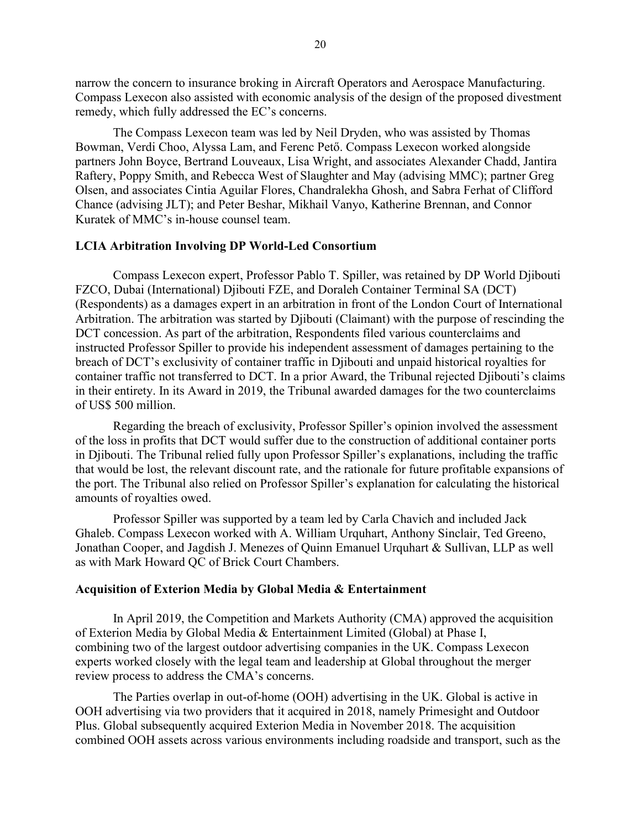narrow the concern to insurance broking in Aircraft Operators and Aerospace Manufacturing. Compass Lexecon also assisted with economic analysis of the design of the proposed divestment remedy, which fully addressed the EC's concerns.

The Compass Lexecon team was led by Neil Dryden, who was assisted by Thomas Bowman, Verdi Choo, Alyssa Lam, and Ferenc Pető. Compass Lexecon worked alongside partners John Boyce, Bertrand Louveaux, Lisa Wright, and associates Alexander Chadd, Jantira Raftery, Poppy Smith, and Rebecca West of Slaughter and May (advising MMC); partner Greg Olsen, and associates Cintia Aguilar Flores, Chandralekha Ghosh, and Sabra Ferhat of Clifford Chance (advising JLT); and Peter Beshar, Mikhail Vanyo, Katherine Brennan, and Connor Kuratek of MMC's in-house counsel team.

#### <span id="page-19-0"></span>**LCIA Arbitration Involving DP World-Led Consortium**

Compass Lexecon expert, Professor Pablo T. Spiller, was retained by DP World Djibouti FZCO, Dubai (International) Djibouti FZE, and Doraleh Container Terminal SA (DCT) (Respondents) as a damages expert in an arbitration in front of the London Court of International Arbitration. The arbitration was started by Djibouti (Claimant) with the purpose of rescinding the DCT concession. As part of the arbitration, Respondents filed various counterclaims and instructed Professor Spiller to provide his independent assessment of damages pertaining to the breach of DCT's exclusivity of container traffic in Djibouti and unpaid historical royalties for container traffic not transferred to DCT. In a prior Award, the Tribunal rejected Djibouti's claims in their entirety. In its Award in 2019, the Tribunal awarded damages for the two counterclaims of US\$ 500 million.

Regarding the breach of exclusivity, Professor Spiller's opinion involved the assessment of the loss in profits that DCT would suffer due to the construction of additional container ports in Djibouti. The Tribunal relied fully upon Professor Spiller's explanations, including the traffic that would be lost, the relevant discount rate, and the rationale for future profitable expansions of the port. The Tribunal also relied on Professor Spiller's explanation for calculating the historical amounts of royalties owed.

Professor Spiller was supported by a team led by Carla Chavich and included Jack Ghaleb. Compass Lexecon worked with A. William Urquhart, Anthony Sinclair, Ted Greeno, Jonathan Cooper, and Jagdish J. Menezes of Quinn Emanuel Urquhart & Sullivan, LLP as well as with Mark Howard QC of Brick Court Chambers.

### <span id="page-19-1"></span>**Acquisition of Exterion Media by Global Media & Entertainment**

In April 2019, the Competition and Markets Authority (CMA) approved the acquisition of Exterion Media by Global Media & Entertainment Limited (Global) at Phase I, combining two of the largest outdoor advertising companies in the UK. Compass Lexecon experts worked closely with the legal team and leadership at Global throughout the merger review process to address the CMA's concerns.

The Parties overlap in out-of-home (OOH) advertising in the UK. Global is active in OOH advertising via two providers that it acquired in 2018, namely Primesight and Outdoor Plus. Global subsequently acquired Exterion Media in November 2018. The acquisition combined OOH assets across various environments including roadside and transport, such as the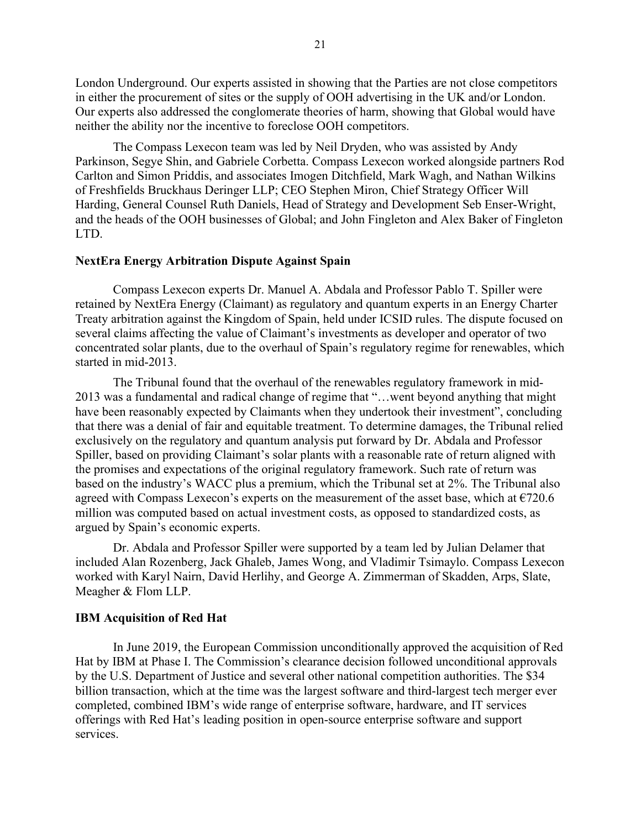London Underground. Our experts assisted in showing that the Parties are not close competitors in either the procurement of sites or the supply of OOH advertising in the UK and/or London. Our experts also addressed the conglomerate theories of harm, showing that Global would have neither the ability nor the incentive to foreclose OOH competitors.

The Compass Lexecon team was led by [Neil Dryden,](https://www.compasslexecon.com/professionals/neil-dryden/) who was assisted by [Andy](https://www.compasslexecon.com/professionals/andy-parkinson/)  [Parkinson,](https://www.compasslexecon.com/professionals/andy-parkinson/) [Segye Shin,](https://www.compasslexecon.com/professionals/segye-shin/) and Gabriele Corbetta. Compass Lexecon worked alongside partners Rod Carlton and Simon Priddis, and associates Imogen Ditchfield, Mark Wagh, and Nathan Wilkins of Freshfields Bruckhaus Deringer LLP; CEO Stephen Miron, Chief Strategy Officer Will Harding, General Counsel Ruth Daniels, Head of Strategy and Development Seb Enser-Wright, and the heads of the OOH businesses of Global; and John Fingleton and Alex Baker of Fingleton LTD.

### <span id="page-20-0"></span>**NextEra Energy Arbitration Dispute Against Spain**

Compass Lexecon experts Dr. Manuel A. Abdala and Professor Pablo T. Spiller were retained by NextEra Energy (Claimant) as regulatory and quantum experts in an Energy Charter Treaty arbitration against the Kingdom of Spain, held under ICSID rules. The dispute focused on several claims affecting the value of Claimant's investments as developer and operator of two concentrated solar plants, due to the overhaul of Spain's regulatory regime for renewables, which started in mid-2013.

The Tribunal found that the overhaul of the renewables regulatory framework in mid-2013 was a fundamental and radical change of regime that "…went beyond anything that might have been reasonably expected by Claimants when they undertook their investment", concluding that there was a denial of fair and equitable treatment. To determine damages, the Tribunal relied exclusively on the regulatory and quantum analysis put forward by Dr. Abdala and Professor Spiller, based on providing Claimant's solar plants with a reasonable rate of return aligned with the promises and expectations of the original regulatory framework. Such rate of return was based on the industry's WACC plus a premium, which the Tribunal set at 2%. The Tribunal also agreed with Compass Lexecon's experts on the measurement of the asset base, which at  $\epsilon$ 720.6 million was computed based on actual investment costs, as opposed to standardized costs, as argued by Spain's economic experts.

Dr. Abdala and Professor Spiller were supported by a team led by Julian Delamer that included Alan Rozenberg, Jack Ghaleb, James Wong, and Vladimir Tsimaylo. Compass Lexecon worked with Karyl Nairn, David Herlihy, and George A. Zimmerman of Skadden, Arps, Slate, Meagher & Flom LLP.

#### <span id="page-20-1"></span>**IBM Acquisition of Red Hat**

In June 2019, the European Commission [unconditionally approved](http://europa.eu/rapid/press-release_IP-19-3433_en.htm) the acquisition of Red Hat by IBM at Phase I. The Commission's clearance decision followed unconditional approvals by the U.S. Department of Justice and several other national competition authorities. The \$34 billion transaction, which at the time was the largest software and third-largest tech merger ever completed, combined IBM's wide range of enterprise software, hardware, and IT services offerings with Red Hat's leading position in open-source enterprise software and support services.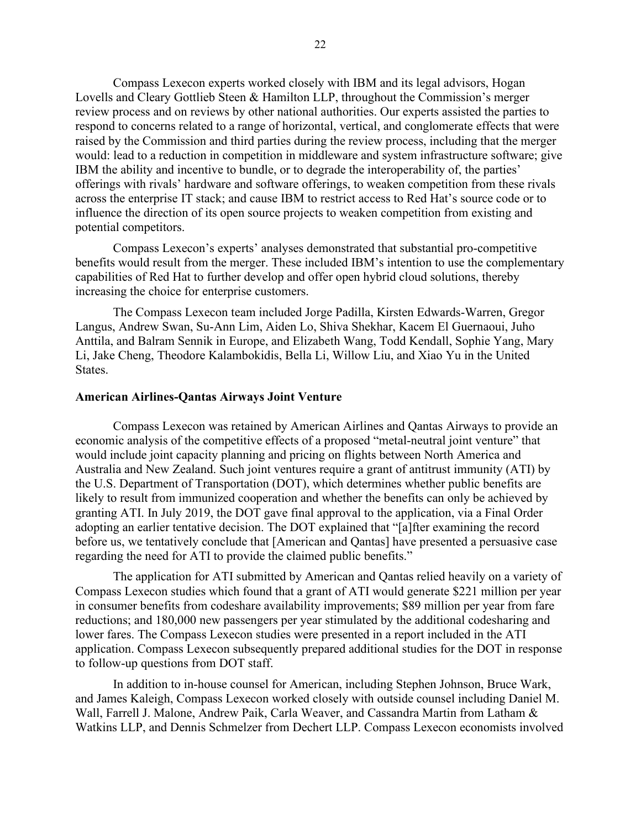Compass Lexecon experts worked closely with IBM and its legal advisors, Hogan Lovells and Cleary Gottlieb Steen & Hamilton LLP, throughout the Commission's merger review process and on reviews by other national authorities. Our experts assisted the parties to respond to concerns related to a range of horizontal, vertical, and conglomerate effects that were raised by the Commission and third parties during the review process, including that the merger would: lead to a reduction in competition in middleware and system infrastructure software; give IBM the ability and incentive to bundle, or to degrade the interoperability of, the parties' offerings with rivals' hardware and software offerings, to weaken competition from these rivals across the enterprise IT stack; and cause IBM to restrict access to Red Hat's source code or to influence the direction of its open source projects to weaken competition from existing and potential competitors.

Compass Lexecon's experts' analyses demonstrated that substantial pro-competitive benefits would result from the merger. These included IBM's intention to use the complementary capabilities of Red Hat to further develop and offer open hybrid cloud solutions, thereby increasing the choice for enterprise customers.

The Compass Lexecon team included [Jorge Padilla,](https://www.compasslexecon.com/professionals/jorge-padilla/) [Kirsten Edwards-Warren,](https://www.compasslexecon.com/professionals/kirsten-edwards-warren/) [Gregor](https://www.compasslexecon.com/professionals/gregor-langus/)  [Langus,](https://www.compasslexecon.com/professionals/gregor-langus/) [Andrew Swan,](https://www.compasslexecon.com/professionals/andrew-swan/) [Su-Ann Lim,](https://www.compasslexecon.com/professionals/su-ann-lim/) Aiden Lo, [Shiva Shekhar,](https://www.compasslexecon.com/professionals/shiva-shekhar/) Kacem El Guernaoui, Juho Anttila, and Balram Sennik in Europe, and [Elizabeth Wang,](https://www.compasslexecon.com/professionals/elizabeth-xiao-ru-wang/) [Todd Kendall,](https://www.compasslexecon.com/professionals/todd-d-kendall/) [Sophie Yang,](https://www.compasslexecon.com/professionals/sophie-yang/) [Mary](https://www.compasslexecon.com/professionals/mary-j-li/)  [Li,](https://www.compasslexecon.com/professionals/mary-j-li/) [Jake Cheng,](https://www.compasslexecon.com/professionals/jake-cheng/) Theodore Kalambokidis, Bella Li, Willow Liu, and Xiao Yu in the United States.

### <span id="page-21-0"></span>**American Airlines-Qantas Airways Joint Venture**

Compass Lexecon was retained by American Airlines and Qantas Airways to provide an economic analysis of the competitive effects of a proposed "metal-neutral joint venture" that would include joint capacity planning and pricing on flights between North America and Australia and New Zealand. Such joint ventures require a grant of antitrust immunity (ATI) by the U.S. Department of Transportation (DOT), which determines whether public benefits are likely to result from immunized cooperation and whether the benefits can only be achieved by granting ATI. In July 2019, the DOT gave final approval to the application, via a Final Order adopting an earlier tentative decision. The DOT explained that "[a]fter examining the record before us, we tentatively conclude that [American and Qantas] have presented a persuasive case regarding the need for ATI to provide the claimed public benefits."

The application for ATI submitted by American and Qantas relied heavily on a variety of Compass Lexecon studies which found that a grant of ATI would generate \$221 million per year in consumer benefits from codeshare availability improvements; \$89 million per year from fare reductions; and 180,000 new passengers per year stimulated by the additional codesharing and lower fares. The Compass Lexecon studies were presented in a report included in the ATI application. Compass Lexecon subsequently prepared additional studies for the DOT in response to follow-up questions from DOT staff.

In addition to in-house counsel for American, including Stephen Johnson, Bruce Wark, and James Kaleigh, Compass Lexecon worked closely with outside counsel including Daniel M. Wall, Farrell J. Malone, Andrew Paik, Carla Weaver, and Cassandra Martin from Latham & Watkins LLP, and Dennis Schmelzer from Dechert LLP. Compass Lexecon economists involved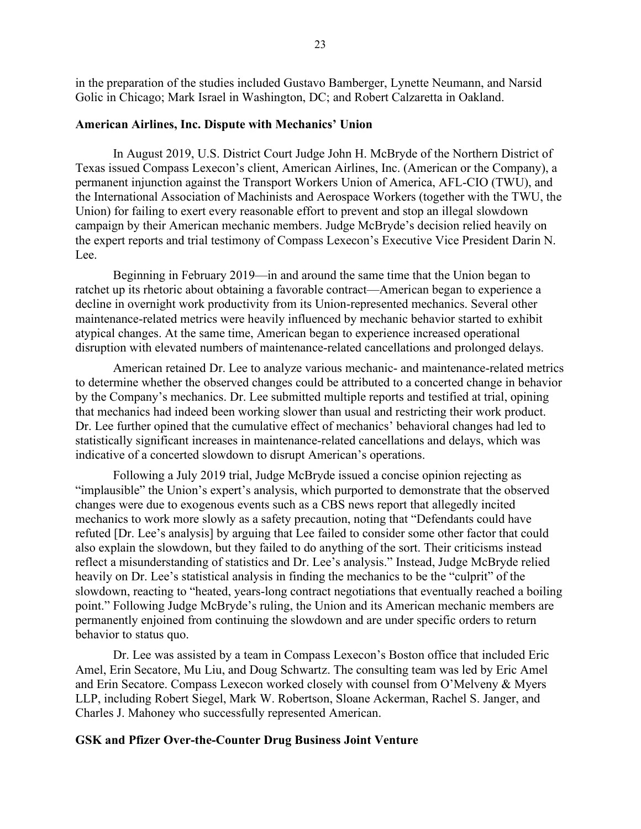in the preparation of the studies included Gustavo Bamberger, Lynette Neumann, and Narsid Golic in Chicago; Mark Israel in Washington, DC; and Robert Calzaretta in Oakland.

#### <span id="page-22-0"></span>**American Airlines, Inc. Dispute with Mechanics' Union**

In August 2019, U.S. District Court Judge John H. McBryde of the Northern District of Texas issued Compass Lexecon's client, American Airlines, Inc. (American or the Company), a permanent injunction against the Transport Workers Union of America, AFL-CIO (TWU), and the International Association of Machinists and Aerospace Workers (together with the TWU, the Union) for failing to exert every reasonable effort to prevent and stop an illegal slowdown campaign by their American mechanic members. Judge McBryde's decision relied heavily on the expert reports and trial testimony of Compass Lexecon's Executive Vice President Darin N. Lee.

Beginning in February 2019—in and around the same time that the Union began to ratchet up its rhetoric about obtaining a favorable contract—American began to experience a decline in overnight work productivity from its Union-represented mechanics. Several other maintenance-related metrics were heavily influenced by mechanic behavior started to exhibit atypical changes. At the same time, American began to experience increased operational disruption with elevated numbers of maintenance-related cancellations and prolonged delays.

American retained Dr. Lee to analyze various mechanic- and maintenance-related metrics to determine whether the observed changes could be attributed to a concerted change in behavior by the Company's mechanics. Dr. Lee submitted multiple reports and testified at trial, opining that mechanics had indeed been working slower than usual and restricting their work product. Dr. Lee further opined that the cumulative effect of mechanics' behavioral changes had led to statistically significant increases in maintenance-related cancellations and delays, which was indicative of a concerted slowdown to disrupt American's operations.

Following a July 2019 trial, Judge McBryde issued a concise opinion rejecting as "implausible" the Union's expert's analysis, which purported to demonstrate that the observed changes were due to exogenous events such as a CBS news report that allegedly incited mechanics to work more slowly as a safety precaution, noting that "Defendants could have refuted [Dr. Lee's analysis] by arguing that Lee failed to consider some other factor that could also explain the slowdown, but they failed to do anything of the sort. Their criticisms instead reflect a misunderstanding of statistics and Dr. Lee's analysis." Instead, Judge McBryde relied heavily on Dr. Lee's statistical analysis in finding the mechanics to be the "culprit" of the slowdown, reacting to "heated, years-long contract negotiations that eventually reached a boiling point." Following Judge McBryde's ruling, the Union and its American mechanic members are permanently enjoined from continuing the slowdown and are under specific orders to return behavior to status quo.

Dr. Lee was assisted by a team in Compass Lexecon's Boston office that included Eric Amel, Erin Secatore, Mu Liu, and Doug Schwartz. The consulting team was led by Eric Amel and Erin Secatore. Compass Lexecon worked closely with counsel from O'Melveny & Myers LLP, including Robert Siegel, Mark W. Robertson, Sloane Ackerman, Rachel S. Janger, and Charles J. Mahoney who successfully represented American.

#### <span id="page-22-1"></span>**GSK and Pfizer Over-the-Counter Drug Business Joint Venture**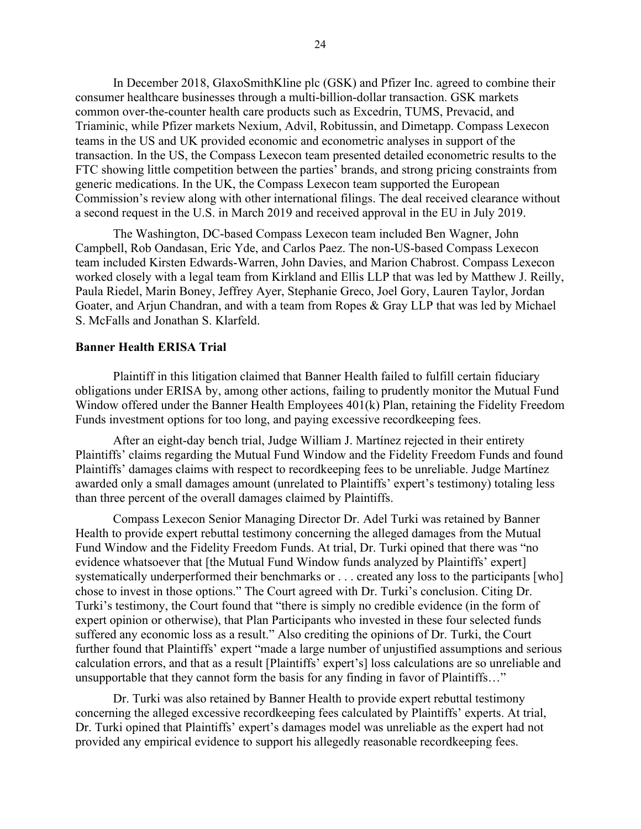In December 2018, GlaxoSmithKline plc (GSK) and Pfizer Inc. agreed to combine their consumer healthcare businesses through a multi-billion-dollar transaction. GSK markets common over-the-counter health care products such as Excedrin, TUMS, Prevacid, and Triaminic, while Pfizer markets Nexium, Advil, Robitussin, and Dimetapp. Compass Lexecon teams in the US and UK provided economic and econometric analyses in support of the transaction. In the US, the Compass Lexecon team presented detailed econometric results to the FTC showing little competition between the parties' brands, and strong pricing constraints from generic medications. In the UK, the Compass Lexecon team supported the European Commission's review along with other international filings. The deal received clearance without a second request in the U.S. in March 2019 and received approval in the EU in July 2019.

The Washington, DC-based Compass Lexecon team included Ben Wagner, John Campbell, Rob Oandasan, Eric Yde, and Carlos Paez. The non-US-based Compass Lexecon team included Kirsten Edwards-Warren, John Davies, and Marion Chabrost. Compass Lexecon worked closely with a legal team from Kirkland and Ellis LLP that was led by Matthew J. Reilly, Paula Riedel, Marin Boney, Jeffrey Ayer, Stephanie Greco, Joel Gory, Lauren Taylor, Jordan Goater, and Arjun Chandran, and with a team from Ropes & Gray LLP that was led by Michael S. McFalls and Jonathan S. Klarfeld.

### <span id="page-23-0"></span>**Banner Health ERISA Trial**

Plaintiff in this litigation claimed that Banner Health failed to fulfill certain fiduciary obligations under ERISA by, among other actions, failing to prudently monitor the Mutual Fund Window offered under the Banner Health Employees 401(k) Plan, retaining the Fidelity Freedom Funds investment options for too long, and paying excessive recordkeeping fees.

After an eight-day bench trial, Judge William J. Martínez rejected in their entirety Plaintiffs' claims regarding the Mutual Fund Window and the Fidelity Freedom Funds and found Plaintiffs' damages claims with respect to recordkeeping fees to be unreliable. Judge Martínez awarded only a small damages amount (unrelated to Plaintiffs' expert's testimony) totaling less than three percent of the overall damages claimed by Plaintiffs.

Compass Lexecon Senior Managing Director Dr. Adel Turki was retained by Banner Health to provide expert rebuttal testimony concerning the alleged damages from the Mutual Fund Window and the Fidelity Freedom Funds. At trial, Dr. Turki opined that there was "no evidence whatsoever that [the Mutual Fund Window funds analyzed by Plaintiffs' expert] systematically underperformed their benchmarks or . . . created any loss to the participants [who] chose to invest in those options." The Court agreed with Dr. Turki's conclusion. Citing Dr. Turki's testimony, the Court found that "there is simply no credible evidence (in the form of expert opinion or otherwise), that Plan Participants who invested in these four selected funds suffered any economic loss as a result." Also crediting the opinions of Dr. Turki, the Court further found that Plaintiffs' expert "made a large number of unjustified assumptions and serious calculation errors, and that as a result [Plaintiffs' expert's] loss calculations are so unreliable and unsupportable that they cannot form the basis for any finding in favor of Plaintiffs…"

Dr. Turki was also retained by Banner Health to provide expert rebuttal testimony concerning the alleged excessive recordkeeping fees calculated by Plaintiffs' experts. At trial, Dr. Turki opined that Plaintiffs' expert's damages model was unreliable as the expert had not provided any empirical evidence to support his allegedly reasonable recordkeeping fees.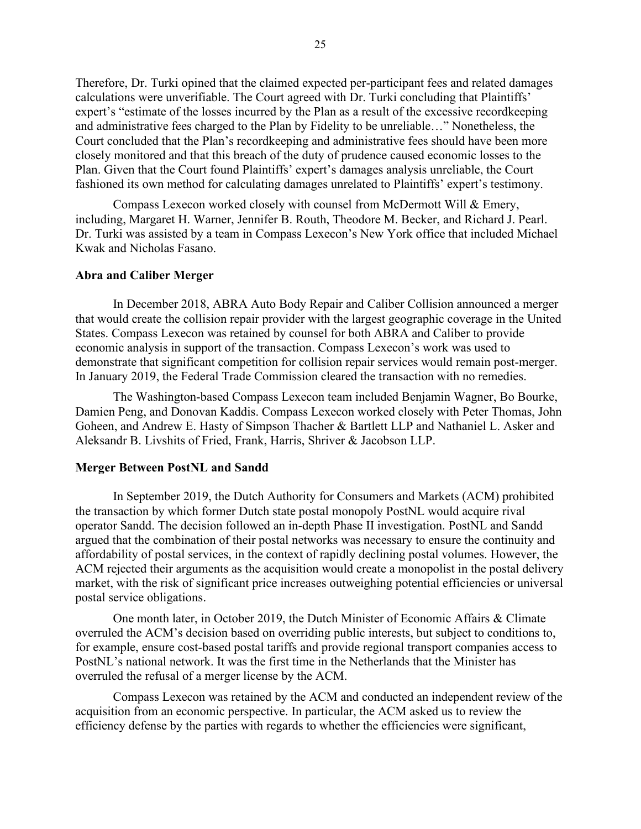Therefore, Dr. Turki opined that the claimed expected per-participant fees and related damages calculations were unverifiable. The Court agreed with Dr. Turki concluding that Plaintiffs' expert's "estimate of the losses incurred by the Plan as a result of the excessive recordkeeping and administrative fees charged to the Plan by Fidelity to be unreliable…" Nonetheless, the Court concluded that the Plan's recordkeeping and administrative fees should have been more closely monitored and that this breach of the duty of prudence caused economic losses to the Plan. Given that the Court found Plaintiffs' expert's damages analysis unreliable, the Court fashioned its own method for calculating damages unrelated to Plaintiffs' expert's testimony.

Compass Lexecon worked closely with counsel from McDermott Will & Emery, including, Margaret H. Warner, Jennifer B. Routh, Theodore M. Becker, and Richard J. Pearl. Dr. Turki was assisted by a team in Compass Lexecon's New York office that included Michael Kwak and Nicholas Fasano.

## <span id="page-24-0"></span>**Abra and Caliber Merger**

In December 2018, ABRA Auto Body Repair and Caliber Collision announced a merger that would create the collision repair provider with the largest geographic coverage in the United States. Compass Lexecon was retained by counsel for both ABRA and Caliber to provide economic analysis in support of the transaction. Compass Lexecon's work was used to demonstrate that significant competition for collision repair services would remain post-merger. In January 2019, the Federal Trade Commission cleared the transaction with no remedies.

The Washington-based Compass Lexecon team included Benjamin Wagner, Bo Bourke, Damien Peng, and Donovan Kaddis. Compass Lexecon worked closely with Peter Thomas, John Goheen, and Andrew E. Hasty of Simpson Thacher & Bartlett LLP and Nathaniel L. Asker and Aleksandr B. Livshits of Fried, Frank, Harris, Shriver & Jacobson LLP.

#### <span id="page-24-1"></span>**Merger Between PostNL and Sandd**

In September 2019, the Dutch Authority for Consumers and Markets (ACM) prohibited the transaction by which former Dutch state postal monopoly PostNL would acquire rival operator Sandd. The decision followed an in-depth Phase II investigation. PostNL and Sandd argued that the combination of their postal networks was necessary to ensure the continuity and affordability of postal services, in the context of rapidly declining postal volumes. However, the ACM rejected their arguments as the acquisition would create a monopolist in the postal delivery market, with the risk of significant price increases outweighing potential efficiencies or universal postal service obligations.

One month later, in October 2019, the Dutch Minister of Economic Affairs & Climate overruled the ACM's decision based on overriding public interests, but subject to conditions to, for example, ensure cost-based postal tariffs and provide regional transport companies access to PostNL's national network. It was the first time in the Netherlands that the Minister has overruled the refusal of a merger license by the ACM.

Compass Lexecon was retained by the ACM and conducted an independent review of the acquisition from an economic perspective. In particular, the ACM asked us to review the efficiency defense by the parties with regards to whether the efficiencies were significant,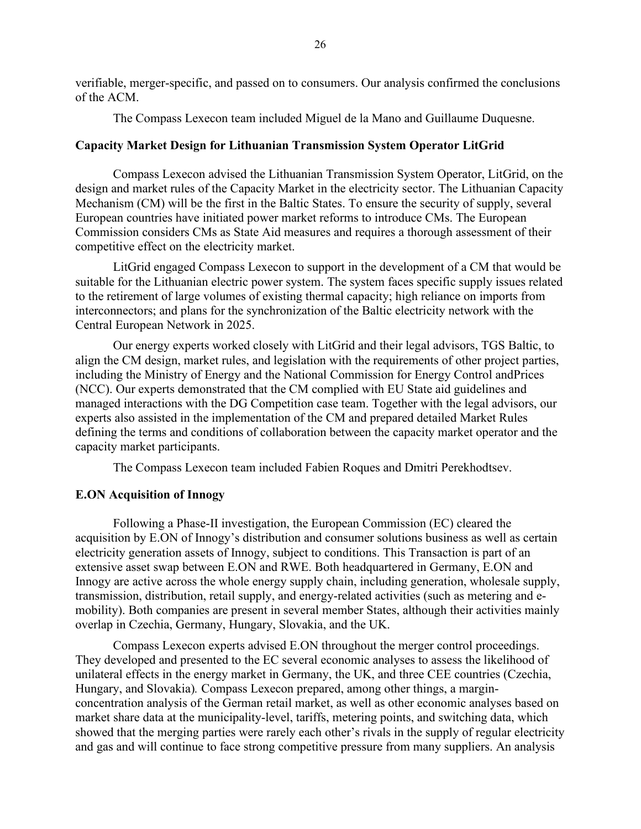verifiable, merger-specific, and passed on to consumers. Our analysis confirmed the conclusions of the ACM.

The Compass Lexecon team included Miguel de la Mano and Guillaume Duquesne.

### <span id="page-25-0"></span>**Capacity Market Design for Lithuanian Transmission System Operator LitGrid**

Compass Lexecon advised the Lithuanian Transmission System Operator, LitGrid, on the design and market rules of the Capacity Market in the electricity sector. The Lithuanian Capacity Mechanism (CM) will be the first in the Baltic States. To ensure the security of supply, several European countries have initiated power market reforms to introduce CMs. The European Commission considers CMs as State Aid measures and requires a thorough assessment of their competitive effect on the electricity market.

LitGrid engaged Compass Lexecon to support in the development of a CM that would be suitable for the Lithuanian electric power system. The system faces specific supply issues related to the retirement of large volumes of existing thermal capacity; high reliance on imports from interconnectors; and plans for the synchronization of the Baltic electricity network with the Central European Network in 2025.

Our energy experts worked closely with LitGrid and their legal advisors, TGS Baltic, to align the CM design, market rules, and legislation with the requirements of other project parties, including the Ministry of Energy and the National Commission for Energy Control andPrices (NCC). Our experts demonstrated that the CM complied with EU State aid guidelines and managed interactions with the DG Competition case team. Together with the legal advisors, our experts also assisted in the implementation of the CM and prepared detailed Market Rules defining the terms and conditions of collaboration between the capacity market operator and the capacity market participants.

The Compass Lexecon team included [Fabien Roques](https://www.compasslexecon.com/professionals/fabien-roques/) and [Dmitri Perekhodtsev.](https://www.compasslexecon.com/professionals/dmitri-perekhodtsev/)

# <span id="page-25-1"></span>**E.ON Acquisition of Innogy**

Following a Phase-II investigation, the European Commission (EC) cleared the acquisition by E.ON of Innogy's distribution and consumer solutions business as well as certain electricity generation assets of Innogy, subject to conditions. This Transaction is part of an extensive asset swap between E.ON and RWE. Both headquartered in Germany, E.ON and Innogy are active across the whole energy supply chain, including generation, wholesale supply, transmission, distribution, retail supply, and energy-related activities (such as metering and emobility). Both companies are present in several member States, although their activities mainly overlap in Czechia, Germany, Hungary, Slovakia, and the UK.

Compass Lexecon experts advised E.ON throughout the merger control proceedings. They developed and presented to the EC several economic analyses to assess the likelihood of unilateral effects in the energy market in Germany, the UK, and three CEE countries (Czechia, Hungary, and Slovakia)*.* Compass Lexecon prepared, among other things, a marginconcentration analysis of the German retail market, as well as other economic analyses based on market share data at the municipality-level, tariffs, metering points, and switching data, which showed that the merging parties were rarely each other's rivals in the supply of regular electricity and gas and will continue to face strong competitive pressure from many suppliers. An analysis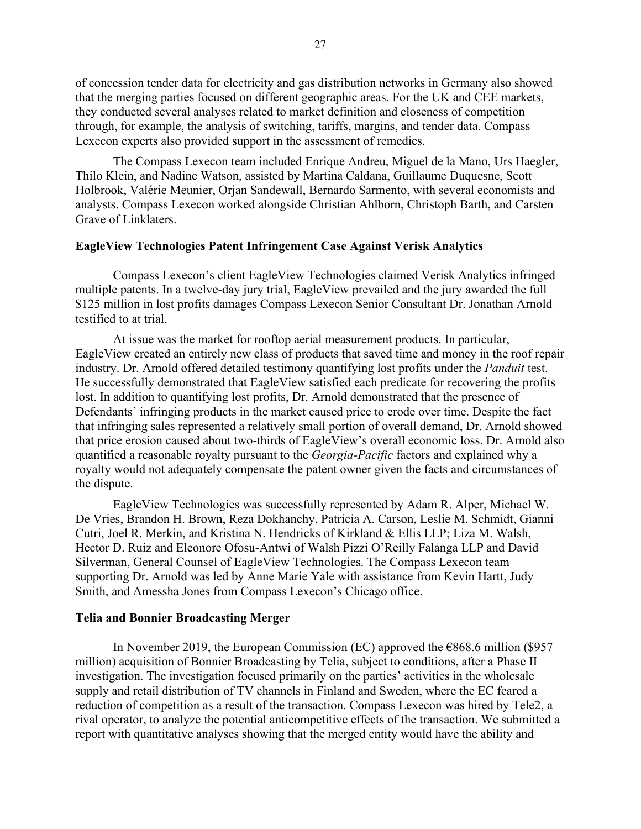of concession tender data for electricity and gas distribution networks in Germany also showed that the merging parties focused on different geographic areas. For the UK and CEE markets, they conducted several analyses related to market definition and closeness of competition through, for example, the analysis of switching, tariffs, margins, and tender data. Compass Lexecon experts also provided support in the assessment of remedies.

The Compass Lexecon team included Enrique Andreu, Miguel de la Mano, Urs Haegler, Thilo Klein, and Nadine Watson, assisted by Martina Caldana, Guillaume Duquesne, Scott Holbrook, Valérie Meunier, Orjan Sandewall, Bernardo Sarmento, with several economists and analysts. Compass Lexecon worked alongside Christian Ahlborn, Christoph Barth, and Carsten Grave of Linklaters.

#### <span id="page-26-0"></span>**EagleView Technologies Patent Infringement Case Against Verisk Analytics**

Compass Lexecon's client EagleView Technologies claimed Verisk Analytics infringed multiple patents. In a twelve-day jury trial, EagleView prevailed and the jury awarded the full \$125 million in lost profits damages Compass Lexecon Senior Consultant Dr. Jonathan Arnold testified to at trial.

At issue was the market for rooftop aerial measurement products. In particular, EagleView created an entirely new class of products that saved time and money in the roof repair industry. Dr. Arnold offered detailed testimony quantifying lost profits under the *Panduit* test. He successfully demonstrated that EagleView satisfied each predicate for recovering the profits lost. In addition to quantifying lost profits, Dr. Arnold demonstrated that the presence of Defendants' infringing products in the market caused price to erode over time. Despite the fact that infringing sales represented a relatively small portion of overall demand, Dr. Arnold showed that price erosion caused about two-thirds of EagleView's overall economic loss. Dr. Arnold also quantified a reasonable royalty pursuant to the *Georgia-Pacific* factors and explained why a royalty would not adequately compensate the patent owner given the facts and circumstances of the dispute.

EagleView Technologies was successfully represented by Adam R. Alper, Michael W. De Vries, Brandon H. Brown, Reza Dokhanchy, Patricia A. Carson, Leslie M. Schmidt, Gianni Cutri, Joel R. Merkin, and Kristina N. Hendricks of Kirkland & Ellis LLP; Liza M. Walsh, Hector D. Ruiz and Eleonore Ofosu-Antwi of Walsh Pizzi O'Reilly Falanga LLP and David Silverman, General Counsel of EagleView Technologies. The Compass Lexecon team supporting Dr. Arnold was led by Anne Marie Yale with assistance from Kevin Hartt, Judy Smith, and Amessha Jones from Compass Lexecon's Chicago office.

#### <span id="page-26-1"></span>**Telia and Bonnier Broadcasting Merger**

In November 2019, the European Commission (EC) approved the  $E868.6$  million (\$957 million) acquisition of Bonnier Broadcasting by Telia, subject to conditions, after a Phase II investigation. The investigation focused primarily on the parties' activities in the wholesale supply and retail distribution of TV channels in Finland and Sweden, where the EC feared a reduction of competition as a result of the transaction. Compass Lexecon was hired by Tele2, a rival operator, to analyze the potential anticompetitive effects of the transaction. We submitted a report with quantitative analyses showing that the merged entity would have the ability and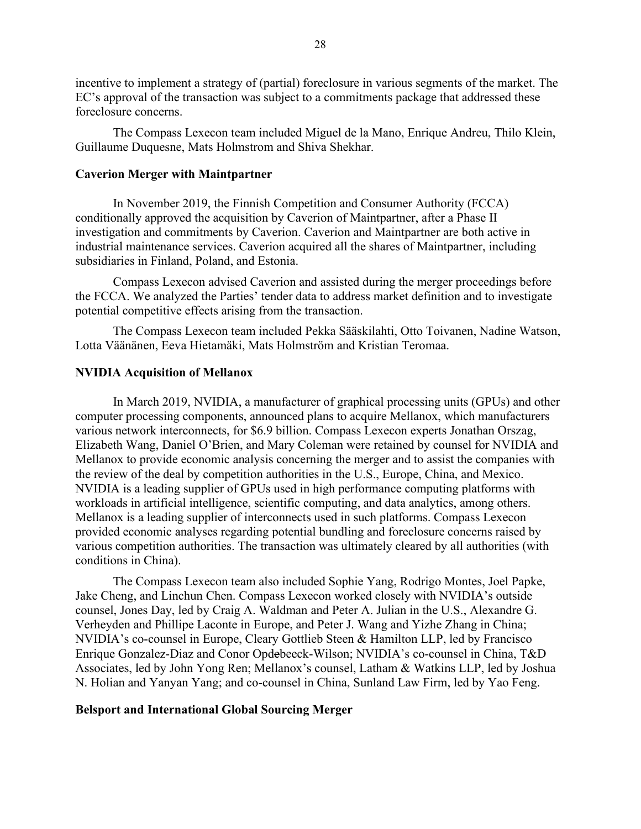incentive to implement a strategy of (partial) foreclosure in various segments of the market. The EC's approval of the transaction was subject to a commitments package that addressed these foreclosure concerns.

The Compass Lexecon team included Miguel de la Mano, Enrique Andreu, Thilo Klein, Guillaume Duquesne, Mats Holmstrom and Shiva Shekhar.

### <span id="page-27-0"></span>**Caverion Merger with Maintpartner**

In November 2019, the Finnish Competition and Consumer Authority (FCCA) conditionally approved the acquisition by Caverion of Maintpartner, after a Phase II investigation and commitments by Caverion. Caverion and Maintpartner are both active in industrial maintenance services. Caverion acquired all the shares of Maintpartner, including subsidiaries in Finland, Poland, and Estonia.

Compass Lexecon advised Caverion and assisted during the merger proceedings before the FCCA. We analyzed the Parties' tender data to address market definition and to investigate potential competitive effects arising from the transaction.

The Compass Lexecon team included Pekka Sääskilahti, Otto Toivanen, Nadine Watson, Lotta Väänänen, Eeva Hietamäki, Mats Holmström and Kristian Teromaa.

### <span id="page-27-1"></span>**NVIDIA Acquisition of Mellanox**

In March 2019, NVIDIA, a manufacturer of graphical processing units (GPUs) and other computer processing components, announced plans to acquire Mellanox, which manufacturers various network interconnects, for \$6.9 billion. Compass Lexecon experts Jonathan Orszag, Elizabeth Wang, Daniel O'Brien, and Mary Coleman were retained by counsel for NVIDIA and Mellanox to provide economic analysis concerning the merger and to assist the companies with the review of the deal by competition authorities in the U.S., Europe, China, and Mexico. NVIDIA is a leading supplier of GPUs used in high performance computing platforms with workloads in artificial intelligence, scientific computing, and data analytics, among others. Mellanox is a leading supplier of interconnects used in such platforms. Compass Lexecon provided economic analyses regarding potential bundling and foreclosure concerns raised by various competition authorities. The transaction was ultimately cleared by all authorities (with conditions in China).

The Compass Lexecon team also included Sophie Yang, Rodrigo Montes, Joel Papke, Jake Cheng, and Linchun Chen. Compass Lexecon worked closely with NVIDIA's outside counsel, Jones Day, led by Craig A. Waldman and Peter A. Julian in the U.S., Alexandre G. Verheyden and Phillipe Laconte in Europe, and Peter J. Wang and Yizhe Zhang in China; NVIDIA's co-counsel in Europe, Cleary Gottlieb Steen & Hamilton LLP, led by Francisco Enrique Gonzalez-Diaz and Conor Opdebeeck-Wilson; NVIDIA's co-counsel in China, T&D Associates, led by John Yong Ren; Mellanox's counsel, Latham & Watkins LLP, led by Joshua N. Holian and Yanyan Yang; and co-counsel in China, Sunland Law Firm, led by Yao Feng.

### <span id="page-27-2"></span>**Belsport and International Global Sourcing Merger**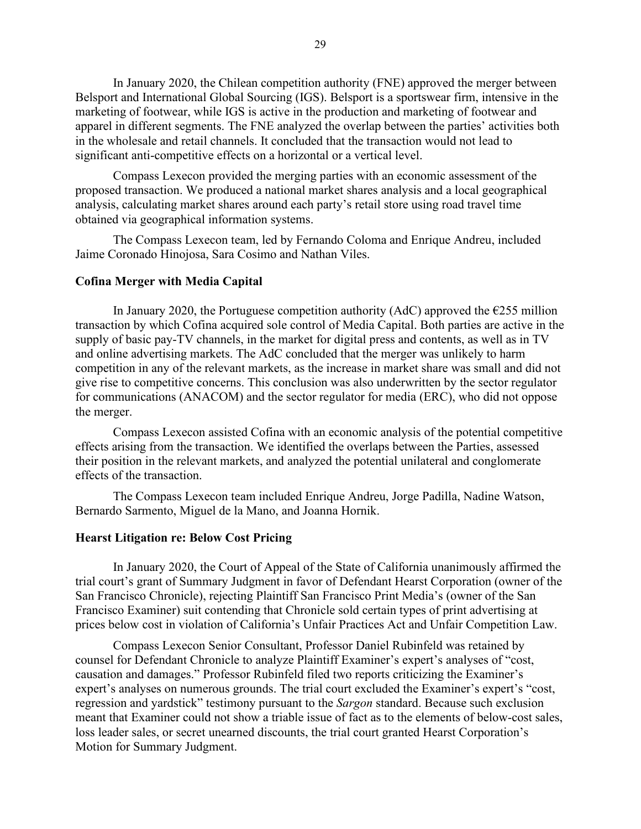In January 2020, the Chilean competition authority (FNE) approved the merger between Belsport and International Global Sourcing (IGS). Belsport is a sportswear firm, intensive in the marketing of footwear, while IGS is active in the production and marketing of footwear and apparel in different segments. The FNE analyzed the overlap between the parties' activities both in the wholesale and retail channels. It concluded that the transaction would not lead to significant anti-competitive effects on a horizontal or a vertical level.

Compass Lexecon provided the merging parties with an economic assessment of the proposed transaction. We produced a national market shares analysis and a local geographical analysis, calculating market shares around each party's retail store using road travel time obtained via geographical information systems.

The Compass Lexecon team, led by Fernando Coloma and Enrique Andreu, included Jaime Coronado Hinojosa, Sara Cosimo and Nathan Viles.

### <span id="page-28-0"></span>**Cofina Merger with Media Capital**

In January 2020, the Portuguese competition authority (AdC) approved the  $\epsilon$ 255 million transaction by which Cofina acquired sole control of Media Capital. Both parties are active in the supply of basic pay-TV channels, in the market for digital press and contents, as well as in TV and online advertising markets. The AdC concluded that the merger was unlikely to harm competition in any of the relevant markets, as the increase in market share was small and did not give rise to competitive concerns. This conclusion was also underwritten by the sector regulator for communications (ANACOM) and the sector regulator for media (ERC), who did not oppose the merger.

Compass Lexecon assisted Cofina with an economic analysis of the potential competitive effects arising from the transaction. We identified the overlaps between the Parties, assessed their position in the relevant markets, and analyzed the potential unilateral and conglomerate effects of the transaction.

The Compass Lexecon team included Enrique Andreu, Jorge Padilla, Nadine Watson, Bernardo Sarmento, Miguel de la Mano, and Joanna Hornik.

# <span id="page-28-1"></span>**Hearst Litigation re: Below Cost Pricing**

In January 2020, the Court of Appeal of the State of California unanimously affirmed the trial court's grant of Summary Judgment in favor of Defendant Hearst Corporation (owner of the San Francisco Chronicle), rejecting Plaintiff San Francisco Print Media's (owner of the San Francisco Examiner) suit contending that Chronicle sold certain types of print advertising at prices below cost in violation of California's Unfair Practices Act and Unfair Competition Law.

Compass Lexecon Senior Consultant, Professor Daniel Rubinfeld was retained by counsel for Defendant Chronicle to analyze Plaintiff Examiner's expert's analyses of "cost, causation and damages." Professor Rubinfeld filed two reports criticizing the Examiner's expert's analyses on numerous grounds. The trial court excluded the Examiner's expert's "cost, regression and yardstick" testimony pursuant to the *Sargon* standard. Because such exclusion meant that Examiner could not show a triable issue of fact as to the elements of below-cost sales, loss leader sales, or secret unearned discounts, the trial court granted Hearst Corporation's Motion for Summary Judgment.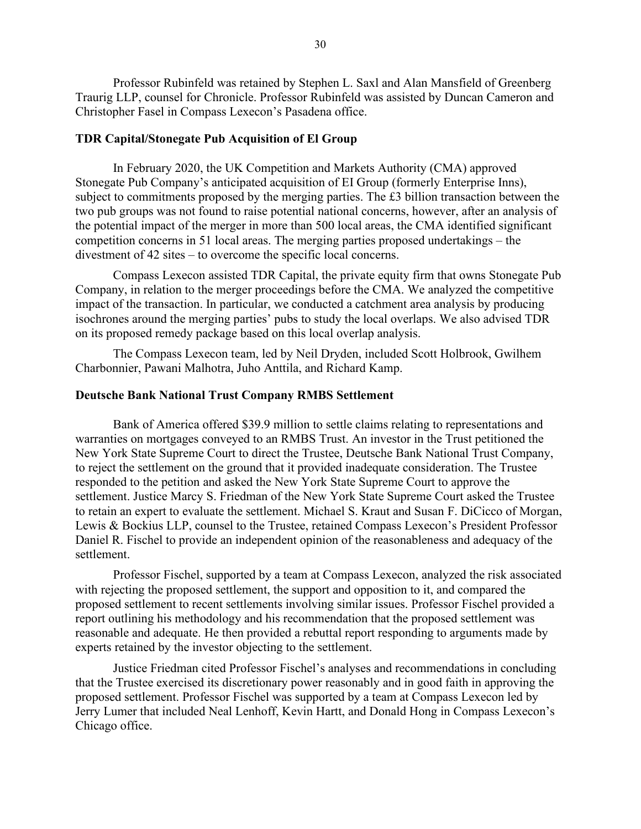Professor Rubinfeld was retained by Stephen L. Saxl and Alan Mansfield of Greenberg Traurig LLP, counsel for Chronicle. Professor Rubinfeld was assisted by Duncan Cameron and Christopher Fasel in Compass Lexecon's Pasadena office.

### <span id="page-29-0"></span>**TDR Capital/Stonegate Pub Acquisition of El Group**

In February 2020, the UK Competition and Markets Authority (CMA) approved Stonegate Pub Company's anticipated acquisition of EI Group (formerly Enterprise Inns), subject to commitments proposed by the merging parties. The £3 billion transaction between the two pub groups was not found to raise potential national concerns, however, after an analysis of the potential impact of the merger in more than 500 local areas, the CMA identified significant competition concerns in 51 local areas. The merging parties proposed undertakings – the divestment of 42 sites – to overcome the specific local concerns.

Compass Lexecon assisted TDR Capital, the private equity firm that owns Stonegate Pub Company, in relation to the merger proceedings before the CMA. We analyzed the competitive impact of the transaction. In particular, we conducted a catchment area analysis by producing isochrones around the merging parties' pubs to study the local overlaps. We also advised TDR on its proposed remedy package based on this local overlap analysis.

The Compass Lexecon team, led by Neil Dryden, included Scott Holbrook, Gwilhem Charbonnier, Pawani Malhotra, Juho Anttila, and Richard Kamp.

#### <span id="page-29-1"></span>**Deutsche Bank National Trust Company RMBS Settlement**

Bank of America offered \$39.9 million to settle claims relating to representations and warranties on mortgages conveyed to an RMBS Trust. An investor in the Trust petitioned the New York State Supreme Court to direct the Trustee, Deutsche Bank National Trust Company, to reject the settlement on the ground that it provided inadequate consideration. The Trustee responded to the petition and asked the New York State Supreme Court to approve the settlement. Justice Marcy S. Friedman of the New York State Supreme Court asked the Trustee to retain an expert to evaluate the settlement. Michael S. Kraut and Susan F. DiCicco of Morgan, Lewis & Bockius LLP, counsel to the Trustee, retained Compass Lexecon's President Professor Daniel R. Fischel to provide an independent opinion of the reasonableness and adequacy of the settlement.

Professor Fischel, supported by a team at Compass Lexecon, analyzed the risk associated with rejecting the proposed settlement, the support and opposition to it, and compared the proposed settlement to recent settlements involving similar issues. Professor Fischel provided a report outlining his methodology and his recommendation that the proposed settlement was reasonable and adequate. He then provided a rebuttal report responding to arguments made by experts retained by the investor objecting to the settlement.

Justice Friedman cited Professor Fischel's analyses and recommendations in concluding that the Trustee exercised its discretionary power reasonably and in good faith in approving the proposed settlement. Professor Fischel was supported by a team at Compass Lexecon led by Jerry Lumer that included Neal Lenhoff, Kevin Hartt, and Donald Hong in Compass Lexecon's Chicago office.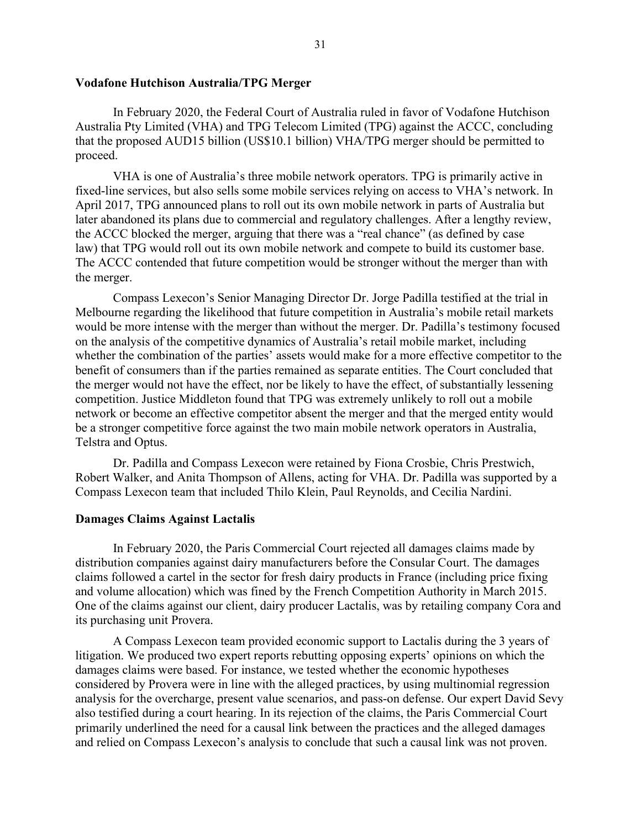# <span id="page-30-0"></span>**Vodafone Hutchison Australia/TPG Merger**

In February 2020, the Federal Court of Australia ruled in favor of Vodafone Hutchison Australia Pty Limited (VHA) and TPG Telecom Limited (TPG) against the ACCC, concluding that the proposed AUD15 billion (US\$10.1 billion) VHA/TPG merger should be permitted to proceed.

VHA is one of Australia's three mobile network operators. TPG is primarily active in fixed-line services, but also sells some mobile services relying on access to VHA's network. In April 2017, TPG announced plans to roll out its own mobile network in parts of Australia but later abandoned its plans due to commercial and regulatory challenges. After a lengthy review, the ACCC blocked the merger, arguing that there was a "real chance" (as defined by case law) that TPG would roll out its own mobile network and compete to build its customer base. The ACCC contended that future competition would be stronger without the merger than with the merger.

Compass Lexecon's Senior Managing Director [Dr. Jorge Padilla](https://www.compasslexecon.com/professionals/jorge-padilla/) testified at the trial in Melbourne regarding the likelihood that future competition in Australia's mobile retail markets would be more intense with the merger than without the merger. Dr. Padilla's testimony focused on the analysis of the competitive dynamics of Australia's retail mobile market, including whether the combination of the parties' assets would make for a more effective competitor to the benefit of consumers than if the parties remained as separate entities. The Court concluded that the merger would not have the effect, nor be likely to have the effect, of substantially lessening competition. Justice Middleton found that TPG was extremely unlikely to roll out a mobile network or become an effective competitor absent the merger and that the merged entity would be a stronger competitive force against the two main mobile network operators in Australia, Telstra and Optus.

Dr. Padilla and Compass Lexecon were retained by Fiona Crosbie, Chris Prestwich, Robert Walker, and Anita Thompson of Allens, acting for VHA. Dr. Padilla was supported by a Compass Lexecon team that included [Thilo Klein,](https://www.compasslexecon.com/professionals/thilo-klein/) [Paul Reynolds,](https://www.compasslexecon.com/professionals/paul-reynolds/) and [Cecilia Nardini.](https://www.compasslexecon.com/professionals/cecilia-nardini/)

#### <span id="page-30-1"></span>**Damages Claims Against Lactalis**

In February 2020, the Paris Commercial Court rejected all damages claims made by distribution companies against dairy manufacturers before the Consular Court. The damages claims followed a cartel in the sector for fresh dairy products in France (including price fixing and volume allocation) which was fined by the French Competition Authority in March 2015. One of the claims against our client, dairy producer Lactalis, was by retailing company Cora and its purchasing unit Provera.

A Compass Lexecon team provided economic support to Lactalis during the 3 years of litigation. We produced two expert reports rebutting opposing experts' opinions on which the damages claims were based. For instance, we tested whether the economic hypotheses considered by Provera were in line with the alleged practices, by using multinomial regression analysis for the overcharge, present value scenarios, and pass-on defense. Our expert David Sevy also testified during a court hearing. In its rejection of the claims, the Paris Commercial Court primarily underlined the need for a causal link between the practices and the alleged damages and relied on Compass Lexecon's analysis to conclude that such a causal link was not proven.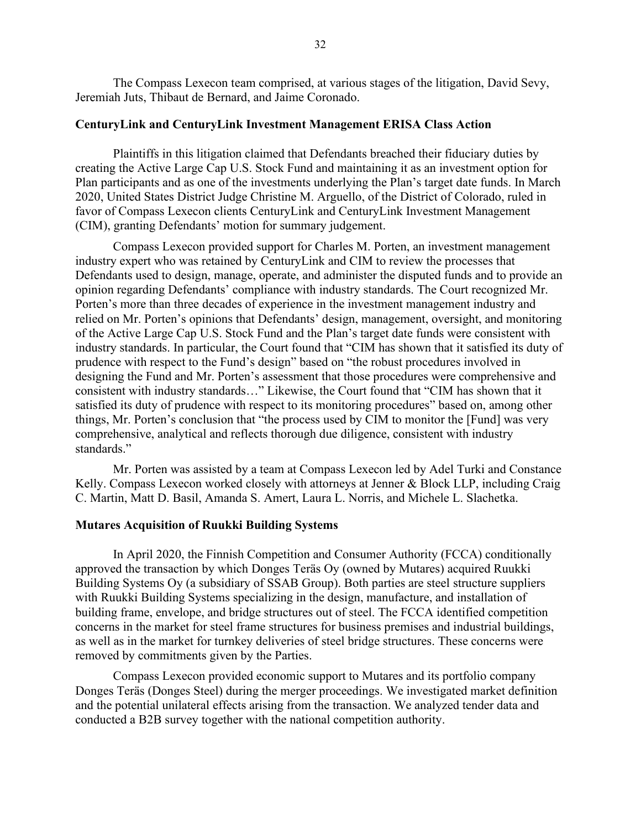The Compass Lexecon team comprised, at various stages of the litigation, David Sevy, Jeremiah Juts, Thibaut de Bernard, and Jaime Coronado.

#### <span id="page-31-0"></span>**CenturyLink and CenturyLink Investment Management ERISA Class Action**

Plaintiffs in this litigation claimed that Defendants breached their fiduciary duties by creating the Active Large Cap U.S. Stock Fund and maintaining it as an investment option for Plan participants and as one of the investments underlying the Plan's target date funds. In March 2020, United States District Judge Christine M. Arguello, of the District of Colorado, ruled in favor of Compass Lexecon clients CenturyLink and CenturyLink Investment Management (CIM), granting Defendants' motion for summary judgement.

Compass Lexecon provided support for Charles M. Porten, an investment management industry expert who was retained by CenturyLink and CIM to review the processes that Defendants used to design, manage, operate, and administer the disputed funds and to provide an opinion regarding Defendants' compliance with industry standards. The Court recognized Mr. Porten's more than three decades of experience in the investment management industry and relied on Mr. Porten's opinions that Defendants' design, management, oversight, and monitoring of the Active Large Cap U.S. Stock Fund and the Plan's target date funds were consistent with industry standards. In particular, the Court found that "CIM has shown that it satisfied its duty of prudence with respect to the Fund's design" based on "the robust procedures involved in designing the Fund and Mr. Porten's assessment that those procedures were comprehensive and consistent with industry standards…" Likewise, the Court found that "CIM has shown that it satisfied its duty of prudence with respect to its monitoring procedures" based on, among other things, Mr. Porten's conclusion that "the process used by CIM to monitor the [Fund] was very comprehensive, analytical and reflects thorough due diligence, consistent with industry standards."

Mr. Porten was assisted by a team at Compass Lexecon led by Adel Turki and Constance Kelly. Compass Lexecon worked closely with attorneys at Jenner & Block LLP, including Craig C. Martin, Matt D. Basil, Amanda S. Amert, Laura L. Norris, and Michele L. Slachetka.

### <span id="page-31-1"></span>**Mutares Acquisition of Ruukki Building Systems**

In April 2020, the Finnish Competition and Consumer Authority (FCCA) conditionally approved the transaction by which Donges Teräs Oy (owned by Mutares) acquired Ruukki Building Systems Oy (a subsidiary of SSAB Group). Both parties are steel structure suppliers with Ruukki Building Systems specializing in the design, manufacture, and installation of building frame, envelope, and bridge structures out of steel. The FCCA identified competition concerns in the market for steel frame structures for business premises and industrial buildings, as well as in the market for turnkey deliveries of steel bridge structures. These concerns were removed by commitments given by the Parties.

Compass Lexecon provided economic support to Mutares and its portfolio company Donges Teräs (Donges Steel) during the merger proceedings. We investigated market definition and the potential unilateral effects arising from the transaction. We analyzed tender data and conducted a B2B survey together with the national competition authority.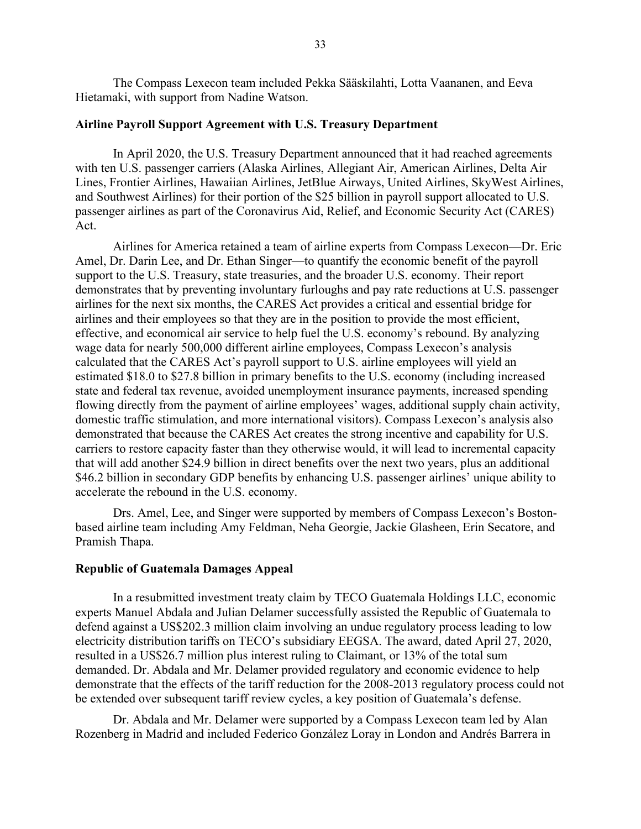The Compass Lexecon team included Pekka Sääskilahti, Lotta Vaananen, and Eeva Hietamaki, with support from Nadine Watson.

#### <span id="page-32-0"></span>**Airline Payroll Support Agreement with U.S. Treasury Department**

In April 2020, the U.S. Treasury Department announced that it had reached agreements with ten U.S. passenger carriers (Alaska Airlines, Allegiant Air, American Airlines, Delta Air Lines, Frontier Airlines, Hawaiian Airlines, JetBlue Airways, United Airlines, SkyWest Airlines, and Southwest Airlines) for their portion of the \$25 billion in payroll support allocated to U.S. passenger airlines as part of the Coronavirus Aid, Relief, and Economic Security Act (CARES) Act.

Airlines for America retained a team of airline experts from Compass Lexecon—Dr. Eric Amel, Dr. Darin Lee, and Dr. Ethan Singer—to quantify the economic benefit of the payroll support to the U.S. Treasury, state treasuries, and the broader U.S. economy. Their report demonstrates that by preventing involuntary furloughs and pay rate reductions at U.S. passenger airlines for the next six months, the CARES Act provides a critical and essential bridge for airlines and their employees so that they are in the position to provide the most efficient, effective, and economical air service to help fuel the U.S. economy's rebound. By analyzing wage data for nearly 500,000 different airline employees, Compass Lexecon's analysis calculated that the CARES Act's payroll support to U.S. airline employees will yield an estimated \$18.0 to \$27.8 billion in primary benefits to the U.S. economy (including increased state and federal tax revenue, avoided unemployment insurance payments, increased spending flowing directly from the payment of airline employees' wages, additional supply chain activity, domestic traffic stimulation, and more international visitors). Compass Lexecon's analysis also demonstrated that because the CARES Act creates the strong incentive and capability for U.S. carriers to restore capacity faster than they otherwise would, it will lead to incremental capacity that will add another \$24.9 billion in direct benefits over the next two years, plus an additional \$46.2 billion in secondary GDP benefits by enhancing U.S. passenger airlines' unique ability to accelerate the rebound in the U.S. economy.

Drs. Amel, Lee, and Singer were supported by members of Compass Lexecon's Bostonbased airline team including Amy Feldman, Neha Georgie, Jackie Glasheen, Erin Secatore, and Pramish Thapa.

### <span id="page-32-1"></span>**Republic of Guatemala Damages Appeal**

In a resubmitted investment treaty claim by TECO Guatemala Holdings LLC, economic experts Manuel Abdala and Julian Delamer successfully assisted the Republic of Guatemala to defend against a US\$202.3 million claim involving an undue regulatory process leading to low electricity distribution tariffs on TECO's subsidiary EEGSA. The award, dated April 27, 2020, resulted in a US\$26.7 million plus interest ruling to Claimant, or 13% of the total sum demanded. Dr. Abdala and Mr. Delamer provided regulatory and economic evidence to help demonstrate that the effects of the tariff reduction for the 2008-2013 regulatory process could not be extended over subsequent tariff review cycles, a key position of Guatemala's defense.

Dr. Abdala and Mr. Delamer were supported by a Compass Lexecon team led by Alan Rozenberg in Madrid and included Federico González Loray in London and Andrés Barrera in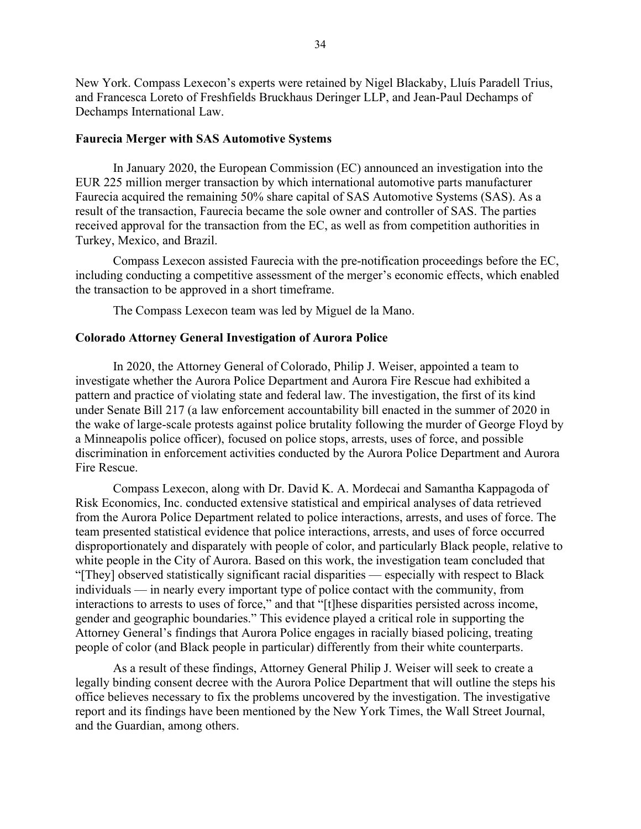New York. Compass Lexecon's experts were retained by Nigel Blackaby, Lluís Paradell Trius, and Francesca Loreto of Freshfields Bruckhaus Deringer LLP, and Jean-Paul Dechamps of Dechamps International Law.

#### <span id="page-33-0"></span>**Faurecia Merger with SAS Automotive Systems**

In January 2020, the European Commission (EC) announced an investigation into the EUR 225 million merger transaction by which international automotive parts manufacturer Faurecia acquired the remaining 50% share capital of SAS Automotive Systems (SAS). As a result of the transaction, Faurecia became the sole owner and controller of SAS. The parties received approval for the transaction from the EC, as well as from competition authorities in Turkey, Mexico, and Brazil.

Compass Lexecon assisted Faurecia with the pre-notification proceedings before the EC, including conducting a competitive assessment of the merger's economic effects, which enabled the transaction to be approved in a short timeframe.

The Compass Lexecon team was led by Miguel de la Mano.

# <span id="page-33-1"></span>**Colorado Attorney General Investigation of Aurora Police**

In 2020, the Attorney General of Colorado, Philip J. Weiser, appointed a team to investigate whether the Aurora Police Department and Aurora Fire Rescue had exhibited a pattern and practice of violating state and federal law. The investigation, the first of its kind under Senate Bill 217 (a law enforcement accountability bill enacted in the summer of 2020 in the wake of large-scale protests against police brutality following the murder of George Floyd by a Minneapolis police officer), focused on police stops, arrests, uses of force, and possible discrimination in enforcement activities conducted by the Aurora Police Department and Aurora Fire Rescue.

Compass Lexecon, along with Dr. David K. A. Mordecai and Samantha Kappagoda of Risk Economics, Inc. conducted extensive statistical and empirical analyses of data retrieved from the Aurora Police Department related to police interactions, arrests, and uses of force. The team presented statistical evidence that police interactions, arrests, and uses of force occurred disproportionately and disparately with people of color, and particularly Black people, relative to white people in the City of Aurora. Based on this work, the investigation team concluded that "[They] observed statistically significant racial disparities — especially with respect to Black individuals — in nearly every important type of police contact with the community, from interactions to arrests to uses of force," and that "[t]hese disparities persisted across income, gender and geographic boundaries." This evidence played a critical role in supporting the Attorney General's findings that Aurora Police engages in racially biased policing, treating people of color (and Black people in particular) differently from their white counterparts.

As a result of these findings, Attorney General Philip J. Weiser will seek to create a legally binding consent decree with the Aurora Police Department that will outline the steps his office believes necessary to fix the problems uncovered by the investigation. The investigative report and its findings have been mentioned by the New York Times, the Wall Street Journal, and the Guardian, among others.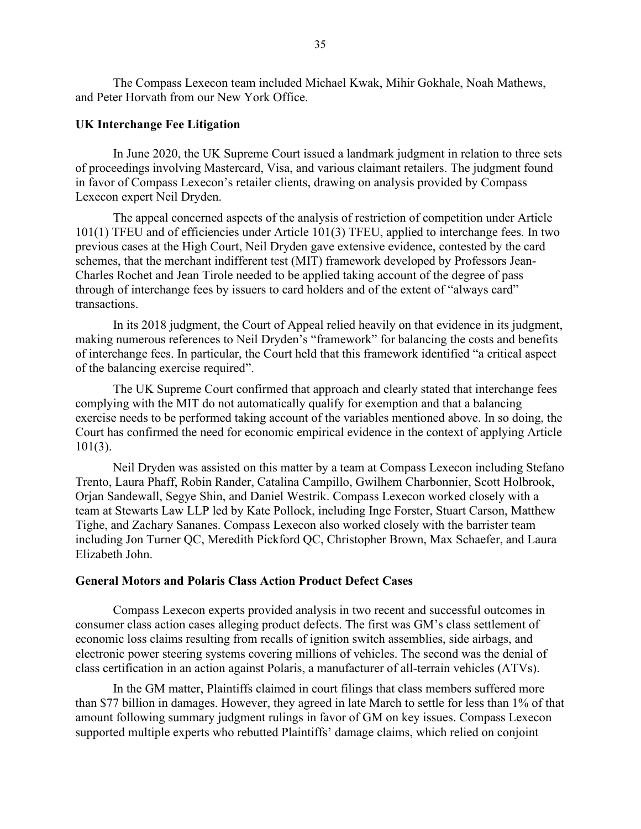The Compass Lexecon team included Michael Kwak, Mihir Gokhale, Noah Mathews, and Peter Horvath from our New York Office.

#### <span id="page-34-0"></span>**UK Interchange Fee Litigation**

In June 2020, the UK Supreme Court issued a landmark judgment in relation to three sets of proceedings involving Mastercard, Visa, and various claimant retailers. The judgment found in favor of Compass Lexecon's retailer clients, drawing on analysis provided by Compass Lexecon expert [Neil Dryden.](https://www.compasslexecon.com/professionals/neil-dryden/)

The appeal concerned aspects of the analysis of restriction of competition under Article 101(1) TFEU and of efficiencies under Article 101(3) TFEU, applied to interchange fees. In two previous cases at the High Court, Neil Dryden gave extensive evidence, contested by the card schemes, that the merchant indifferent test (MIT) framework developed by Professors Jean-Charles Rochet and Jean Tirole needed to be applied taking account of the degree of pass through of interchange fees by issuers to card holders and of the extent of "always card" transactions.

In its 2018 judgment, the Court of Appeal relied heavily on that evidence in its judgment, making numerous references to Neil Dryden's "framework" for balancing the costs and benefits of interchange fees. In particular, the Court held that this framework identified "a critical aspect of the balancing exercise required".

The UK Supreme Court confirmed that approach and clearly stated that interchange fees complying with the MIT do not automatically qualify for exemption and that a balancing exercise needs to be performed taking account of the variables mentioned above. In so doing, the Court has confirmed the need for economic empirical evidence in the context of applying Article 101(3).

Neil Dryden was assisted on this matter by a team at Compass Lexecon including [Stefano](https://www.compasslexecon.com/professionals/stefano-trento/)  [Trento,](https://www.compasslexecon.com/professionals/stefano-trento/) [Laura Phaff,](https://www.compasslexecon.com/professionals/laura-phaff/) [Robin Rander,](https://www.compasslexecon.com/professionals/robin-rander/) [Catalina Campillo,](https://www.compasslexecon.com/professionals/catalina-campillo/) [Gwilhem Charbonnier,](https://www.compasslexecon.com/professionals/gwilhem-charbonnier/) [Scott Holbrook,](https://www.compasslexecon.com/professionals/scott-holbrook/) [Orjan Sandewall,](https://www.compasslexecon.com/professionals/orjan-sandewall/) [Segye Shin,](https://www.compasslexecon.com/professionals/segye-shin/) and [Daniel Westrik.](https://www.compasslexecon.com/professionals/daniel-westrik/) Compass Lexecon worked closely with a team at Stewarts Law LLP led by Kate Pollock, including Inge Forster, Stuart Carson, Matthew Tighe, and Zachary Sananes. Compass Lexecon also worked closely with the barrister team including Jon Turner QC, Meredith Pickford QC, Christopher Brown, Max Schaefer, and Laura Elizabeth John.

### <span id="page-34-1"></span>**General Motors and Polaris Class Action Product Defect Cases**

Compass Lexecon experts provided analysis in two recent and successful outcomes in consumer class action cases alleging product defects. The first was GM's class settlement of economic loss claims resulting from recalls of ignition switch assemblies, side airbags, and electronic power steering systems covering millions of vehicles. The second was the denial of class certification in an action against Polaris, a manufacturer of all-terrain vehicles (ATVs).

In the GM matter, Plaintiffs claimed in court filings that class members suffered more than \$77 billion in damages. However, they agreed in late March to settle for less than 1% of that amount following summary judgment rulings in favor of GM on key issues. Compass Lexecon supported multiple experts who rebutted Plaintiffs' damage claims, which relied on conjoint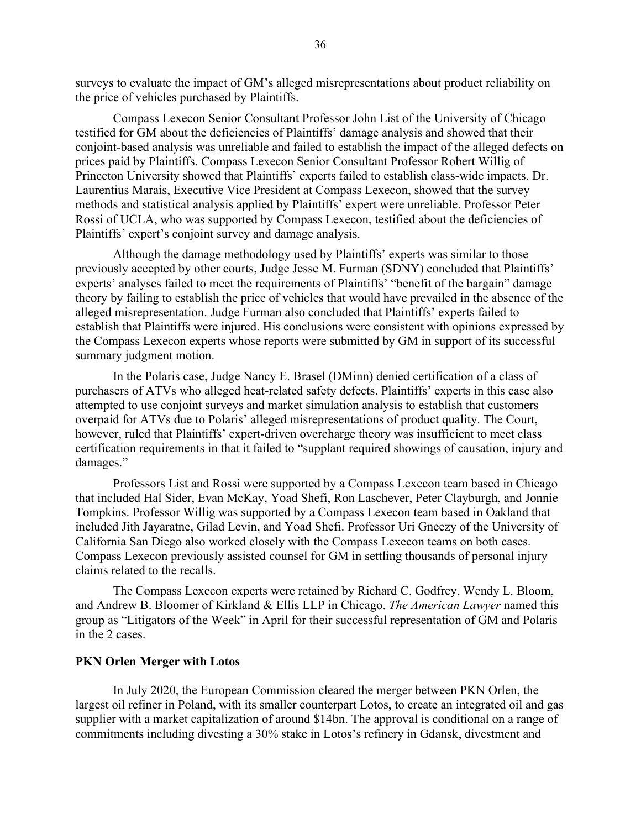surveys to evaluate the impact of GM's alleged misrepresentations about product reliability on the price of vehicles purchased by Plaintiffs.

Compass Lexecon Senior Consultant Professor John List of the University of Chicago testified for GM about the deficiencies of Plaintiffs' damage analysis and showed that their conjoint-based analysis was unreliable and failed to establish the impact of the alleged defects on prices paid by Plaintiffs. Compass Lexecon Senior Consultant Professor Robert Willig of Princeton University showed that Plaintiffs' experts failed to establish class-wide impacts. Dr. Laurentius Marais, Executive Vice President at Compass Lexecon, showed that the survey methods and statistical analysis applied by Plaintiffs' expert were unreliable. Professor Peter Rossi of UCLA, who was supported by Compass Lexecon, testified about the deficiencies of Plaintiffs' expert's conjoint survey and damage analysis.

Although the damage methodology used by Plaintiffs' experts was similar to those previously accepted by other courts, Judge Jesse M. Furman (SDNY) concluded that Plaintiffs' experts' analyses failed to meet the requirements of Plaintiffs' "benefit of the bargain" damage theory by failing to establish the price of vehicles that would have prevailed in the absence of the alleged misrepresentation. Judge Furman also concluded that Plaintiffs' experts failed to establish that Plaintiffs were injured. His conclusions were consistent with opinions expressed by the Compass Lexecon experts whose reports were submitted by GM in support of its successful summary judgment motion.

In the Polaris case, Judge Nancy E. Brasel (DMinn) denied certification of a class of purchasers of ATVs who alleged heat-related safety defects. Plaintiffs' experts in this case also attempted to use conjoint surveys and market simulation analysis to establish that customers overpaid for ATVs due to Polaris' alleged misrepresentations of product quality. The Court, however, ruled that Plaintiffs' expert-driven overcharge theory was insufficient to meet class certification requirements in that it failed to "supplant required showings of causation, injury and damages."

Professors List and Rossi were supported by a Compass Lexecon team based in Chicago that included Hal Sider, Evan McKay, Yoad Shefi, Ron Laschever, Peter Clayburgh, and Jonnie Tompkins. Professor Willig was supported by a Compass Lexecon team based in Oakland that included Jith Jayaratne, Gilad Levin, and Yoad Shefi. Professor Uri Gneezy of the University of California San Diego also worked closely with the Compass Lexecon teams on both cases. Compass Lexecon previously assisted counsel for GM in settling thousands of personal injury claims related to the recalls.

The Compass Lexecon experts were retained by Richard C. Godfrey, Wendy L. Bloom, and Andrew B. Bloomer of Kirkland & Ellis LLP in Chicago. *The American Lawyer* named this group as "Litigators of the Week" in April for their successful representation of GM and Polaris in the 2 cases.

#### <span id="page-35-0"></span>**PKN Orlen Merger with Lotos**

In July 2020, the European Commission cleared the merger between PKN Orlen, the largest oil refiner in Poland, with its smaller counterpart Lotos, to create an integrated oil and gas supplier with a market capitalization of around \$14bn. The approval is conditional on a range of commitments including divesting a 30% stake in Lotos's refinery in Gdansk, divestment and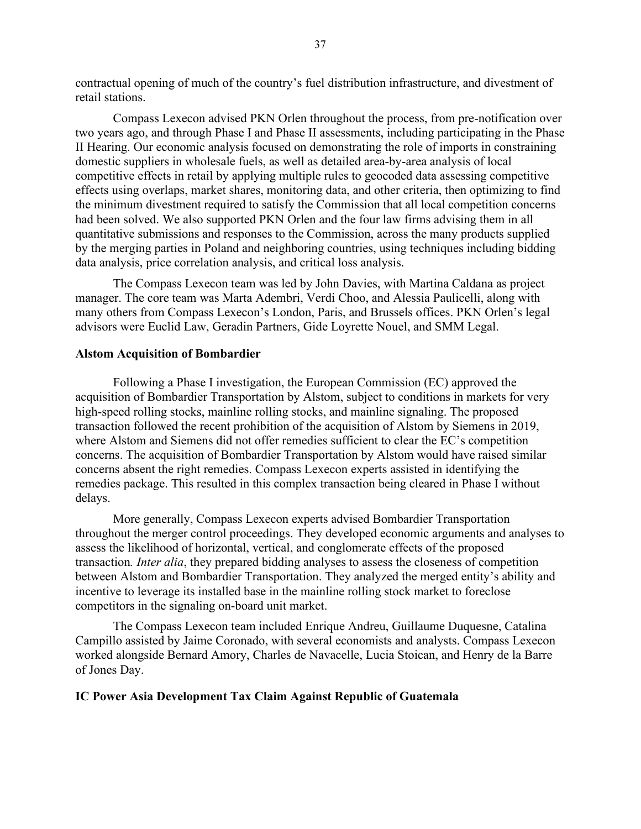contractual opening of much of the country's fuel distribution infrastructure, and divestment of retail stations.

Compass Lexecon advised PKN Orlen throughout the process, from pre-notification over two years ago, and through Phase I and Phase II assessments, including participating in the Phase II Hearing. Our economic analysis focused on demonstrating the role of imports in constraining domestic suppliers in wholesale fuels, as well as detailed area-by-area analysis of local competitive effects in retail by applying multiple rules to geocoded data assessing competitive effects using overlaps, market shares, monitoring data, and other criteria, then optimizing to find the minimum divestment required to satisfy the Commission that all local competition concerns had been solved. We also supported PKN Orlen and the four law firms advising them in all quantitative submissions and responses to the Commission, across the many products supplied by the merging parties in Poland and neighboring countries, using techniques including bidding data analysis, price correlation analysis, and critical loss analysis.

The Compass Lexecon team was led by John Davies, with Martina Caldana as project manager. The core team was Marta Adembri, Verdi Choo, and Alessia Paulicelli, along with many others from Compass Lexecon's London, Paris, and Brussels offices. PKN Orlen's legal advisors were Euclid Law, Geradin Partners, Gide Loyrette Nouel, and SMM Legal.

#### <span id="page-36-0"></span>**Alstom Acquisition of Bombardier**

Following a Phase I investigation, the European Commission (EC) approved the acquisition of Bombardier Transportation by Alstom, subject to conditions in markets for very high-speed rolling stocks, mainline rolling stocks, and mainline signaling. The proposed transaction followed the recent prohibition of the acquisition of Alstom by Siemens in 2019, where Alstom and Siemens did not offer remedies sufficient to clear the EC's competition concerns. The acquisition of Bombardier Transportation by Alstom would have raised similar concerns absent the right remedies. Compass Lexecon experts assisted in identifying the remedies package. This resulted in this complex transaction being cleared in Phase I without delays.

More generally, Compass Lexecon experts advised Bombardier Transportation throughout the merger control proceedings. They developed economic arguments and analyses to assess the likelihood of horizontal, vertical, and conglomerate effects of the proposed transaction*. Inter alia*, they prepared bidding analyses to assess the closeness of competition between Alstom and Bombardier Transportation. They analyzed the merged entity's ability and incentive to leverage its installed base in the mainline rolling stock market to foreclose competitors in the signaling on-board unit market.

The Compass Lexecon team included Enrique Andreu, Guillaume Duquesne, Catalina Campillo assisted by Jaime Coronado, with several economists and analysts. Compass Lexecon worked alongside Bernard Amory, Charles de Navacelle, Lucia Stoican, and Henry de la Barre of Jones Day.

# <span id="page-36-1"></span>**IC Power Asia Development Tax Claim Against Republic of Guatemala**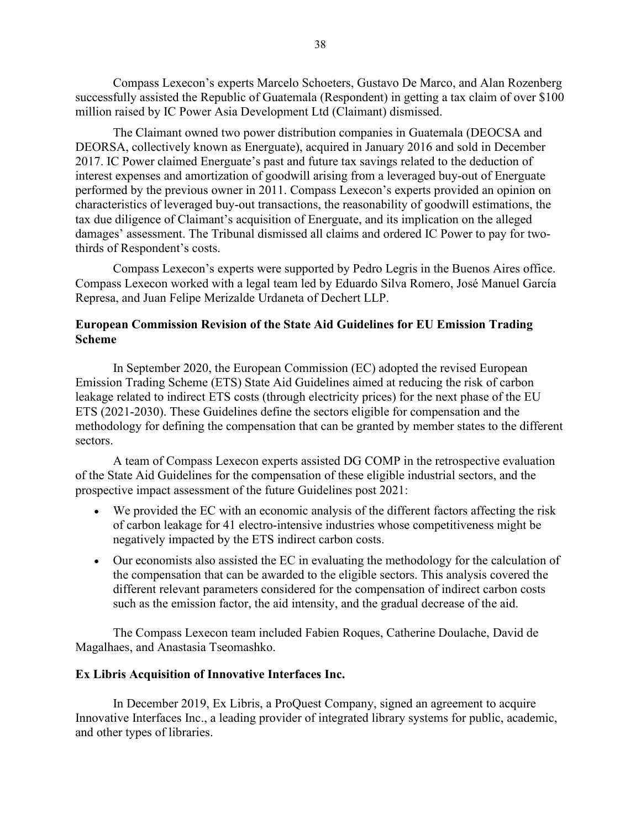Compass Lexecon's experts Marcelo Schoeters, Gustavo De Marco, and Alan Rozenberg successfully assisted the Republic of Guatemala (Respondent) in getting a tax claim of over \$100 million raised by IC Power Asia Development Ltd (Claimant) dismissed.

The Claimant owned two power distribution companies in Guatemala (DEOCSA and DEORSA, collectively known as Energuate), acquired in January 2016 and sold in December 2017. IC Power claimed Energuate's past and future tax savings related to the deduction of interest expenses and amortization of goodwill arising from a leveraged buy-out of Energuate performed by the previous owner in 2011. Compass Lexecon's experts provided an opinion on characteristics of leveraged buy-out transactions, the reasonability of goodwill estimations, the tax due diligence of Claimant's acquisition of Energuate, and its implication on the alleged damages' assessment. The Tribunal dismissed all claims and ordered IC Power to pay for twothirds of Respondent's costs.

Compass Lexecon's experts were supported by Pedro Legris in the Buenos Aires office. Compass Lexecon worked with a legal team led by Eduardo Silva Romero, José Manuel García Represa, and Juan Felipe Merizalde Urdaneta of Dechert LLP.

# <span id="page-37-0"></span>**European Commission Revision of the State Aid Guidelines for EU Emission Trading Scheme**

In September 2020, the European Commission (EC) adopted the revised [European](https://ec.europa.eu/competition/state_aid/what_is_new/2020_ets_revision/consultants_study_ets_guidelines.pdf)  [Emission Trading Scheme \(ETS\) State Aid Guidelines](https://ec.europa.eu/competition/state_aid/what_is_new/2020_ets_revision/consultants_study_ets_guidelines.pdf) aimed at reducing the risk of carbon leakage related to indirect ETS costs (through electricity prices) for the next phase of the EU ETS (2021-2030). These Guidelines define the sectors eligible for compensation and the methodology for defining the compensation that can be granted by member states to the different sectors.

A team of Compass Lexecon experts assisted DG COMP in the retrospective evaluation of the State Aid Guidelines for the compensation of these eligible industrial sectors, and the prospective impact assessment of the future Guidelines post 2021:

- We provided the EC with an economic analysis of the different factors affecting the risk of carbon leakage for 41 electro-intensive industries whose competitiveness might be negatively impacted by the ETS indirect carbon costs.
- Our economists also assisted the EC in evaluating the methodology for the calculation of the compensation that can be awarded to the eligible sectors. This analysis covered the different relevant parameters considered for the compensation of indirect carbon costs such as the emission factor, the aid intensity, and the gradual decrease of the aid.

The Compass Lexecon team included [Fabien Roques,](https://www.compasslexecon.com/professionals/fabien-roques/) [Catherine Doulache,](https://www.compasslexecon.com/professionals/catherine-doulache/) David de Magalhaes, and [Anastasia Tseomashko.](https://www.compasslexecon.com/professionals/anastasia-tseomashko/)

#### <span id="page-37-1"></span>**Ex Libris Acquisition of Innovative Interfaces Inc.**

In December 2019, Ex Libris, a ProQuest Company, signed an agreement to acquire Innovative Interfaces Inc., a leading provider of integrated library systems for public, academic, and other types of libraries.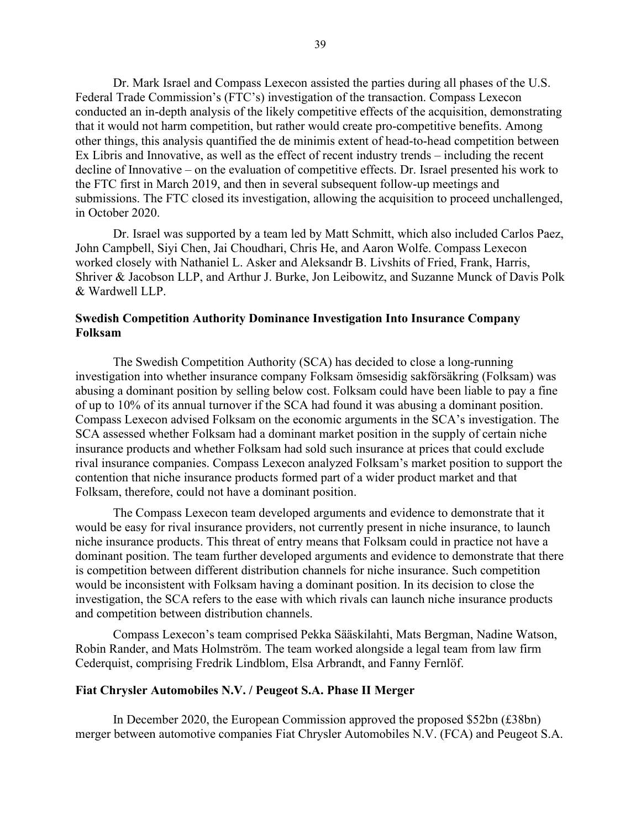Dr. Mark Israel and Compass Lexecon assisted the parties during all phases of the U.S. Federal Trade Commission's (FTC's) investigation of the transaction. Compass Lexecon conducted an in-depth analysis of the likely competitive effects of the acquisition, demonstrating that it would not harm competition, but rather would create pro-competitive benefits. Among other things, this analysis quantified the de minimis extent of head-to-head competition between Ex Libris and Innovative, as well as the effect of recent industry trends – including the recent decline of Innovative – on the evaluation of competitive effects. Dr. Israel presented his work to the FTC first in March 2019, and then in several subsequent follow-up meetings and submissions. The FTC closed its investigation, allowing the acquisition to proceed unchallenged, in October 2020.

Dr. Israel was supported by a team led by Matt Schmitt, which also included Carlos Paez, John Campbell, Siyi Chen, Jai Choudhari, Chris He, and Aaron Wolfe. Compass Lexecon worked closely with Nathaniel L. Asker and Aleksandr B. Livshits of Fried, Frank, Harris, Shriver & Jacobson LLP, and Arthur J. Burke, Jon Leibowitz, and Suzanne Munck of Davis Polk & Wardwell LLP.

# <span id="page-38-0"></span>**Swedish Competition Authority Dominance Investigation Into Insurance Company Folksam**

The Swedish Competition Authority (SCA) has decided to close a long-running investigation into whether insurance company Folksam ömsesidig sakförsäkring (Folksam) was abusing a dominant position by selling below cost. Folksam could have been liable to pay a fine of up to 10% of its annual turnover if the SCA had found it was abusing a dominant position. Compass Lexecon advised Folksam on the economic arguments in the SCA's investigation. The SCA assessed whether Folksam had a dominant market position in the supply of certain niche insurance products and whether Folksam had sold such insurance at prices that could exclude rival insurance companies. Compass Lexecon analyzed Folksam's market position to support the contention that niche insurance products formed part of a wider product market and that Folksam, therefore, could not have a dominant position.

The Compass Lexecon team developed arguments and evidence to demonstrate that it would be easy for rival insurance providers, not currently present in niche insurance, to launch niche insurance products. This threat of entry means that Folksam could in practice not have a dominant position. The team further developed arguments and evidence to demonstrate that there is competition between different distribution channels for niche insurance. Such competition would be inconsistent with Folksam having a dominant position. In its decision to close the investigation, the SCA refers to the ease with which rivals can launch niche insurance products and competition between distribution channels.

Compass Lexecon's team comprised [Pekka Sääskilahti,](https://www.compasslexecon.com/professionals/pekka-saaskilahti/) [Mats Bergman,](https://www.compasslexecon.com/professionals/mats-bergman/) [Nadine Watson,](https://www.compasslexecon.com/professionals/nadine-watson/) [Robin Rander,](https://www.compasslexecon.com/professionals/robin-rander/) and Mats Holmström. The team worked alongside a legal team from law firm Cederquist, comprising Fredrik Lindblom, Elsa Arbrandt, and Fanny Fernlöf.

## <span id="page-38-1"></span>**Fiat Chrysler Automobiles N.V. / Peugeot S.A. Phase II Merger**

In December 2020, the European Commission approved the proposed \$52bn (£38bn) merger between automotive companies Fiat Chrysler Automobiles N.V. (FCA) and Peugeot S.A.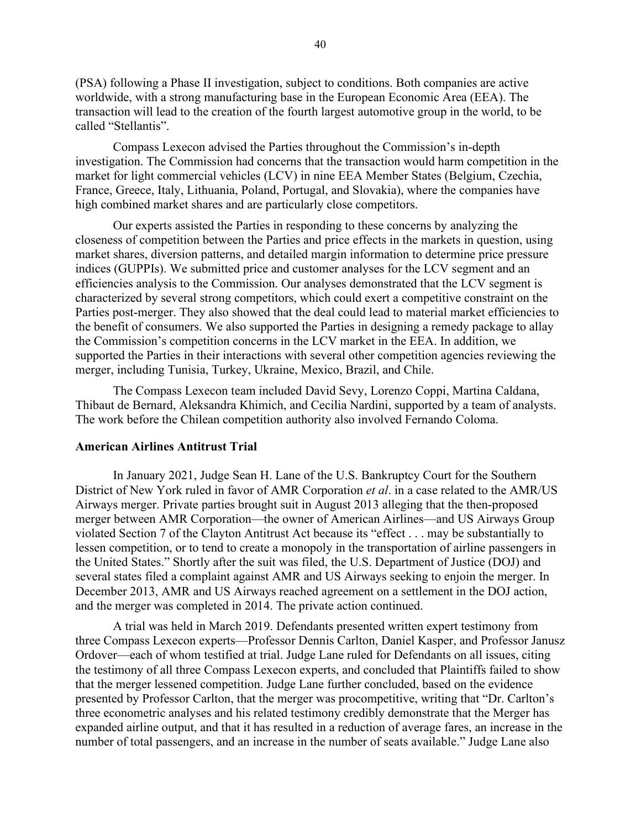(PSA) following a Phase II investigation, subject to conditions. Both companies are active worldwide, with a strong manufacturing base in the European Economic Area (EEA). The transaction will lead to the creation of the fourth largest automotive group in the world, to be called "Stellantis".

Compass Lexecon advised the Parties throughout the Commission's in-depth investigation. The Commission had concerns that the transaction would harm competition in the market for light commercial vehicles (LCV) in nine EEA Member States (Belgium, Czechia, France, Greece, Italy, Lithuania, Poland, Portugal, and Slovakia), where the companies have high combined market shares and are particularly close competitors.

Our experts assisted the Parties in responding to these concerns by analyzing the closeness of competition between the Parties and price effects in the markets in question, using market shares, diversion patterns, and detailed margin information to determine price pressure indices (GUPPIs). We submitted price and customer analyses for the LCV segment and an efficiencies analysis to the Commission. Our analyses demonstrated that the LCV segment is characterized by several strong competitors, which could exert a competitive constraint on the Parties post-merger. They also showed that the deal could lead to material market efficiencies to the benefit of consumers. We also supported the Parties in designing a remedy package to allay the Commission's competition concerns in the LCV market in the EEA. In addition, we supported the Parties in their interactions with several other competition agencies reviewing the merger, including Tunisia, Turkey, Ukraine, Mexico, Brazil, and Chile.

The Compass Lexecon team included David Sevy, Lorenzo Coppi, Martina Caldana, Thibaut de Bernard, Aleksandra Khimich, and Cecilia Nardini, supported by a team of analysts. The work before the Chilean competition authority also involved Fernando Coloma.

# <span id="page-39-0"></span>**American Airlines Antitrust Trial**

In January 2021, Judge Sean H. Lane of the U.S. Bankruptcy Court for the Southern District of New York ruled in favor of AMR Corporation *et al*. in a case related to the AMR/US Airways merger. Private parties brought suit in August 2013 alleging that the then-proposed merger between AMR Corporation—the owner of American Airlines—and US Airways Group violated Section 7 of the Clayton Antitrust Act because its "effect . . . may be substantially to lessen competition, or to tend to create a monopoly in the transportation of airline passengers in the United States." Shortly after the suit was filed, the U.S. Department of Justice (DOJ) and several states filed a complaint against AMR and US Airways seeking to enjoin the merger. In December 2013, AMR and US Airways reached agreement on a settlement in the DOJ action, and the merger was completed in 2014. The private action continued.

A trial was held in March 2019. Defendants presented written expert testimony from three Compass Lexecon experts—Professor Dennis Carlton, Daniel Kasper, and Professor Janusz Ordover—each of whom testified at trial. Judge Lane ruled for Defendants on all issues, citing the testimony of all three Compass Lexecon experts, and concluded that Plaintiffs failed to show that the merger lessened competition. Judge Lane further concluded, based on the evidence presented by Professor Carlton, that the merger was procompetitive, writing that "Dr. Carlton's three econometric analyses and his related testimony credibly demonstrate that the Merger has expanded airline output, and that it has resulted in a reduction of average fares, an increase in the number of total passengers, and an increase in the number of seats available." Judge Lane also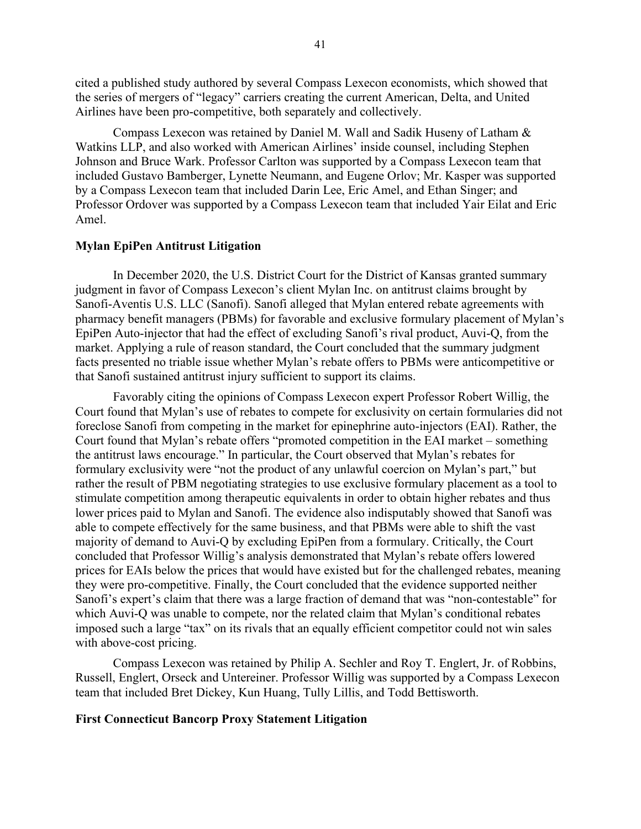cited a published study authored by several Compass Lexecon economists, which showed that the series of mergers of "legacy" carriers creating the current American, Delta, and United Airlines have been pro-competitive, both separately and collectively.

Compass Lexecon was retained by Daniel M. Wall and Sadik Huseny of Latham & Watkins LLP, and also worked with American Airlines' inside counsel, including Stephen Johnson and Bruce Wark. Professor Carlton was supported by a Compass Lexecon team that included Gustavo Bamberger, Lynette Neumann, and Eugene Orlov; Mr. Kasper was supported by a Compass Lexecon team that included Darin Lee, Eric Amel, and Ethan Singer; and Professor Ordover was supported by a Compass Lexecon team that included Yair Eilat and Eric Amel.

### <span id="page-40-0"></span>**Mylan EpiPen Antitrust Litigation**

In December 2020, the U.S. District Court for the District of Kansas granted summary judgment in favor of Compass Lexecon's client Mylan Inc. on antitrust claims brought by Sanofi-Aventis U.S. LLC (Sanofi). Sanofi alleged that Mylan entered rebate agreements with pharmacy benefit managers (PBMs) for favorable and exclusive formulary placement of Mylan's EpiPen Auto-injector that had the effect of excluding Sanofi's rival product, Auvi-Q, from the market. Applying a rule of reason standard, the Court concluded that the summary judgment facts presented no triable issue whether Mylan's rebate offers to PBMs were anticompetitive or that Sanofi sustained antitrust injury sufficient to support its claims.

Favorably citing the opinions of Compass Lexecon expert Professor Robert Willig, the Court found that Mylan's use of rebates to compete for exclusivity on certain formularies did not foreclose Sanofi from competing in the market for epinephrine auto-injectors (EAI). Rather, the Court found that Mylan's rebate offers "promoted competition in the EAI market – something the antitrust laws encourage." In particular, the Court observed that Mylan's rebates for formulary exclusivity were "not the product of any unlawful coercion on Mylan's part," but rather the result of PBM negotiating strategies to use exclusive formulary placement as a tool to stimulate competition among therapeutic equivalents in order to obtain higher rebates and thus lower prices paid to Mylan and Sanofi. The evidence also indisputably showed that Sanofi was able to compete effectively for the same business, and that PBMs were able to shift the vast majority of demand to Auvi-Q by excluding EpiPen from a formulary. Critically, the Court concluded that Professor Willig's analysis demonstrated that Mylan's rebate offers lowered prices for EAIs below the prices that would have existed but for the challenged rebates, meaning they were pro-competitive. Finally, the Court concluded that the evidence supported neither Sanofi's expert's claim that there was a large fraction of demand that was "non-contestable" for which Auvi-Q was unable to compete, nor the related claim that Mylan's conditional rebates imposed such a large "tax" on its rivals that an equally efficient competitor could not win sales with above-cost pricing.

Compass Lexecon was retained by Philip A. Sechler and Roy T. Englert, Jr. of Robbins, Russell, Englert, Orseck and Untereiner. Professor Willig was supported by a Compass Lexecon team that included Bret Dickey, Kun Huang, Tully Lillis, and Todd Bettisworth.

# <span id="page-40-1"></span>**First Connecticut Bancorp Proxy Statement Litigation**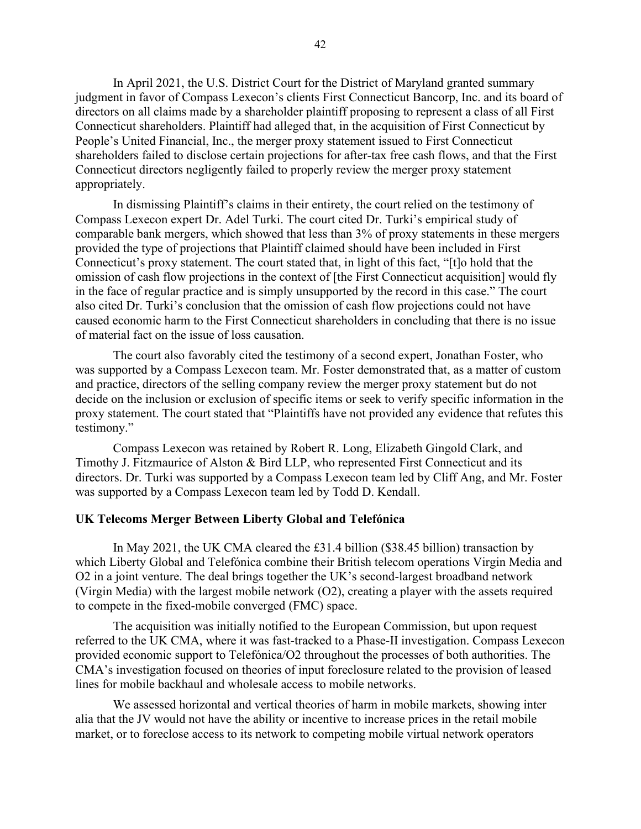In April 2021, the U.S. District Court for the District of Maryland granted summary judgment in favor of Compass Lexecon's clients First Connecticut Bancorp, Inc. and its board of directors on all claims made by a shareholder plaintiff proposing to represent a class of all First Connecticut shareholders. Plaintiff had alleged that, in the acquisition of First Connecticut by People's United Financial, Inc., the merger proxy statement issued to First Connecticut shareholders failed to disclose certain projections for after-tax free cash flows, and that the First Connecticut directors negligently failed to properly review the merger proxy statement appropriately.

In dismissing Plaintiff's claims in their entirety, the court relied on the testimony of Compass Lexecon expert Dr. Adel Turki. The court cited Dr. Turki's empirical study of comparable bank mergers, which showed that less than 3% of proxy statements in these mergers provided the type of projections that Plaintiff claimed should have been included in First Connecticut's proxy statement. The court stated that, in light of this fact, "[t]o hold that the omission of cash flow projections in the context of [the First Connecticut acquisition] would fly in the face of regular practice and is simply unsupported by the record in this case." The court also cited Dr. Turki's conclusion that the omission of cash flow projections could not have caused economic harm to the First Connecticut shareholders in concluding that there is no issue of material fact on the issue of loss causation.

The court also favorably cited the testimony of a second expert, Jonathan Foster, who was supported by a Compass Lexecon team. Mr. Foster demonstrated that, as a matter of custom and practice, directors of the selling company review the merger proxy statement but do not decide on the inclusion or exclusion of specific items or seek to verify specific information in the proxy statement. The court stated that "Plaintiffs have not provided any evidence that refutes this testimony."

Compass Lexecon was retained by Robert R. Long, Elizabeth Gingold Clark, and Timothy J. Fitzmaurice of Alston & Bird LLP, who represented First Connecticut and its directors. Dr. Turki was supported by a Compass Lexecon team led by Cliff Ang, and Mr. Foster was supported by a Compass Lexecon team led by Todd D. Kendall.

#### <span id="page-41-0"></span>**UK Telecoms Merger Between Liberty Global and Telefónica**

In May 2021, the UK CMA cleared the £31.4 billion (\$38.45 billion) transaction by which Liberty Global and Telefónica combine their British telecom operations Virgin Media and O2 in a joint venture. The deal brings together the UK's second-largest broadband network (Virgin Media) with the largest mobile network (O2), creating a player with the assets required to compete in the fixed-mobile converged (FMC) space.

The acquisition was initially notified to the European Commission, but upon request referred to the UK CMA, where it was fast-tracked to a Phase-II investigation. Compass Lexecon provided economic support to Telefónica/O2 throughout the processes of both authorities. The CMA's investigation focused on theories of input foreclosure related to the provision of leased lines for mobile backhaul and wholesale access to mobile networks.

We assessed horizontal and vertical theories of harm in mobile markets, showing inter alia that the JV would not have the ability or incentive to increase prices in the retail mobile market, or to foreclose access to its network to competing mobile virtual network operators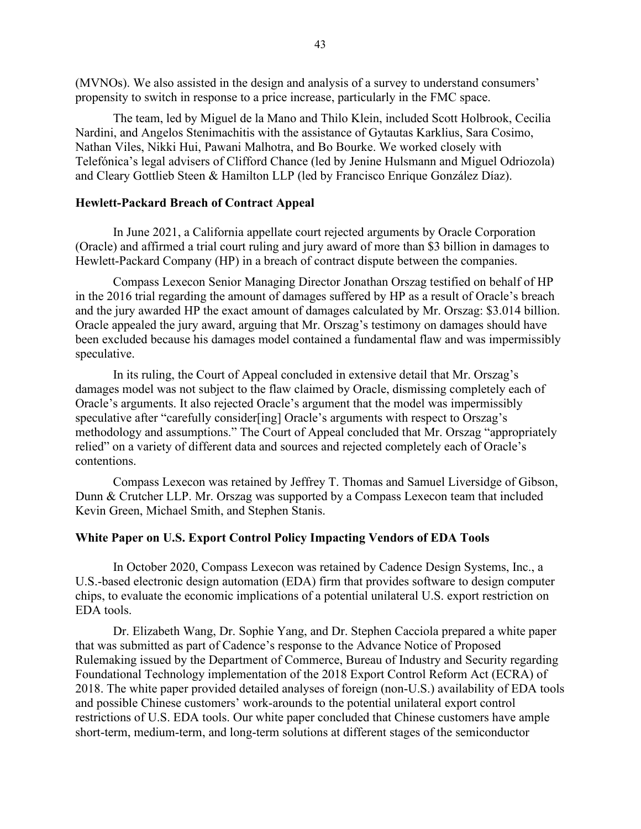(MVNOs). We also assisted in the design and analysis of a survey to understand consumers' propensity to switch in response to a price increase, particularly in the FMC space.

The team, led by Miguel de la Mano and Thilo Klein, included Scott Holbrook, Cecilia Nardini, and Angelos Stenimachitis with the assistance of Gytautas Karklius, Sara Cosimo, Nathan Viles, Nikki Hui, Pawani Malhotra, and Bo Bourke. We worked closely with Telefónica's legal advisers of Clifford Chance (led by Jenine Hulsmann and Miguel Odriozola) and Cleary Gottlieb Steen & Hamilton LLP (led by Francisco Enrique González Díaz).

# <span id="page-42-0"></span>**Hewlett-Packard Breach of Contract Appeal**

In June 2021, a California appellate court rejected arguments by Oracle Corporation (Oracle) and affirmed a trial court ruling and jury award of more than \$3 billion in damages to Hewlett-Packard Company (HP) in a breach of contract dispute between the companies.

Compass Lexecon Senior Managing Director Jonathan Orszag testified on behalf of HP in the 2016 trial regarding the amount of damages suffered by HP as a result of Oracle's breach and the jury awarded HP the exact amount of damages calculated by Mr. Orszag: \$3.014 billion. Oracle appealed the jury award, arguing that Mr. Orszag's testimony on damages should have been excluded because his damages model contained a fundamental flaw and was impermissibly speculative.

In its ruling, the Court of Appeal concluded in extensive detail that Mr. Orszag's damages model was not subject to the flaw claimed by Oracle, dismissing completely each of Oracle's arguments. It also rejected Oracle's argument that the model was impermissibly speculative after "carefully consider[ing] Oracle's arguments with respect to Orszag's methodology and assumptions." The Court of Appeal concluded that Mr. Orszag "appropriately relied" on a variety of different data and sources and rejected completely each of Oracle's contentions.

Compass Lexecon was retained by Jeffrey T. Thomas and Samuel Liversidge of Gibson, Dunn & Crutcher LLP. Mr. Orszag was supported by a Compass Lexecon team that included Kevin Green, Michael Smith, and Stephen Stanis.

# <span id="page-42-1"></span>**White Paper on U.S. Export Control Policy Impacting Vendors of EDA Tools**

In October 2020, Compass Lexecon was retained by Cadence Design Systems, Inc., a U.S.-based electronic design automation (EDA) firm that provides software to design computer chips, to evaluate the economic implications of a potential unilateral U.S. export restriction on EDA tools.

Dr. Elizabeth Wang, Dr. Sophie Yang, and Dr. Stephen Cacciola prepared a white paper that was submitted as part of Cadence's response to the Advance Notice of Proposed Rulemaking issued by the Department of Commerce, Bureau of Industry and Security regarding Foundational Technology implementation of the 2018 Export Control Reform Act (ECRA) of 2018. The white paper provided detailed analyses of foreign (non-U.S.) availability of EDA tools and possible Chinese customers' work-arounds to the potential unilateral export control restrictions of U.S. EDA tools. Our white paper concluded that Chinese customers have ample short-term, medium-term, and long-term solutions at different stages of the semiconductor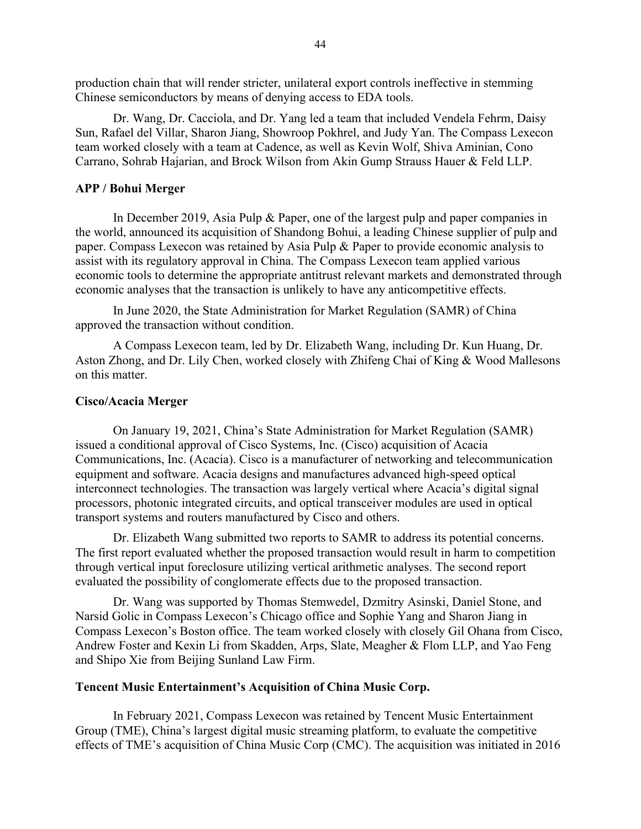production chain that will render stricter, unilateral export controls ineffective in stemming Chinese semiconductors by means of denying access to EDA tools.

Dr. Wang, Dr. Cacciola, and Dr. Yang led a team that included Vendela Fehrm, Daisy Sun, Rafael del Villar, Sharon Jiang, Showroop Pokhrel, and Judy Yan. The Compass Lexecon team worked closely with a team at Cadence, as well as Kevin Wolf, Shiva Aminian, Cono Carrano, Sohrab Hajarian, and Brock Wilson from Akin Gump Strauss Hauer & Feld LLP.

#### <span id="page-43-0"></span>**APP / Bohui Merger**

In December 2019, Asia Pulp & Paper, one of the largest pulp and paper companies in the world, announced its acquisition of Shandong Bohui, a leading Chinese supplier of pulp and paper. Compass Lexecon was retained by Asia Pulp & Paper to provide economic analysis to assist with its regulatory approval in China. The Compass Lexecon team applied various economic tools to determine the appropriate antitrust relevant markets and demonstrated through economic analyses that the transaction is unlikely to have any anticompetitive effects.

In June 2020, the State Administration for Market Regulation (SAMR) of China approved the transaction without condition.

A Compass Lexecon team, led by Dr. Elizabeth Wang, including Dr. Kun Huang, Dr. Aston Zhong, and Dr. Lily Chen, worked closely with Zhifeng Chai of King & Wood Mallesons on this matter.

#### <span id="page-43-1"></span>**Cisco/Acacia Merger**

On January 19, 2021, China's State Administration for Market Regulation (SAMR) issued a conditional approval of Cisco Systems, Inc. (Cisco) acquisition of Acacia Communications, Inc. (Acacia). Cisco is a manufacturer of networking and telecommunication equipment and software. Acacia designs and manufactures advanced high-speed optical interconnect technologies. The transaction was largely vertical where Acacia's digital signal processors, photonic integrated circuits, and optical transceiver modules are used in optical transport systems and routers manufactured by Cisco and others.

Dr. Elizabeth Wang submitted two reports to SAMR to address its potential concerns. The first report evaluated whether the proposed transaction would result in harm to competition through vertical input foreclosure utilizing vertical arithmetic analyses. The second report evaluated the possibility of conglomerate effects due to the proposed transaction.

Dr. Wang was supported by Thomas Stemwedel, Dzmitry Asinski, Daniel Stone, and Narsid Golic in Compass Lexecon's Chicago office and Sophie Yang and Sharon Jiang in Compass Lexecon's Boston office. The team worked closely with closely Gil Ohana from Cisco, Andrew Foster and Kexin Li from Skadden, Arps, Slate, Meagher & Flom LLP, and Yao Feng and Shipo Xie from Beijing Sunland Law Firm.

### <span id="page-43-2"></span>**Tencent Music Entertainment's Acquisition of China Music Corp.**

In February 2021, Compass Lexecon was retained by Tencent Music Entertainment Group (TME), China's largest digital music streaming platform, to evaluate the competitive effects of TME's acquisition of China Music Corp (CMC). The acquisition was initiated in 2016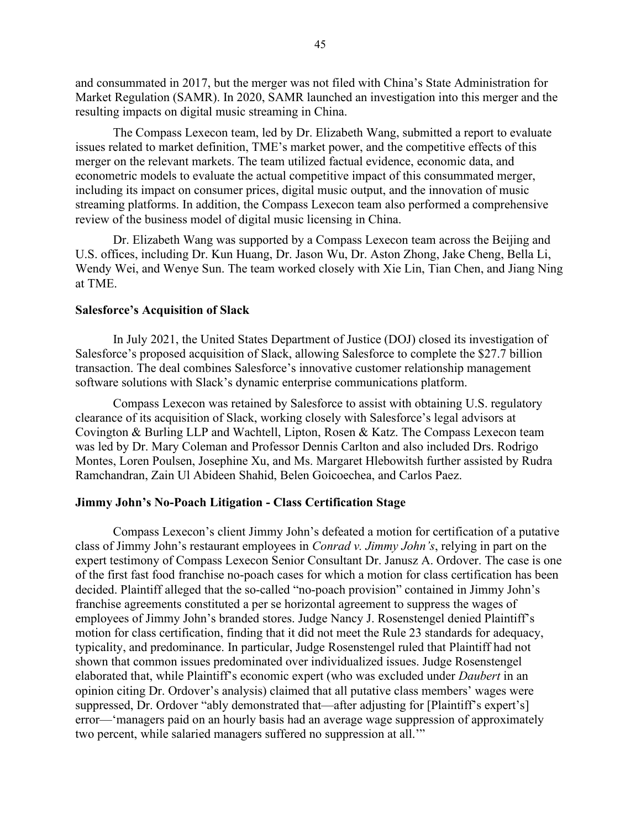and consummated in 2017, but the merger was not filed with China's State Administration for Market Regulation (SAMR). In 2020, SAMR launched an investigation into this merger and the resulting impacts on digital music streaming in China.

The Compass Lexecon team, led by Dr. Elizabeth Wang, submitted a report to evaluate issues related to market definition, TME's market power, and the competitive effects of this merger on the relevant markets. The team utilized factual evidence, economic data, and econometric models to evaluate the actual competitive impact of this consummated merger, including its impact on consumer prices, digital music output, and the innovation of music streaming platforms. In addition, the Compass Lexecon team also performed a comprehensive review of the business model of digital music licensing in China.

Dr. Elizabeth Wang was supported by a Compass Lexecon team across the Beijing and U.S. offices, including Dr. Kun Huang, Dr. Jason Wu, Dr. Aston Zhong, Jake Cheng, Bella Li, Wendy Wei, and Wenye Sun. The team worked closely with Xie Lin, Tian Chen, and Jiang Ning at TME.

# <span id="page-44-0"></span>**Salesforce's Acquisition of Slack**

In July 2021, the United States Department of Justice (DOJ) closed its investigation of Salesforce's proposed acquisition of Slack, allowing Salesforce to complete the \$27.7 billion transaction. The deal combines Salesforce's innovative customer relationship management software solutions with Slack's dynamic enterprise communications platform.

Compass Lexecon was retained by Salesforce to assist with obtaining U.S. regulatory clearance of its acquisition of Slack, working closely with Salesforce's legal advisors at Covington & Burling LLP and Wachtell, Lipton, Rosen & Katz. The Compass Lexecon team was led by Dr. Mary Coleman and Professor Dennis Carlton and also included Drs. Rodrigo Montes, Loren Poulsen, Josephine Xu, and Ms. Margaret Hlebowitsh further assisted by Rudra Ramchandran, Zain Ul Abideen Shahid, Belen Goicoechea, and Carlos Paez.

#### <span id="page-44-1"></span>**Jimmy John's No-Poach Litigation - Class Certification Stage**

Compass Lexecon's client Jimmy John's defeated a motion for certification of a putative class of Jimmy John's restaurant employees in *Conrad v. Jimmy John's*, relying in part on the expert testimony of Compass Lexecon Senior Consultant Dr. Janusz A. Ordover. The case is one of the first fast food franchise no-poach cases for which a motion for class certification has been decided. Plaintiff alleged that the so-called "no-poach provision" contained in Jimmy John's franchise agreements constituted a per se horizontal agreement to suppress the wages of employees of Jimmy John's branded stores. Judge Nancy J. Rosenstengel denied Plaintiff's motion for class certification, finding that it did not meet the Rule 23 standards for adequacy, typicality, and predominance. In particular, Judge Rosenstengel ruled that Plaintiff had not shown that common issues predominated over individualized issues. Judge Rosenstengel elaborated that, while Plaintiff's economic expert (who was excluded under *Daubert* in an opinion citing Dr. Ordover's analysis) claimed that all putative class members' wages were suppressed, Dr. Ordover "ably demonstrated that—after adjusting for [Plaintiff's expert's] error—'managers paid on an hourly basis had an average wage suppression of approximately two percent, while salaried managers suffered no suppression at all.'"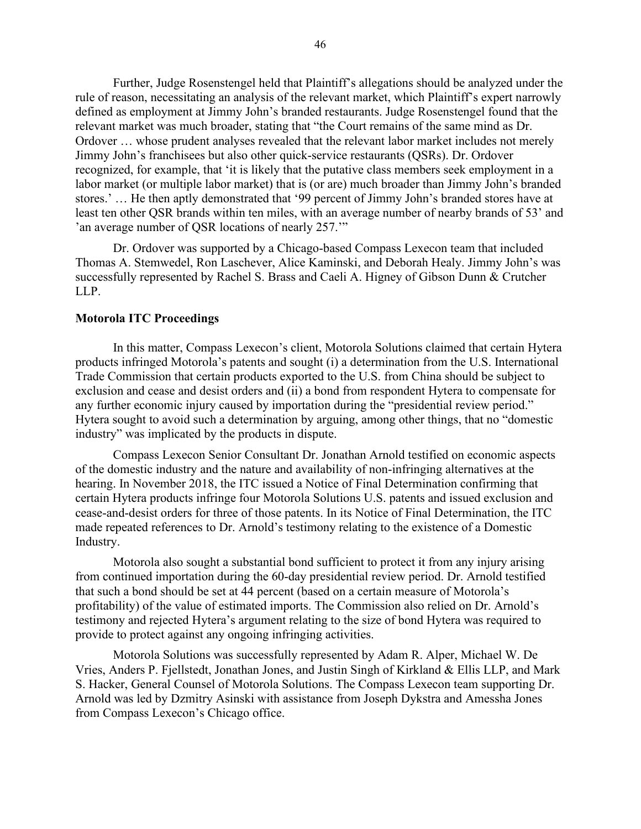Further, Judge Rosenstengel held that Plaintiff's allegations should be analyzed under the rule of reason, necessitating an analysis of the relevant market, which Plaintiff's expert narrowly defined as employment at Jimmy John's branded restaurants. Judge Rosenstengel found that the relevant market was much broader, stating that "the Court remains of the same mind as Dr. Ordover … whose prudent analyses revealed that the relevant labor market includes not merely Jimmy John's franchisees but also other quick-service restaurants (QSRs). Dr. Ordover recognized, for example, that 'it is likely that the putative class members seek employment in a labor market (or multiple labor market) that is (or are) much broader than Jimmy John's branded stores.' … He then aptly demonstrated that '99 percent of Jimmy John's branded stores have at least ten other QSR brands within ten miles, with an average number of nearby brands of 53' and 'an average number of QSR locations of nearly 257.'"

Dr. Ordover was supported by a Chicago-based Compass Lexecon team that included Thomas A. Stemwedel, Ron Laschever, Alice Kaminski, and Deborah Healy. Jimmy John's was successfully represented by Rachel S. Brass and Caeli A. Higney of Gibson Dunn & Crutcher LLP.

### <span id="page-45-0"></span>**Motorola ITC Proceedings**

In this matter, Compass Lexecon's client, Motorola Solutions claimed that certain Hytera products infringed Motorola's patents and sought (i) a determination from the U.S. International Trade Commission that certain products exported to the U.S. from China should be subject to exclusion and cease and desist orders and (ii) a bond from respondent Hytera to compensate for any further economic injury caused by importation during the "presidential review period." Hytera sought to avoid such a determination by arguing, among other things, that no "domestic industry" was implicated by the products in dispute.

Compass Lexecon Senior Consultant Dr. Jonathan Arnold testified on economic aspects of the domestic industry and the nature and availability of non-infringing alternatives at the hearing. In November 2018, the ITC issued a Notice of Final Determination confirming that certain Hytera products infringe four Motorola Solutions U.S. patents and issued exclusion and cease-and-desist orders for three of those patents. In its Notice of Final Determination, the ITC made repeated references to Dr. Arnold's testimony relating to the existence of a Domestic Industry.

Motorola also sought a substantial bond sufficient to protect it from any injury arising from continued importation during the 60-day presidential review period. Dr. Arnold testified that such a bond should be set at 44 percent (based on a certain measure of Motorola's profitability) of the value of estimated imports. The Commission also relied on Dr. Arnold's testimony and rejected Hytera's argument relating to the size of bond Hytera was required to provide to protect against any ongoing infringing activities.

Motorola Solutions was successfully represented by Adam R. Alper, Michael W. De Vries, Anders P. Fjellstedt, Jonathan Jones, and Justin Singh of Kirkland & Ellis LLP, and Mark S. Hacker, General Counsel of Motorola Solutions. The Compass Lexecon team supporting Dr. Arnold was led by Dzmitry Asinski with assistance from Joseph Dykstra and Amessha Jones from Compass Lexecon's Chicago office.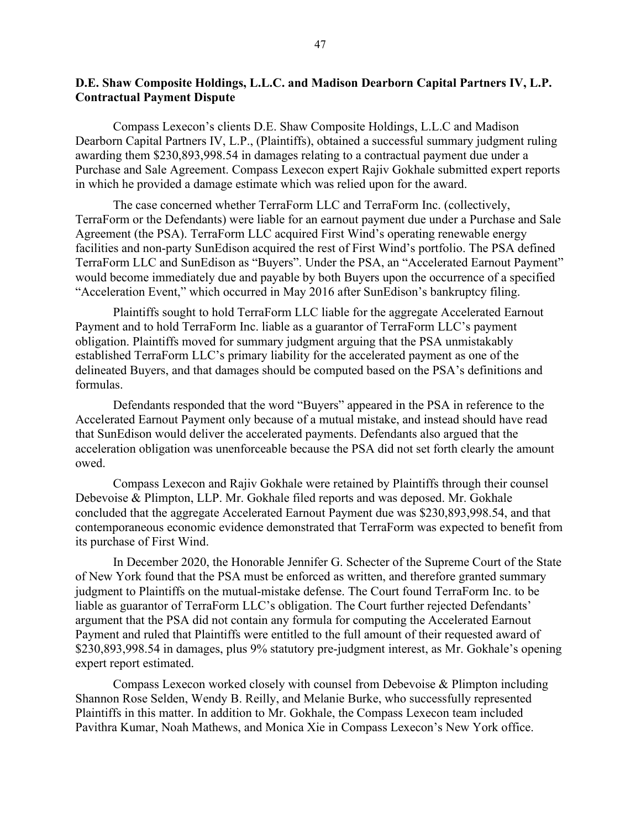# <span id="page-46-0"></span>**D.E. Shaw Composite Holdings, L.L.C. and Madison Dearborn Capital Partners IV, L.P. Contractual Payment Dispute**

Compass Lexecon's clients D.E. Shaw Composite Holdings, L.L.C and Madison Dearborn Capital Partners IV, L.P., (Plaintiffs), obtained a successful summary judgment ruling awarding them \$230,893,998.54 in damages relating to a contractual payment due under a Purchase and Sale Agreement. Compass Lexecon expert Rajiv Gokhale submitted expert reports in which he provided a damage estimate which was relied upon for the award.

The case concerned whether TerraForm LLC and TerraForm Inc. (collectively, TerraForm or the Defendants) were liable for an earnout payment due under a Purchase and Sale Agreement (the PSA). TerraForm LLC acquired First Wind's operating renewable energy facilities and non-party SunEdison acquired the rest of First Wind's portfolio. The PSA defined TerraForm LLC and SunEdison as "Buyers". Under the PSA, an "Accelerated Earnout Payment" would become immediately due and payable by both Buyers upon the occurrence of a specified "Acceleration Event," which occurred in May 2016 after SunEdison's bankruptcy filing.

Plaintiffs sought to hold TerraForm LLC liable for the aggregate Accelerated Earnout Payment and to hold TerraForm Inc. liable as a guarantor of TerraForm LLC's payment obligation. Plaintiffs moved for summary judgment arguing that the PSA unmistakably established TerraForm LLC's primary liability for the accelerated payment as one of the delineated Buyers, and that damages should be computed based on the PSA's definitions and formulas.

Defendants responded that the word "Buyers" appeared in the PSA in reference to the Accelerated Earnout Payment only because of a mutual mistake, and instead should have read that SunEdison would deliver the accelerated payments. Defendants also argued that the acceleration obligation was unenforceable because the PSA did not set forth clearly the amount owed.

Compass Lexecon and Rajiv Gokhale were retained by Plaintiffs through their counsel Debevoise & Plimpton, LLP. Mr. Gokhale filed reports and was deposed. Mr. Gokhale concluded that the aggregate Accelerated Earnout Payment due was \$230,893,998.54, and that contemporaneous economic evidence demonstrated that TerraForm was expected to benefit from its purchase of First Wind.

In December 2020, the Honorable Jennifer G. Schecter of the Supreme Court of the State of New York found that the PSA must be enforced as written, and therefore granted summary judgment to Plaintiffs on the mutual-mistake defense. The Court found TerraForm Inc. to be liable as guarantor of TerraForm LLC's obligation. The Court further rejected Defendants' argument that the PSA did not contain any formula for computing the Accelerated Earnout Payment and ruled that Plaintiffs were entitled to the full amount of their requested award of \$230,893,998.54 in damages, plus 9% statutory pre-judgment interest, as Mr. Gokhale's opening expert report estimated.

Compass Lexecon worked closely with counsel from Debevoise & Plimpton including Shannon Rose Selden, Wendy B. Reilly, and Melanie Burke, who successfully represented Plaintiffs in this matter. In addition to Mr. Gokhale, the Compass Lexecon team included Pavithra Kumar, Noah Mathews, and Monica Xie in Compass Lexecon's New York office.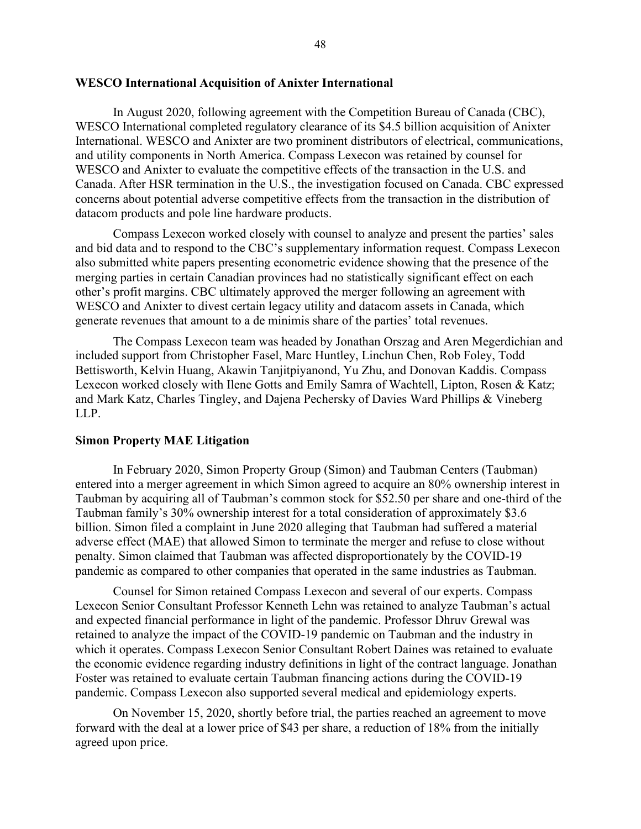# <span id="page-47-0"></span>**WESCO International Acquisition of Anixter International**

In August 2020, following agreement with the Competition Bureau of Canada (CBC), WESCO International completed regulatory clearance of its \$4.5 billion acquisition of Anixter International. WESCO and Anixter are two prominent distributors of electrical, communications, and utility components in North America. Compass Lexecon was retained by counsel for WESCO and Anixter to evaluate the competitive effects of the transaction in the U.S. and Canada. After HSR termination in the U.S., the investigation focused on Canada. CBC expressed concerns about potential adverse competitive effects from the transaction in the distribution of datacom products and pole line hardware products.

Compass Lexecon worked closely with counsel to analyze and present the parties' sales and bid data and to respond to the CBC's supplementary information request. Compass Lexecon also submitted white papers presenting econometric evidence showing that the presence of the merging parties in certain Canadian provinces had no statistically significant effect on each other's profit margins. CBC ultimately approved the merger following an agreement with WESCO and Anixter to divest certain legacy utility and datacom assets in Canada, which generate revenues that amount to a de minimis share of the parties' total revenues.

The Compass Lexecon team was headed by Jonathan Orszag and Aren Megerdichian and included support from Christopher Fasel, Marc Huntley, Linchun Chen, Rob Foley, Todd Bettisworth, Kelvin Huang, Akawin Tanjitpiyanond, Yu Zhu, and Donovan Kaddis. Compass Lexecon worked closely with Ilene Gotts and Emily Samra of Wachtell, Lipton, Rosen & Katz; and Mark Katz, Charles Tingley, and Dajena Pechersky of Davies Ward Phillips & Vineberg LLP.

#### <span id="page-47-1"></span>**Simon Property MAE Litigation**

In February 2020, Simon Property Group (Simon) and Taubman Centers (Taubman) entered into a merger agreement in which Simon agreed to acquire an 80% ownership interest in Taubman by acquiring all of Taubman's common stock for \$52.50 per share and one-third of the Taubman family's 30% ownership interest for a total consideration of approximately \$3.6 billion. Simon filed a complaint in June 2020 alleging that Taubman had suffered a material adverse effect (MAE) that allowed Simon to terminate the merger and refuse to close without penalty. Simon claimed that Taubman was affected disproportionately by the COVID-19 pandemic as compared to other companies that operated in the same industries as Taubman.

Counsel for Simon retained Compass Lexecon and several of our experts. Compass Lexecon Senior Consultant Professor Kenneth Lehn was retained to analyze Taubman's actual and expected financial performance in light of the pandemic. Professor Dhruv Grewal was retained to analyze the impact of the COVID-19 pandemic on Taubman and the industry in which it operates. Compass Lexecon Senior Consultant Robert Daines was retained to evaluate the economic evidence regarding industry definitions in light of the contract language. Jonathan Foster was retained to evaluate certain Taubman financing actions during the COVID-19 pandemic. Compass Lexecon also supported several medical and epidemiology experts.

On November 15, 2020, shortly before trial, the parties reached an agreement to move forward with the deal at a lower price of \$43 per share, a reduction of 18% from the initially agreed upon price.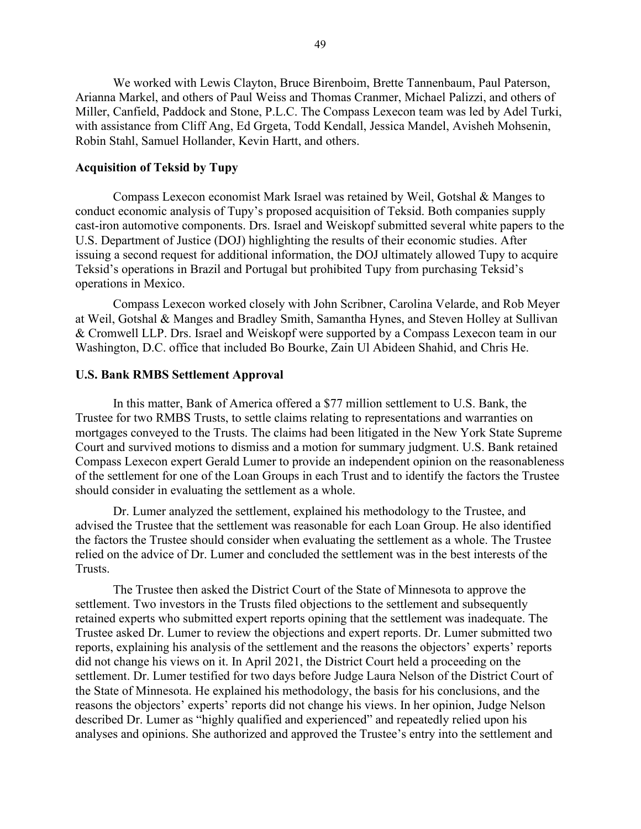We worked with Lewis Clayton, Bruce Birenboim, Brette Tannenbaum, Paul Paterson, Arianna Markel, and others of Paul Weiss and Thomas Cranmer, Michael Palizzi, and others of Miller, Canfield, Paddock and Stone, P.L.C. The Compass Lexecon team was led by Adel Turki, with assistance from Cliff Ang, Ed Grgeta, Todd Kendall, Jessica Mandel, Avisheh Mohsenin, Robin Stahl, Samuel Hollander, Kevin Hartt, and others.

# <span id="page-48-0"></span>**Acquisition of Teksid by Tupy**

Compass Lexecon economist Mark Israel was retained by Weil, Gotshal & Manges to conduct economic analysis of Tupy's proposed acquisition of Teksid. Both companies supply cast-iron automotive components. Drs. Israel and Weiskopf submitted several white papers to the U.S. Department of Justice (DOJ) highlighting the results of their economic studies. After issuing a second request for additional information, the DOJ ultimately allowed Tupy to acquire Teksid's operations in Brazil and Portugal but prohibited Tupy from purchasing Teksid's operations in Mexico.

Compass Lexecon worked closely with John Scribner, Carolina Velarde, and Rob Meyer at Weil, Gotshal & Manges and Bradley Smith, Samantha Hynes, and Steven Holley at Sullivan & Cromwell LLP. Drs. Israel and Weiskopf were supported by a Compass Lexecon team in our Washington, D.C. office that included Bo Bourke, Zain Ul Abideen Shahid, and Chris He.

#### <span id="page-48-1"></span>**U.S. Bank RMBS Settlement Approval**

In this matter, Bank of America offered a \$77 million settlement to U.S. Bank, the Trustee for two RMBS Trusts, to settle claims relating to representations and warranties on mortgages conveyed to the Trusts. The claims had been litigated in the New York State Supreme Court and survived motions to dismiss and a motion for summary judgment. U.S. Bank retained Compass Lexecon expert Gerald Lumer to provide an independent opinion on the reasonableness of the settlement for one of the Loan Groups in each Trust and to identify the factors the Trustee should consider in evaluating the settlement as a whole.

Dr. Lumer analyzed the settlement, explained his methodology to the Trustee, and advised the Trustee that the settlement was reasonable for each Loan Group. He also identified the factors the Trustee should consider when evaluating the settlement as a whole. The Trustee relied on the advice of Dr. Lumer and concluded the settlement was in the best interests of the Trusts.

The Trustee then asked the District Court of the State of Minnesota to approve the settlement. Two investors in the Trusts filed objections to the settlement and subsequently retained experts who submitted expert reports opining that the settlement was inadequate. The Trustee asked Dr. Lumer to review the objections and expert reports. Dr. Lumer submitted two reports, explaining his analysis of the settlement and the reasons the objectors' experts' reports did not change his views on it. In April 2021, the District Court held a proceeding on the settlement. Dr. Lumer testified for two days before Judge Laura Nelson of the District Court of the State of Minnesota. He explained his methodology, the basis for his conclusions, and the reasons the objectors' experts' reports did not change his views. In her opinion, Judge Nelson described Dr. Lumer as "highly qualified and experienced" and repeatedly relied upon his analyses and opinions. She authorized and approved the Trustee's entry into the settlement and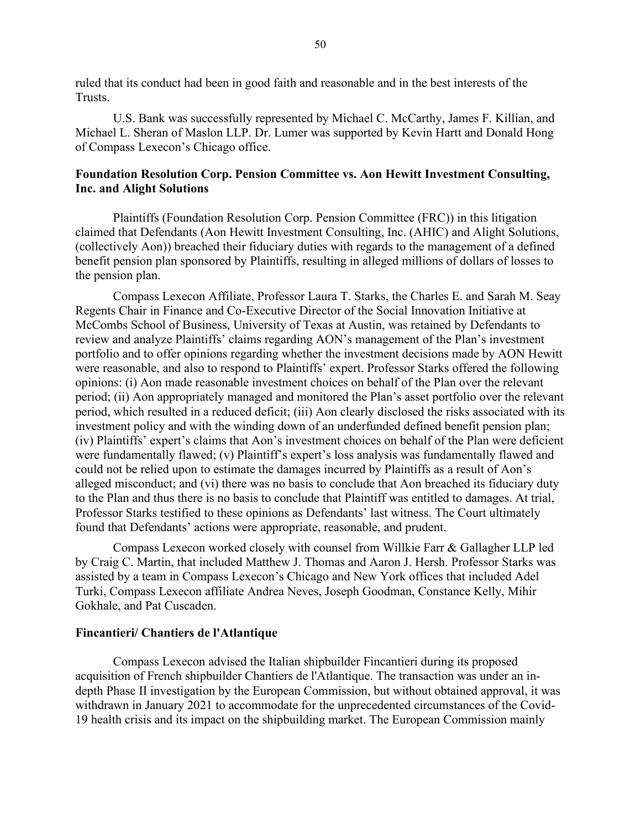ruled that its conduct had been in good faith and reasonable and in the best interests of the Trusts.

U.S. Bank was successfully represented by Michael C. McCarthy, James F. Killian, and Michael L. Sheran of Maslon LLP. Dr. Lumer was supported by Kevin Hartt and Donald Hong of Compass Lexecon's Chicago office.

# <span id="page-49-0"></span>**Foundation Resolution Corp. Pension Committee vs. Aon Hewitt Investment Consulting, Inc. and Alight Solutions**

Plaintiffs (Foundation Resolution Corp. Pension Committee (FRC)) in this litigation claimed that Defendants (Aon Hewitt Investment Consulting, Inc. (AHIC) and Alight Solutions, (collectively Aon)) breached their fiduciary duties with regards to the management of a defined benefit pension plan sponsored by Plaintiffs, resulting in alleged millions of dollars of losses to the pension plan.

Compass Lexecon Affiliate, Professor Laura T. Starks, the Charles E. and Sarah M. Seay Regents Chair in Finance and Co-Executive Director of the Social Innovation Initiative at McCombs School of Business, University of Texas at Austin, was retained by Defendants to review and analyze Plaintiffs' claims regarding AON's management of the Plan's investment portfolio and to offer opinions regarding whether the investment decisions made by AON Hewitt were reasonable, and also to respond to Plaintiffs' expert. Professor Starks offered the following opinions: (i) Aon made reasonable investment choices on behalf of the Plan over the relevant period; (ii) Aon appropriately managed and monitored the Plan's asset portfolio over the relevant period, which resulted in a reduced deficit; (iii) Aon clearly disclosed the risks associated with its investment policy and with the winding down of an underfunded defined benefit pension plan; (iv) Plaintiffs' expert's claims that Aon's investment choices on behalf of the Plan were deficient were fundamentally flawed; (v) Plaintiff's expert's loss analysis was fundamentally flawed and could not be relied upon to estimate the damages incurred by Plaintiffs as a result of Aon's alleged misconduct; and (vi) there was no basis to conclude that Aon breached its fiduciary duty to the Plan and thus there is no basis to conclude that Plaintiff was entitled to damages. At trial, Professor Starks testified to these opinions as Defendants' last witness. The Court ultimately found that Defendants' actions were appropriate, reasonable, and prudent.

Compass Lexecon worked closely with counsel from Willkie Farr & Gallagher LLP led by Craig C. Martin, that included Matthew J. Thomas and Aaron J. Hersh. Professor Starks was assisted by a team in Compass Lexecon's Chicago and New York offices that included Adel Turki, Compass Lexecon affiliate Andrea Neves, Joseph Goodman, Constance Kelly, Mihir Gokhale, and Pat Cuscaden.

### <span id="page-49-1"></span>**Fincantieri/ Chantiers de l'Atlantique**

Compass Lexecon advised the Italian shipbuilder Fincantieri during its proposed acquisition of French shipbuilder Chantiers de l'Atlantique. The transaction was under an indepth Phase II investigation by the European Commission, but without obtained approval, it was withdrawn in January 2021 to accommodate for the unprecedented circumstances of the Covid-19 health crisis and its impact on the shipbuilding market. The European Commission mainly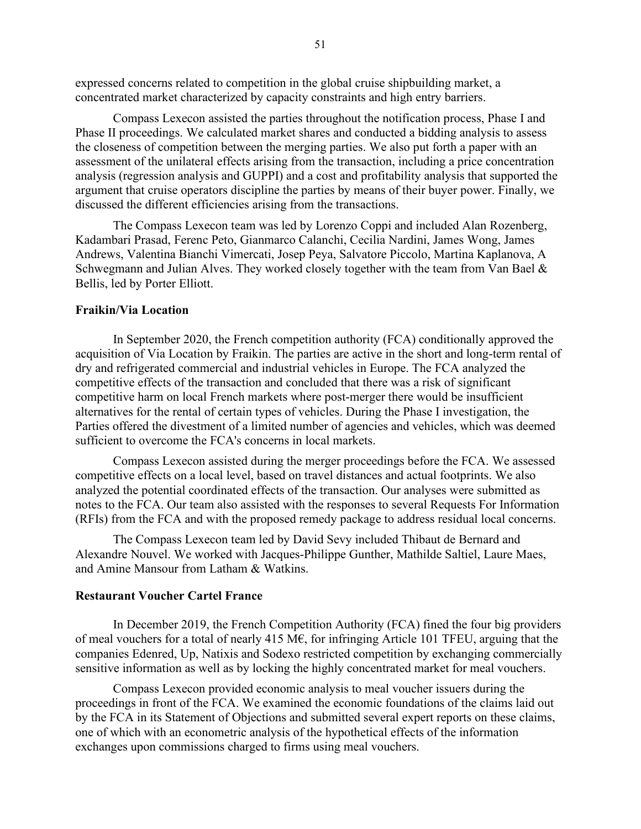expressed concerns related to competition in the global cruise shipbuilding market, a concentrated market characterized by capacity constraints and high entry barriers.

Compass Lexecon assisted the parties throughout the notification process, Phase I and Phase II proceedings. We calculated market shares and conducted a bidding analysis to assess the closeness of competition between the merging parties. We also put forth a paper with an assessment of the unilateral effects arising from the transaction, including a price concentration analysis (regression analysis and GUPPI) and a cost and profitability analysis that supported the argument that cruise operators discipline the parties by means of their buyer power. Finally, we discussed the different efficiencies arising from the transactions.

The Compass Lexecon team was led by Lorenzo Coppi and included Alan Rozenberg, Kadambari Prasad, Ferenc Peto, Gianmarco Calanchi, Cecilia Nardini, James Wong, James Andrews, Valentina Bianchi Vimercati, Josep Peya, Salvatore Piccolo, Martina Kaplanova, A Schwegmann and Julian Alves. They worked closely together with the team from Van Bael & Bellis, led by Porter Elliott.

# <span id="page-50-0"></span>**Fraikin/Via Location**

In September 2020, the French competition authority (FCA) conditionally approved the acquisition of Via Location by Fraikin. The parties are active in the short and long-term rental of dry and refrigerated commercial and industrial vehicles in Europe. The FCA analyzed the competitive effects of the transaction and concluded that there was a risk of significant competitive harm on local French markets where post-merger there would be insufficient alternatives for the rental of certain types of vehicles. During the Phase I investigation, the Parties offered the divestment of a limited number of agencies and vehicles, which was deemed sufficient to overcome the FCA's concerns in local markets.

Compass Lexecon assisted during the merger proceedings before the FCA. We assessed competitive effects on a local level, based on travel distances and actual footprints. We also analyzed the potential coordinated effects of the transaction. Our analyses were submitted as notes to the FCA. Our team also assisted with the responses to several Requests For Information (RFIs) from the FCA and with the proposed remedy package to address residual local concerns.

The Compass Lexecon team led by David Sevy included Thibaut de Bernard and Alexandre Nouvel. We worked with Jacques-Philippe Gunther, Mathilde Saltiel, Laure Maes, and Amine Mansour from Latham & Watkins.

#### <span id="page-50-1"></span>**Restaurant Voucher Cartel France**

In December 2019, the French Competition Authority (FCA) fined the four big providers of meal vouchers for a total of nearly 415 M $\epsilon$ , for infringing Article 101 TFEU, arguing that the companies Edenred, Up, Natixis and Sodexo restricted competition by exchanging commercially sensitive information as well as by locking the highly concentrated market for meal vouchers.

Compass Lexecon provided economic analysis to meal voucher issuers during the proceedings in front of the FCA. We examined the economic foundations of the claims laid out by the FCA in its Statement of Objections and submitted several expert reports on these claims, one of which with an econometric analysis of the hypothetical effects of the information exchanges upon commissions charged to firms using meal vouchers.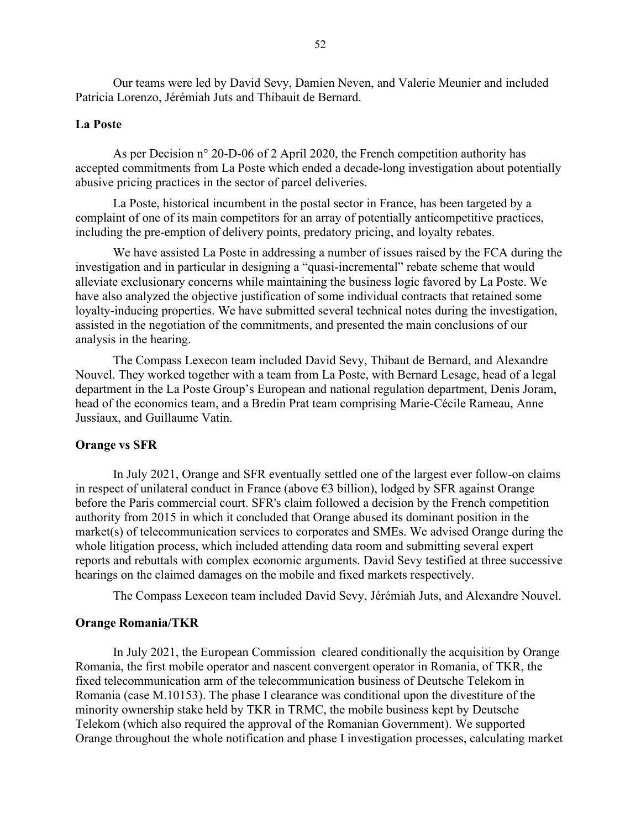Our teams were led by David Sevy, Damien Neven, and Valerie Meunier and included Patricia Lorenzo, Jérémiah Juts and Thibauit de Bernard.

### <span id="page-51-0"></span>**La Poste**

As per Decision n° 20-D-06 of 2 April 2020, the French competition authority has accepted commitments from La Poste which ended a decade-long investigation about potentially abusive pricing practices in the sector of parcel deliveries.

La Poste, historical incumbent in the postal sector in France, has been targeted by a complaint of one of its main competitors for an array of potentially anticompetitive practices, including the pre-emption of delivery points, predatory pricing, and loyalty rebates.

We have assisted La Poste in addressing a number of issues raised by the FCA during the investigation and in particular in designing a "quasi-incremental" rebate scheme that would alleviate exclusionary concerns while maintaining the business logic favored by La Poste. We have also analyzed the objective justification of some individual contracts that retained some loyalty-inducing properties. We have submitted several technical notes during the investigation, assisted in the negotiation of the commitments, and presented the main conclusions of our analysis in the hearing.

The Compass Lexecon team included David Sevy, Thibaut de Bernard, and Alexandre Nouvel. They worked together with a team from La Poste, with Bernard Lesage, head of a legal department in the La Poste Group's European and national regulation department, Denis Joram, head of the economics team, and a Bredin Prat team comprising Marie-Cécile Rameau, Anne Jussiaux, and Guillaume Vatin.

#### <span id="page-51-1"></span>**Orange vs SFR**

In July 2021, Orange and SFR eventually settled one of the largest ever follow-on claims in respect of unilateral conduct in France (above €3 billion), lodged by SFR against Orange before the Paris commercial court. SFR's claim followed a decision by the French competition authority from 2015 in which it concluded that Orange abused its dominant position in the market(s) of telecommunication services to corporates and SMEs. We advised Orange during the whole litigation process, which included attending data room and submitting several expert reports and rebuttals with complex economic arguments. David Sevy testified at three successive hearings on the claimed damages on the mobile and fixed markets respectively.

The Compass Lexecon team included David Sevy, Jérémiah Juts, and Alexandre Nouvel.

### <span id="page-51-2"></span>**Orange Romania/TKR**

In July 2021, the European Commission cleared conditionally the acquisition by Orange Romania, the first mobile operator and nascent convergent operator in Romania, of TKR, the fixed telecommunication arm of the telecommunication business of Deutsche Telekom in Romania (case M.10153). The phase I clearance was conditional upon the divestiture of the minority ownership stake held by TKR in TRMC, the mobile business kept by Deutsche Telekom (which also required the approval of the Romanian Government). We supported Orange throughout the whole notification and phase I investigation processes, calculating market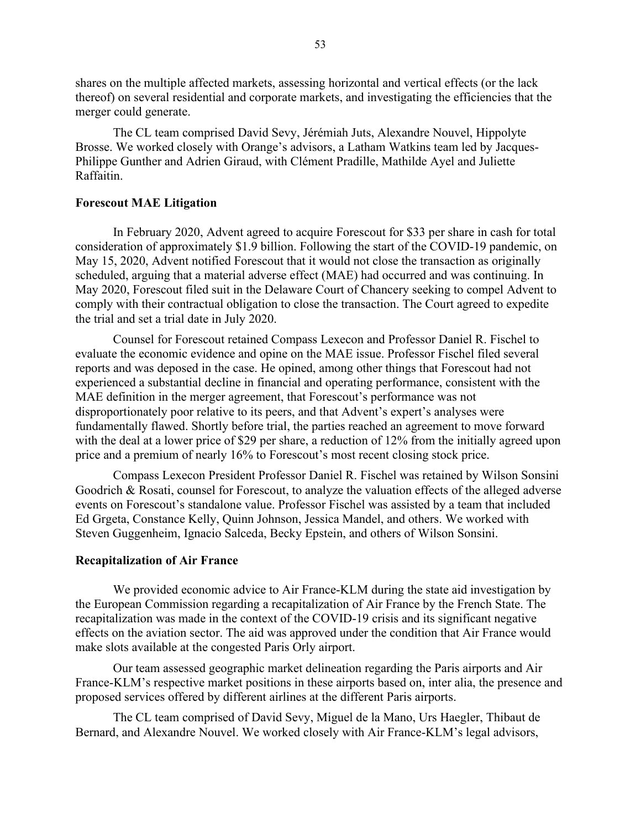shares on the multiple affected markets, assessing horizontal and vertical effects (or the lack thereof) on several residential and corporate markets, and investigating the efficiencies that the merger could generate.

The CL team comprised David Sevy, Jérémiah Juts, Alexandre Nouvel, Hippolyte Brosse. We worked closely with Orange's advisors, a Latham Watkins team led by Jacques-Philippe Gunther and Adrien Giraud, with Clément Pradille, Mathilde Ayel and Juliette Raffaitin.

## <span id="page-52-0"></span>**Forescout MAE Litigation**

In February 2020, Advent agreed to acquire Forescout for \$33 per share in cash for total consideration of approximately \$1.9 billion. Following the start of the COVID-19 pandemic, on May 15, 2020, Advent notified Forescout that it would not close the transaction as originally scheduled, arguing that a material adverse effect (MAE) had occurred and was continuing. In May 2020, Forescout filed suit in the Delaware Court of Chancery seeking to compel Advent to comply with their contractual obligation to close the transaction. The Court agreed to expedite the trial and set a trial date in July 2020.

Counsel for Forescout retained Compass Lexecon and Professor Daniel R. Fischel to evaluate the economic evidence and opine on the MAE issue. Professor Fischel filed several reports and was deposed in the case. He opined, among other things that Forescout had not experienced a substantial decline in financial and operating performance, consistent with the MAE definition in the merger agreement, that Forescout's performance was not disproportionately poor relative to its peers, and that Advent's expert's analyses were fundamentally flawed. Shortly before trial, the parties reached an agreement to move forward with the deal at a lower price of \$29 per share, a reduction of 12% from the initially agreed upon price and a premium of nearly 16% to Forescout's most recent closing stock price.

Compass Lexecon President Professor Daniel R. Fischel was retained by Wilson Sonsini Goodrich & Rosati, counsel for Forescout, to analyze the valuation effects of the alleged adverse events on Forescout's standalone value. Professor Fischel was assisted by a team that included Ed Grgeta, Constance Kelly, Quinn Johnson, Jessica Mandel, and others. We worked with Steven Guggenheim, Ignacio Salceda, Becky Epstein, and others of Wilson Sonsini.

#### <span id="page-52-1"></span>**Recapitalization of Air France**

We provided economic advice to Air France-KLM during the state aid investigation by the European Commission regarding a recapitalization of Air France by the French State. The recapitalization was made in the context of the COVID-19 crisis and its significant negative effects on the aviation sector. The aid was approved under the condition that Air France would make slots available at the congested Paris Orly airport.

Our team assessed geographic market delineation regarding the Paris airports and Air France-KLM's respective market positions in these airports based on, inter alia, the presence and proposed services offered by different airlines at the different Paris airports.

The CL team comprised of David Sevy, Miguel de la Mano, Urs Haegler, Thibaut de Bernard, and Alexandre Nouvel. We worked closely with Air France-KLM's legal advisors,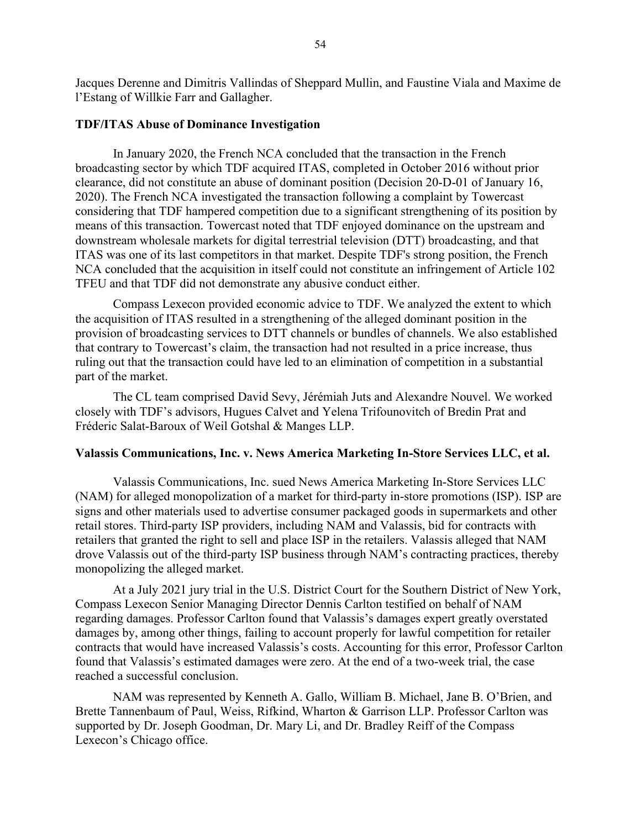Jacques Derenne and Dimitris Vallindas of Sheppard Mullin, and Faustine Viala and Maxime de l'Estang of Willkie Farr and Gallagher.

#### <span id="page-53-0"></span>**TDF/ITAS Abuse of Dominance Investigation**

In January 2020, the French NCA concluded that the transaction in the French broadcasting sector by which TDF acquired ITAS, completed in October 2016 without prior clearance, did not constitute an abuse of dominant position (Decision 20-D-01 of January 16, 2020). The French NCA investigated the transaction following a complaint by Towercast considering that TDF hampered competition due to a significant strengthening of its position by means of this transaction. Towercast noted that TDF enjoyed dominance on the upstream and downstream wholesale markets for digital terrestrial television (DTT) broadcasting, and that ITAS was one of its last competitors in that market. Despite TDF's strong position, the French NCA concluded that the acquisition in itself could not constitute an infringement of Article 102 TFEU and that TDF did not demonstrate any abusive conduct either.

Compass Lexecon provided economic advice to TDF. We analyzed the extent to which the acquisition of ITAS resulted in a strengthening of the alleged dominant position in the provision of broadcasting services to DTT channels or bundles of channels. We also established that contrary to Towercast's claim, the transaction had not resulted in a price increase, thus ruling out that the transaction could have led to an elimination of competition in a substantial part of the market.

The CL team comprised David Sevy, Jérémiah Juts and Alexandre Nouvel. We worked closely with TDF's advisors, Hugues Calvet and Yelena Trifounovitch of Bredin Prat and Fréderic Salat-Baroux of Weil Gotshal & Manges LLP.

#### <span id="page-53-1"></span>**Valassis Communications, Inc. v. News America Marketing In-Store Services LLC, et al.**

Valassis Communications, Inc. sued News America Marketing In-Store Services LLC (NAM) for alleged monopolization of a market for third-party in-store promotions (ISP). ISP are signs and other materials used to advertise consumer packaged goods in supermarkets and other retail stores. Third-party ISP providers, including NAM and Valassis, bid for contracts with retailers that granted the right to sell and place ISP in the retailers. Valassis alleged that NAM drove Valassis out of the third-party ISP business through NAM's contracting practices, thereby monopolizing the alleged market.

At a July 2021 jury trial in the U.S. District Court for the Southern District of New York, Compass Lexecon Senior Managing Director Dennis Carlton testified on behalf of NAM regarding damages. Professor Carlton found that Valassis's damages expert greatly overstated damages by, among other things, failing to account properly for lawful competition for retailer contracts that would have increased Valassis's costs. Accounting for this error, Professor Carlton found that Valassis's estimated damages were zero. At the end of a two-week trial, the case reached a successful conclusion.

NAM was represented by Kenneth A. Gallo, William B. Michael, Jane B. O'Brien, and Brette Tannenbaum of Paul, Weiss, Rifkind, Wharton & Garrison LLP. Professor Carlton was supported by Dr. Joseph Goodman, Dr. Mary Li, and Dr. Bradley Reiff of the Compass Lexecon's Chicago office.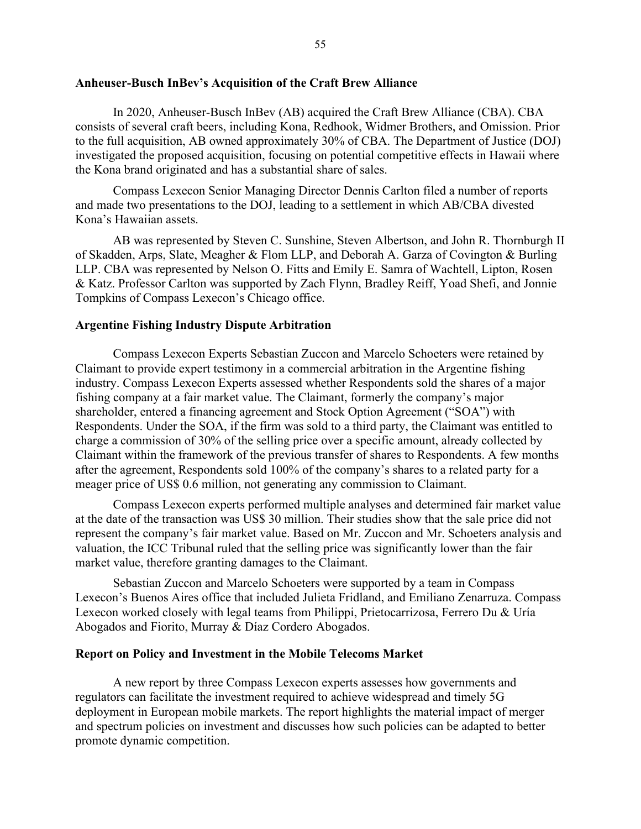## <span id="page-54-0"></span>**Anheuser-Busch InBev's Acquisition of the Craft Brew Alliance**

In 2020, Anheuser-Busch InBev (AB) acquired the Craft Brew Alliance (CBA). CBA consists of several craft beers, including Kona, Redhook, Widmer Brothers, and Omission. Prior to the full acquisition, AB owned approximately 30% of CBA. The Department of Justice (DOJ) investigated the proposed acquisition, focusing on potential competitive effects in Hawaii where the Kona brand originated and has a substantial share of sales.

Compass Lexecon Senior Managing Director Dennis Carlton filed a number of reports and made two presentations to the DOJ, leading to a settlement in which AB/CBA divested Kona's Hawaiian assets.

AB was represented by Steven C. Sunshine, Steven Albertson, and John R. Thornburgh II of Skadden, Arps, Slate, Meagher & Flom LLP, and Deborah A. Garza of Covington & Burling LLP. CBA was represented by Nelson O. Fitts and Emily E. Samra of Wachtell, Lipton, Rosen & Katz. Professor Carlton was supported by Zach Flynn, Bradley Reiff, Yoad Shefi, and Jonnie Tompkins of Compass Lexecon's Chicago office.

### <span id="page-54-1"></span>**Argentine Fishing Industry Dispute Arbitration**

Compass Lexecon Experts Sebastian Zuccon and Marcelo Schoeters were retained by Claimant to provide expert testimony in a commercial arbitration in the Argentine fishing industry. Compass Lexecon Experts assessed whether Respondents sold the shares of a major fishing company at a fair market value. The Claimant, formerly the company's major shareholder, entered a financing agreement and Stock Option Agreement ("SOA") with Respondents. Under the SOA, if the firm was sold to a third party, the Claimant was entitled to charge a commission of 30% of the selling price over a specific amount, already collected by Claimant within the framework of the previous transfer of shares to Respondents. A few months after the agreement, Respondents sold 100% of the company's shares to a related party for a meager price of US\$ 0.6 million, not generating any commission to Claimant.

Compass Lexecon experts performed multiple analyses and determined fair market value at the date of the transaction was US\$ 30 million. Their studies show that the sale price did not represent the company's fair market value. Based on Mr. Zuccon and Mr. Schoeters analysis and valuation, the ICC Tribunal ruled that the selling price was significantly lower than the fair market value, therefore granting damages to the Claimant.

Sebastian Zuccon and Marcelo Schoeters were supported by a team in Compass Lexecon's Buenos Aires office that included Julieta Fridland, and Emiliano Zenarruza. Compass Lexecon worked closely with legal teams from Philippi, Prietocarrizosa, Ferrero Du & Uría Abogados and Fiorito, Murray & Díaz Cordero Abogados.

### <span id="page-54-2"></span>**Report on Policy and Investment in the Mobile Telecoms Market**

A new report by three Compass Lexecon experts assesses how governments and regulators can facilitate the investment required to achieve widespread and timely 5G deployment in European mobile markets. The report highlights the material impact of merger and spectrum policies on investment and discusses how such policies can be adapted to better promote dynamic competition.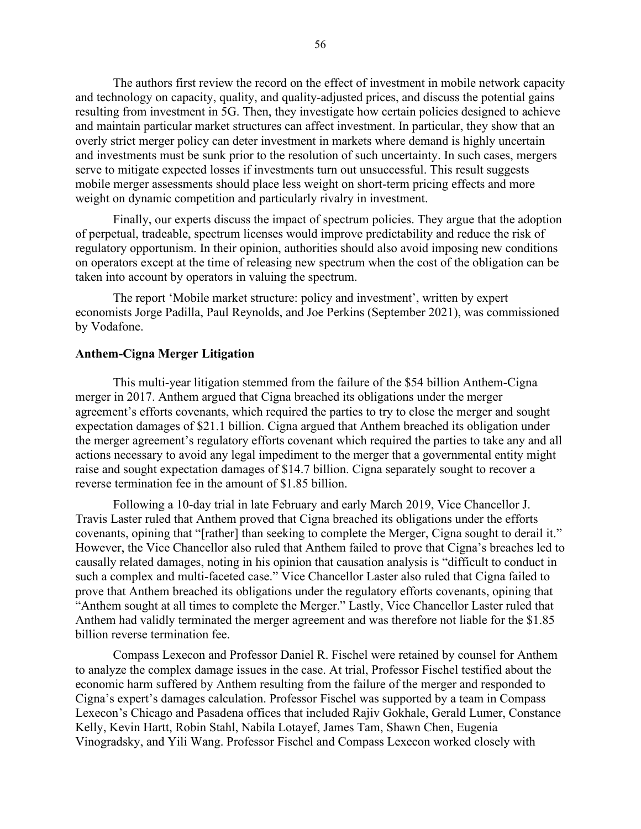The authors first review the record on the effect of investment in mobile network capacity and technology on capacity, quality, and quality-adjusted prices, and discuss the potential gains resulting from investment in 5G. Then, they investigate how certain policies designed to achieve and maintain particular market structures can affect investment. In particular, they show that an overly strict merger policy can deter investment in markets where demand is highly uncertain and investments must be sunk prior to the resolution of such uncertainty. In such cases, mergers serve to mitigate expected losses if investments turn out unsuccessful. This result suggests mobile merger assessments should place less weight on short-term pricing effects and more weight on dynamic competition and particularly rivalry in investment.

Finally, our experts discuss the impact of spectrum policies. They argue that the adoption of perpetual, tradeable, spectrum licenses would improve predictability and reduce the risk of regulatory opportunism. In their opinion, authorities should also avoid imposing new conditions on operators except at the time of releasing new spectrum when the cost of the obligation can be taken into account by operators in valuing the spectrum.

The report 'Mobile market structure: policy and investment', written by expert economists [Jorge Padilla,](https://www.compasslexecon.com/professionals/jorge-padilla/) [Paul Reynolds,](https://www.compasslexecon.com/professionals/paul-reynolds/) and [Joe Perkins](https://www.compasslexecon.com/professionals/joe-perkins/) (September 2021), was commissioned by Vodafone.

### <span id="page-55-0"></span>**Anthem-Cigna Merger Litigation**

This multi-year litigation stemmed from the failure of the \$54 billion Anthem-Cigna merger in 2017. Anthem argued that Cigna breached its obligations under the merger agreement's efforts covenants, which required the parties to try to close the merger and sought expectation damages of \$21.1 billion. Cigna argued that Anthem breached its obligation under the merger agreement's regulatory efforts covenant which required the parties to take any and all actions necessary to avoid any legal impediment to the merger that a governmental entity might raise and sought expectation damages of \$14.7 billion. Cigna separately sought to recover a reverse termination fee in the amount of \$1.85 billion.

Following a 10-day trial in late February and early March 2019, Vice Chancellor J. Travis Laster ruled that Anthem proved that Cigna breached its obligations under the efforts covenants, opining that "[rather] than seeking to complete the Merger, Cigna sought to derail it." However, the Vice Chancellor also ruled that Anthem failed to prove that Cigna's breaches led to causally related damages, noting in his opinion that causation analysis is "difficult to conduct in such a complex and multi-faceted case." Vice Chancellor Laster also ruled that Cigna failed to prove that Anthem breached its obligations under the regulatory efforts covenants, opining that "Anthem sought at all times to complete the Merger." Lastly, Vice Chancellor Laster ruled that Anthem had validly terminated the merger agreement and was therefore not liable for the \$1.85 billion reverse termination fee.

Compass Lexecon and Professor Daniel R. Fischel were retained by counsel for Anthem to analyze the complex damage issues in the case. At trial, Professor Fischel testified about the economic harm suffered by Anthem resulting from the failure of the merger and responded to Cigna's expert's damages calculation. Professor Fischel was supported by a team in Compass Lexecon's Chicago and Pasadena offices that included Rajiv Gokhale, Gerald Lumer, Constance Kelly, Kevin Hartt, Robin Stahl, Nabila Lotayef, James Tam, Shawn Chen, Eugenia Vinogradsky, and Yili Wang. Professor Fischel and Compass Lexecon worked closely with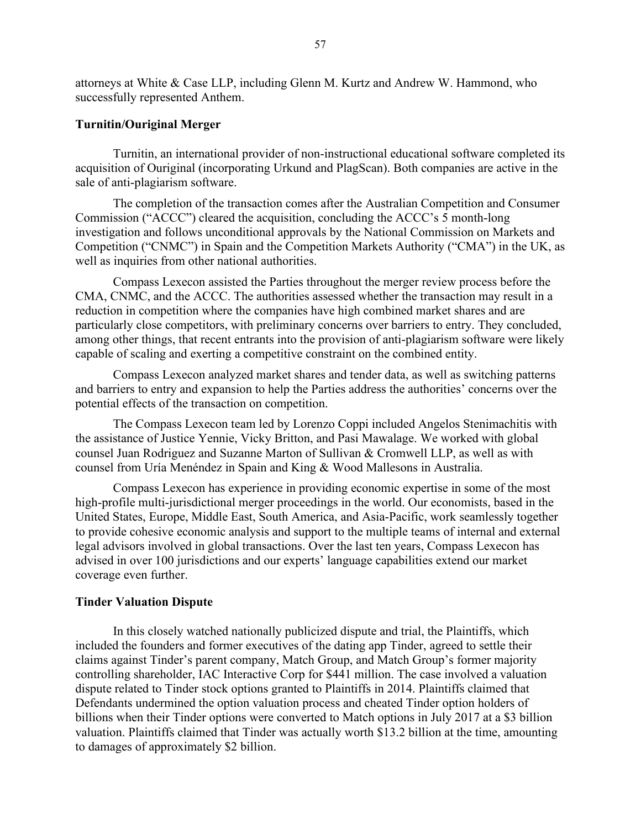attorneys at White & Case LLP, including Glenn M. Kurtz and Andrew W. Hammond, who successfully represented Anthem.

# <span id="page-56-0"></span>**Turnitin/Ouriginal Merger**

Turnitin, an international provider of non-instructional educational software completed its acquisition of Ouriginal (incorporating Urkund and PlagScan). Both companies are active in the sale of anti-plagiarism software.

The completion of the transaction comes after the Australian Competition and Consumer Commission ("ACCC") cleared the acquisition, concluding the ACCC's 5 month-long investigation and follows unconditional approvals by the National Commission on Markets and Competition ("CNMC") in Spain and the Competition Markets Authority ("CMA") in the UK, as well as inquiries from other national authorities.

Compass Lexecon assisted the Parties throughout the merger review process before the CMA, CNMC, and the ACCC. The authorities assessed whether the transaction may result in a reduction in competition where the companies have high combined market shares and are particularly close competitors, with preliminary concerns over barriers to entry. They concluded, among other things, that recent entrants into the provision of anti-plagiarism software were likely capable of scaling and exerting a competitive constraint on the combined entity.

Compass Lexecon analyzed market shares and tender data, as well as switching patterns and barriers to entry and expansion to help the Parties address the authorities' concerns over the potential effects of the transaction on competition.

The Compass Lexecon team led by Lorenzo Coppi included Angelos Stenimachitis with the assistance of Justice Yennie, Vicky Britton, and Pasi Mawalage. We worked with global counsel Juan Rodriguez and Suzanne Marton of Sullivan & Cromwell LLP, as well as with counsel from Uría Menéndez in Spain and King & Wood Mallesons in Australia.

Compass Lexecon has experience in providing economic expertise in some of the most high-profile multi-jurisdictional merger proceedings in the world. Our economists, based in the United States, Europe, Middle East, South America, and Asia-Pacific, work seamlessly together to provide cohesive economic analysis and support to the multiple teams of internal and external legal advisors involved in global transactions. Over the last ten years, Compass Lexecon has advised in over 100 jurisdictions and our experts' language capabilities extend our market coverage even further.

# <span id="page-56-1"></span>**Tinder Valuation Dispute**

In this closely watched nationally publicized dispute and trial, the Plaintiffs, which included the founders and former executives of the dating app Tinder, agreed to settle their claims against Tinder's parent company, Match Group, and Match Group's former majority controlling shareholder, IAC Interactive Corp for \$441 million. The case involved a valuation dispute related to Tinder stock options granted to Plaintiffs in 2014. Plaintiffs claimed that Defendants undermined the option valuation process and cheated Tinder option holders of billions when their Tinder options were converted to Match options in July 2017 at a \$3 billion valuation. Plaintiffs claimed that Tinder was actually worth \$13.2 billion at the time, amounting to damages of approximately \$2 billion.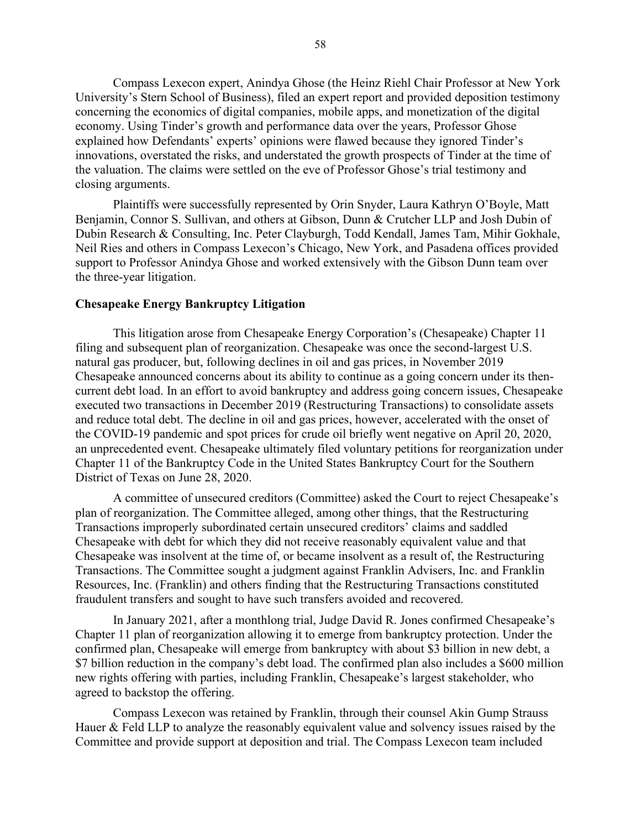Compass Lexecon expert, Anindya Ghose (the Heinz Riehl Chair Professor at New York University's Stern School of Business), filed an expert report and provided deposition testimony concerning the economics of digital companies, mobile apps, and monetization of the digital economy. Using Tinder's growth and performance data over the years, Professor Ghose explained how Defendants' experts' opinions were flawed because they ignored Tinder's innovations, overstated the risks, and understated the growth prospects of Tinder at the time of the valuation. The claims were settled on the eve of Professor Ghose's trial testimony and closing arguments.

Plaintiffs were successfully represented by Orin Snyder, Laura Kathryn O'Boyle, Matt Benjamin, Connor S. Sullivan, and others at Gibson, Dunn & Crutcher LLP and Josh Dubin of Dubin Research & Consulting, Inc. Peter Clayburgh, Todd Kendall, James Tam, Mihir Gokhale, Neil Ries and others in Compass Lexecon's Chicago, New York, and Pasadena offices provided support to Professor Anindya Ghose and worked extensively with the Gibson Dunn team over the three-year litigation.

#### <span id="page-57-0"></span>**Chesapeake Energy Bankruptcy Litigation**

This litigation arose from Chesapeake Energy Corporation's (Chesapeake) Chapter 11 filing and subsequent plan of reorganization. Chesapeake was once the second-largest U.S. natural gas producer, but, following declines in oil and gas prices, in November 2019 Chesapeake announced concerns about its ability to continue as a going concern under its thencurrent debt load. In an effort to avoid bankruptcy and address going concern issues, Chesapeake executed two transactions in December 2019 (Restructuring Transactions) to consolidate assets and reduce total debt. The decline in oil and gas prices, however, accelerated with the onset of the COVID-19 pandemic and spot prices for crude oil briefly went negative on April 20, 2020, an unprecedented event. Chesapeake ultimately filed voluntary petitions for reorganization under Chapter 11 of the Bankruptcy Code in the United States Bankruptcy Court for the Southern District of Texas on June 28, 2020.

A committee of unsecured creditors (Committee) asked the Court to reject Chesapeake's plan of reorganization. The Committee alleged, among other things, that the Restructuring Transactions improperly subordinated certain unsecured creditors' claims and saddled Chesapeake with debt for which they did not receive reasonably equivalent value and that Chesapeake was insolvent at the time of, or became insolvent as a result of, the Restructuring Transactions. The Committee sought a judgment against Franklin Advisers, Inc. and Franklin Resources, Inc. (Franklin) and others finding that the Restructuring Transactions constituted fraudulent transfers and sought to have such transfers avoided and recovered.

In January 2021, after a monthlong trial, Judge David R. Jones confirmed Chesapeake's Chapter 11 plan of reorganization allowing it to emerge from bankruptcy protection. Under the confirmed plan, Chesapeake will emerge from bankruptcy with about \$3 billion in new debt, a \$7 billion reduction in the company's debt load. The confirmed plan also includes a \$600 million new rights offering with parties, including Franklin, Chesapeake's largest stakeholder, who agreed to backstop the offering.

Compass Lexecon was retained by Franklin, through their counsel Akin Gump Strauss Hauer & Feld LLP to analyze the reasonably equivalent value and solvency issues raised by the Committee and provide support at deposition and trial. The Compass Lexecon team included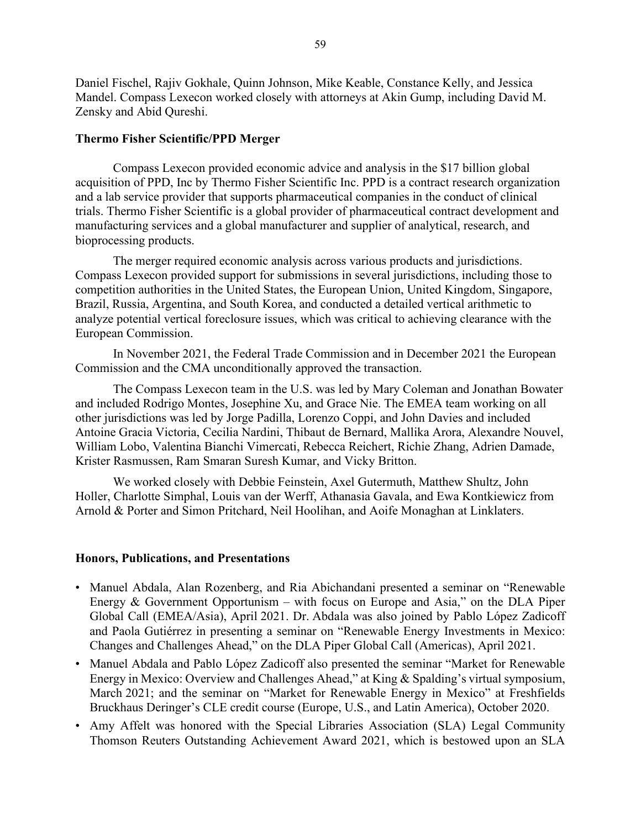Daniel Fischel, Rajiv Gokhale, Quinn Johnson, Mike Keable, Constance Kelly, and Jessica Mandel. Compass Lexecon worked closely with attorneys at Akin Gump, including David M. Zensky and Abid Qureshi.

# <span id="page-58-0"></span>**Thermo Fisher Scientific/PPD Merger**

Compass Lexecon provided economic advice and analysis in the \$17 billion global acquisition of PPD, Inc by Thermo Fisher Scientific Inc. PPD is a contract research organization and a lab service provider that supports pharmaceutical companies in the conduct of clinical trials. Thermo Fisher Scientific is a global provider of pharmaceutical contract development and manufacturing services and a global manufacturer and supplier of analytical, research, and bioprocessing products.

The merger required economic analysis across various products and jurisdictions. Compass Lexecon provided support for submissions in several jurisdictions, including those to competition authorities in the United States, the European Union, United Kingdom, Singapore, Brazil, Russia, Argentina, and South Korea, and conducted a detailed vertical arithmetic to analyze potential vertical foreclosure issues, which was critical to achieving clearance with the European Commission.

In November 2021, the Federal Trade Commission and in December 2021 the European Commission and the CMA unconditionally approved the transaction.

The Compass Lexecon team in the U.S. was led by Mary Coleman and Jonathan Bowater and included Rodrigo Montes, Josephine Xu, and Grace Nie. The EMEA team working on all other jurisdictions was led by Jorge Padilla, Lorenzo Coppi, and John Davies and included Antoine Gracia Victoria, Cecilia Nardini, Thibaut de Bernard, Mallika Arora, Alexandre Nouvel, William Lobo, Valentina Bianchi Vimercati, Rebecca Reichert, Richie Zhang, Adrien Damade, Krister Rasmussen, Ram Smaran Suresh Kumar, and Vicky Britton.

We worked closely with Debbie Feinstein, Axel Gutermuth, Matthew Shultz, John Holler, Charlotte Simphal, Louis van der Werff, Athanasia Gavala, and Ewa Kontkiewicz from Arnold & Porter and Simon Pritchard, Neil Hoolihan, and Aoife Monaghan at Linklaters.

# <span id="page-58-1"></span>**Honors, Publications, and Presentations**

- Manuel Abdala, Alan Rozenberg, and Ria Abichandani presented a seminar on "Renewable Energy & Government Opportunism – with focus on Europe and Asia," on the DLA Piper Global Call (EMEA/Asia), April 2021. Dr. Abdala was also joined by Pablo López Zadicoff and Paola Gutiérrez in presenting a seminar on "Renewable Energy Investments in Mexico: Changes and Challenges Ahead," on the DLA Piper Global Call (Americas), April 2021.
- Manuel Abdala and Pablo López Zadicoff also presented the seminar "Market for Renewable Energy in Mexico: Overview and Challenges Ahead," at King & Spalding's virtual symposium, March 2021; and the seminar on "Market for Renewable Energy in Mexico" at Freshfields Bruckhaus Deringer's CLE credit course (Europe, U.S., and Latin America), October 2020.
- Amy Affelt was honored with the Special Libraries Association (SLA) Legal Community Thomson Reuters Outstanding Achievement Award 2021, which is bestowed upon an SLA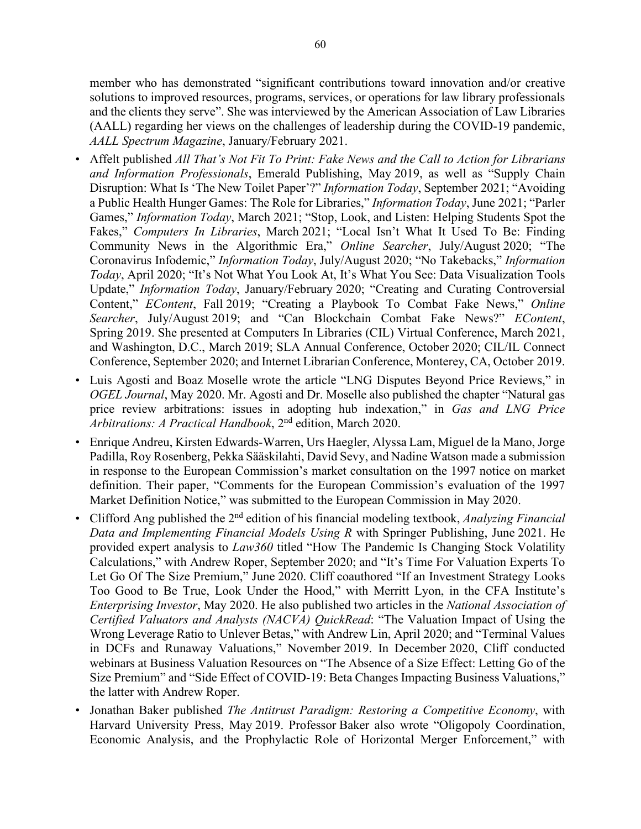member who has demonstrated "significant contributions toward innovation and/or creative solutions to improved resources, programs, services, or operations for law library professionals and the clients they serve". She was interviewed by the American Association of Law Libraries (AALL) regarding her views on the challenges of leadership during the COVID-19 pandemic, *AALL Spectrum Magazine*, January/February 2021.

- Affelt published *All That's Not Fit To Print: Fake News and the Call to Action for Librarians and Information Professionals*, Emerald Publishing, May 2019, as well as "Supply Chain Disruption: What Is 'The New Toilet Paper'?" *Information Today*, September 2021; "Avoiding a Public Health Hunger Games: The Role for Libraries," *Information Today*, June 2021; "Parler Games," *Information Today*, March 2021; "Stop, Look, and Listen: Helping Students Spot the Fakes," *Computers In Libraries*, March 2021; "Local Isn't What It Used To Be: Finding Community News in the Algorithmic Era," *Online Searcher*, July/August 2020; "The Coronavirus Infodemic," *Information Today*, July/August 2020; "No Takebacks," *Information Today*, April 2020; "It's Not What You Look At, It's What You See: Data Visualization Tools Update," *Information Today*, January/February 2020; "Creating and Curating Controversial Content," *EContent*, Fall 2019; "Creating a Playbook To Combat Fake News," *Online Searcher*, July/August 2019; and "Can Blockchain Combat Fake News?" *EContent*, Spring 2019. She presented at Computers In Libraries (CIL) Virtual Conference, March 2021, and Washington, D.C., March 2019; SLA Annual Conference, October 2020; CIL/IL Connect Conference, September 2020; and Internet Librarian Conference, Monterey, CA, October 2019.
- Luis Agosti and Boaz Moselle wrote the article "LNG Disputes Beyond Price Reviews," in *OGEL Journal*, May 2020. Mr. Agosti and Dr. Moselle also published the chapter "Natural gas price review arbitrations: issues in adopting hub indexation," in *Gas and LNG Price Arbitrations: A Practical Handbook*, 2nd edition, March 2020.
- Enrique Andreu, Kirsten Edwards-Warren, Urs Haegler, Alyssa Lam, Miguel de la Mano, Jorge Padilla, Roy Rosenberg, Pekka Sääskilahti, David Sevy, and Nadine Watson made a submission in response to the European Commission's market consultation on the 1997 notice on market definition. Their paper, "Comments for the European Commission's evaluation of the 1997 Market Definition Notice," was submitted to the European Commission in May 2020.
- Clifford Ang published the 2nd edition of his financial modeling textbook, *Analyzing Financial Data and Implementing Financial Models Using R* with Springer Publishing, June 2021. He provided expert analysis to *Law360* titled "How The Pandemic Is Changing Stock Volatility Calculations," with Andrew Roper, September 2020; and "It's Time For Valuation Experts To Let Go Of The Size Premium," June 2020. Cliff coauthored "If an Investment Strategy Looks Too Good to Be True, Look Under the Hood," with Merritt Lyon, in the CFA Institute's *Enterprising Investor*, May 2020. He also published two articles in the *National Association of Certified Valuators and Analysts (NACVA) QuickRead*: "The Valuation Impact of Using the Wrong Leverage Ratio to Unlever Betas," with Andrew Lin, April 2020; and "Terminal Values in DCFs and Runaway Valuations," November 2019. In December 2020, Cliff conducted webinars at Business Valuation Resources on "The Absence of a Size Effect: Letting Go of the Size Premium" and "Side Effect of COVID-19: Beta Changes Impacting Business Valuations," the latter with Andrew Roper.
- Jonathan Baker published *The Antitrust Paradigm: Restoring a Competitive Economy*, with Harvard University Press, May 2019. Professor Baker also wrote "Oligopoly Coordination, Economic Analysis, and the Prophylactic Role of Horizontal Merger Enforcement," with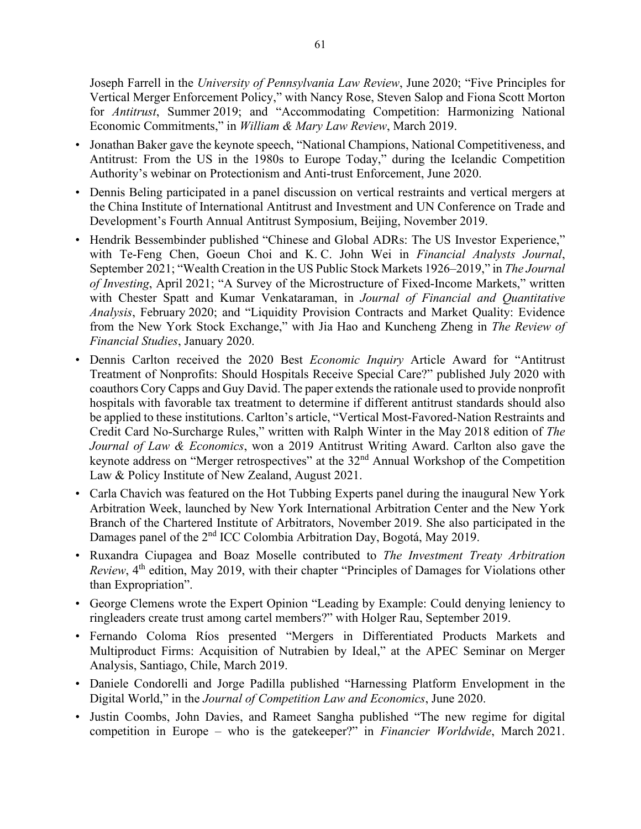Joseph Farrell in the *University of Pennsylvania Law Review*, June 2020; "Five Principles for Vertical Merger Enforcement Policy," with Nancy Rose, Steven Salop and Fiona Scott Morton for *Antitrust*, Summer 2019; and "Accommodating Competition: Harmonizing National Economic Commitments," in *William & Mary Law Review*, March 2019.

- Jonathan Baker gave the keynote speech, "National Champions, National Competitiveness, and Antitrust: From the US in the 1980s to Europe Today," during the Icelandic Competition Authority's webinar on Protectionism and Anti-trust Enforcement, June 2020.
- Dennis Beling participated in a panel discussion on vertical restraints and vertical mergers at the China Institute of International Antitrust and Investment and UN Conference on Trade and Development's Fourth Annual Antitrust Symposium, Beijing, November 2019.
- Hendrik Bessembinder published "Chinese and Global ADRs: The US Investor Experience," with Te-Feng Chen, Goeun Choi and K. C. John Wei in *Financial Analysts Journal*, September 2021; "Wealth Creation in the US Public Stock Markets 1926–2019," in *The Journal of Investing*, April 2021; "A Survey of the Microstructure of Fixed-Income Markets," written with Chester Spatt and Kumar Venkataraman, in *Journal of Financial and Quantitative Analysis*, February 2020; and "Liquidity Provision Contracts and Market Quality: Evidence from the New York Stock Exchange," with Jia Hao and Kuncheng Zheng in *The Review of Financial Studies*, January 2020.
- Dennis Carlton received the 2020 Best *Economic Inquiry* Article Award for "Antitrust Treatment of Nonprofits: Should Hospitals Receive Special Care?" published July 2020 with coauthors Cory Capps and Guy David. The paper extends the rationale used to provide nonprofit hospitals with favorable tax treatment to determine if different antitrust standards should also be applied to these institutions. Carlton's article, "Vertical Most-Favored-Nation Restraints and Credit Card No-Surcharge Rules," written with Ralph Winter in the May 2018 edition of *The Journal of Law & Economics*, won a 2019 Antitrust Writing Award. Carlton also gave the keynote address on "Merger retrospectives" at the 32nd Annual Workshop of the Competition Law & Policy Institute of New Zealand, August 2021.
- Carla Chavich was featured on the Hot Tubbing Experts panel during the inaugural New York Arbitration Week, launched by New York International Arbitration Center and the New York Branch of the Chartered Institute of Arbitrators, November 2019. She also participated in the Damages panel of the 2<sup>nd</sup> ICC Colombia Arbitration Day, Bogotá, May 2019.
- Ruxandra Ciupagea and Boaz Moselle contributed to *The Investment Treaty Arbitration Review*, 4<sup>th</sup> edition, May 2019, with their chapter "Principles of Damages for Violations other than Expropriation".
- George Clemens wrote the Expert Opinion "Leading by Example: Could denying leniency to ringleaders create trust among cartel members?" with Holger Rau, September 2019.
- Fernando Coloma Ríos presented "Mergers in Differentiated Products Markets and Multiproduct Firms: Acquisition of Nutrabien by Ideal," at the APEC Seminar on Merger Analysis, Santiago, Chile, March 2019.
- Daniele Condorelli and Jorge Padilla published "Harnessing Platform Envelopment in the Digital World," in the *Journal of Competition Law and Economics*, June 2020.
- Justin Coombs, John Davies, and Rameet Sangha published "The new regime for digital competition in Europe – who is the gatekeeper?" in *Financier Worldwide*, March 2021.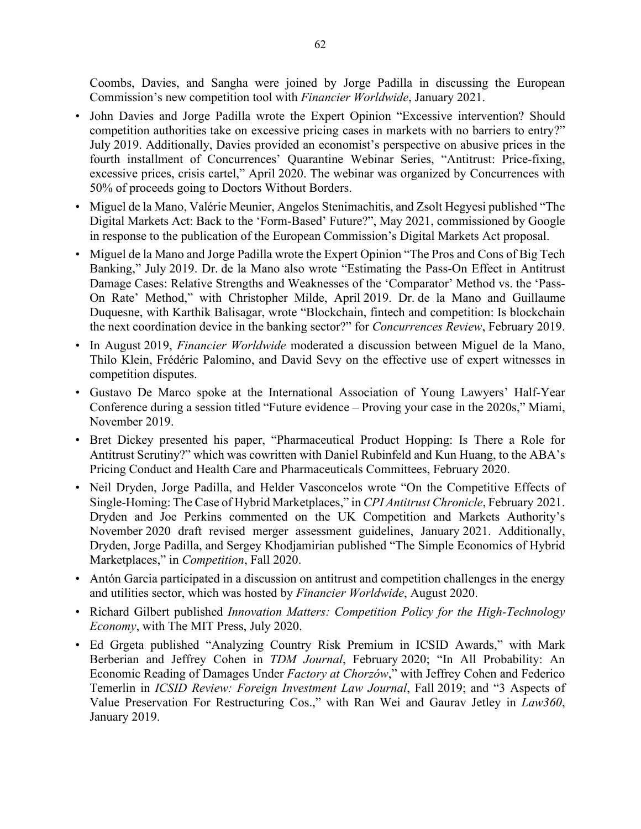Coombs, Davies, and Sangha were joined by Jorge Padilla in discussing the European Commission's new competition tool with *Financier Worldwide*, January 2021.

- John Davies and Jorge Padilla wrote the Expert Opinion "Excessive intervention? Should competition authorities take on excessive pricing cases in markets with no barriers to entry?" July 2019. Additionally, Davies provided an economist's perspective on abusive prices in the fourth installment of Concurrences' Quarantine Webinar Series, "Antitrust: Price-fixing, excessive prices, crisis cartel," April 2020. The webinar was organized by Concurrences with 50% of proceeds going to Doctors Without Borders.
- Miguel de la Mano, Valérie Meunier, Angelos Stenimachitis, and Zsolt Hegyesi published "The Digital Markets Act: Back to the 'Form-Based' Future?", May 2021, commissioned by Google in response to the publication of the European Commission's Digital Markets Act proposal.
- Miguel de la Mano and Jorge Padilla wrote the Expert Opinion "The Pros and Cons of Big Tech Banking," July 2019. Dr. de la Mano also wrote "Estimating the Pass-On Effect in Antitrust Damage Cases: Relative Strengths and Weaknesses of the 'Comparator' Method vs. the 'Pass-On Rate' Method," with Christopher Milde, April 2019. Dr. de la Mano and Guillaume Duquesne, with Karthik Balisagar, wrote "Blockchain, fintech and competition: Is blockchain the next coordination device in the banking sector?" for *Concurrences Review*, February 2019.
- In August 2019, *Financier Worldwide* moderated a discussion between Miguel de la Mano, Thilo Klein, Frédéric Palomino, and David Sevy on the effective use of expert witnesses in competition disputes.
- Gustavo De Marco spoke at the International Association of Young Lawyers' Half-Year Conference during a session titled "Future evidence – Proving your case in the 2020s," Miami, November 2019.
- Bret Dickey presented his paper, "Pharmaceutical Product Hopping: Is There a Role for Antitrust Scrutiny?" which was cowritten with Daniel Rubinfeld and Kun Huang, to the ABA's Pricing Conduct and Health Care and Pharmaceuticals Committees, February 2020.
- Neil Dryden, Jorge Padilla, and Helder Vasconcelos wrote "On the Competitive Effects of Single-Homing: The Case of Hybrid Marketplaces," in *CPI Antitrust Chronicle*, February 2021. Dryden and Joe Perkins commented on the UK Competition and Markets Authority's November 2020 draft revised merger assessment guidelines, January 2021. Additionally, Dryden, Jorge Padilla, and Sergey Khodjamirian published "The Simple Economics of Hybrid Marketplaces," in *Competition*, Fall 2020.
- Antón Garcia participated in a discussion on antitrust and competition challenges in the energy and utilities sector, which was hosted by *Financier Worldwide*, August 2020.
- Richard Gilbert published *Innovation Matters: Competition Policy for the High-Technology Economy*, with The MIT Press, July 2020.
- Ed Grgeta published "Analyzing Country Risk Premium in ICSID Awards," with Mark Berberian and Jeffrey Cohen in *TDM Journal*, February 2020; "In All Probability: An Economic Reading of Damages Under *Factory at Chorzów*," with Jeffrey Cohen and Federico Temerlin in *ICSID Review: Foreign Investment Law Journal*, Fall 2019; and "3 Aspects of Value Preservation For Restructuring Cos.," with Ran Wei and Gaurav Jetley in *Law360*, January 2019.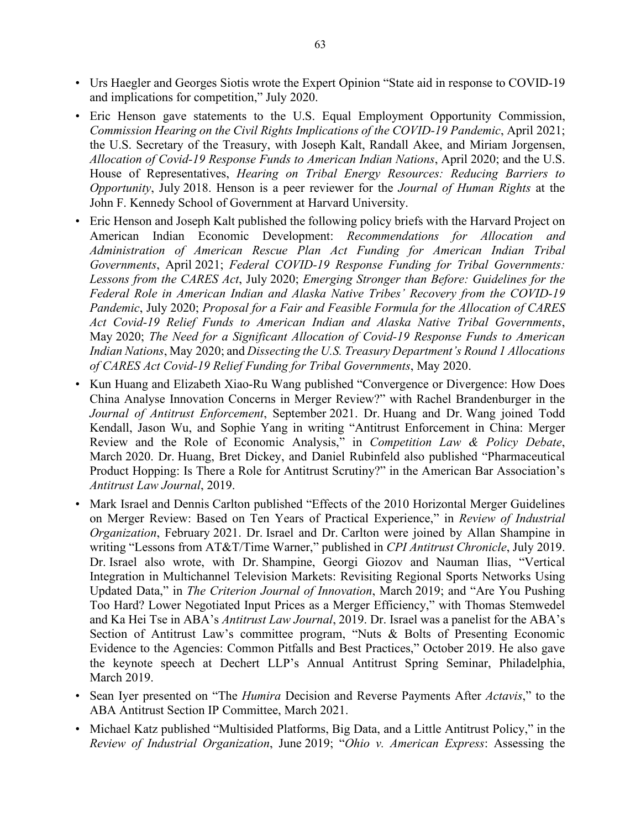- Urs Haegler and Georges Siotis wrote the Expert Opinion "State aid in response to COVID-19 and implications for competition," July 2020.
- Eric Henson gave statements to the U.S. Equal Employment Opportunity Commission, *Commission Hearing on the Civil Rights Implications of the COVID-19 Pandemic*, April 2021; the U.S. Secretary of the Treasury, with Joseph Kalt, Randall Akee, and Miriam Jorgensen, *Allocation of Covid-19 Response Funds to American Indian Nations*, April 2020; and the U.S. House of Representatives, *Hearing on Tribal Energy Resources: Reducing Barriers to Opportunity*, July 2018. Henson is a peer reviewer for the *Journal of Human Rights* at the John F. Kennedy School of Government at Harvard University.
- Eric Henson and Joseph Kalt published the following policy briefs with the Harvard Project on American Indian Economic Development: *Recommendations for Allocation and Administration of American Rescue Plan Act Funding for American Indian Tribal Governments*, April 2021; *Federal COVID-19 Response Funding for Tribal Governments: Lessons from the CARES Act*, July 2020; *Emerging Stronger than Before: Guidelines for the Federal Role in American Indian and Alaska Native Tribes' Recovery from the COVID-19 Pandemic*, July 2020; *Proposal for a Fair and Feasible Formula for the Allocation of CARES Act Covid-19 Relief Funds to American Indian and Alaska Native Tribal Governments*, May 2020; *The Need for a Significant Allocation of Covid-19 Response Funds to American Indian Nations*, May 2020; and *Dissecting the U.S. Treasury Department's Round 1 Allocations of CARES Act Covid-19 Relief Funding for Tribal Governments*, May 2020.
- Kun Huang and Elizabeth Xiao-Ru Wang published "Convergence or Divergence: How Does China Analyse Innovation Concerns in Merger Review?" with Rachel Brandenburger in the *Journal of Antitrust Enforcement*, September 2021. Dr. Huang and Dr. Wang joined Todd Kendall, Jason Wu, and Sophie Yang in writing "Antitrust Enforcement in China: Merger Review and the Role of Economic Analysis," in *Competition Law & Policy Debate*, March 2020. Dr. Huang, Bret Dickey, and Daniel Rubinfeld also published "Pharmaceutical Product Hopping: Is There a Role for Antitrust Scrutiny?" in the American Bar Association's *Antitrust Law Journal*, 2019.
- Mark Israel and Dennis Carlton published "Effects of the 2010 Horizontal Merger Guidelines on Merger Review: Based on Ten Years of Practical Experience," in *Review of Industrial Organization*, February 2021. Dr. Israel and Dr. Carlton were joined by Allan Shampine in writing "Lessons from AT&T/Time Warner," published in *CPI Antitrust Chronicle*, July 2019. Dr. Israel also wrote, with Dr. Shampine, Georgi Giozov and Nauman Ilias, "Vertical Integration in Multichannel Television Markets: Revisiting Regional Sports Networks Using Updated Data," in *The Criterion Journal of Innovation*, March 2019; and "Are You Pushing Too Hard? Lower Negotiated Input Prices as a Merger Efficiency," with Thomas Stemwedel and Ka Hei Tse in ABA's *Antitrust Law Journal*, 2019. Dr. Israel was a panelist for the ABA's Section of Antitrust Law's committee program, "Nuts & Bolts of Presenting Economic Evidence to the Agencies: Common Pitfalls and Best Practices," October 2019. He also gave the keynote speech at Dechert LLP's Annual Antitrust Spring Seminar, Philadelphia, March 2019.
- Sean Iyer presented on "The *Humira* Decision and Reverse Payments After *Actavis*," to the ABA Antitrust Section IP Committee, March 2021.
- Michael Katz published "Multisided Platforms, Big Data, and a Little Antitrust Policy," in the *Review of Industrial Organization*, June 2019; "*Ohio v. American Express*: Assessing the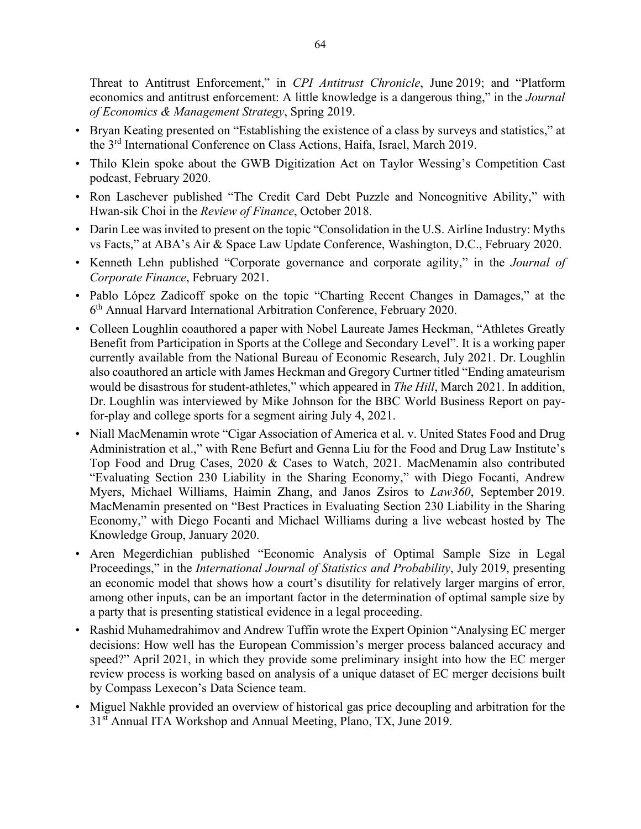Threat to Antitrust Enforcement," in *CPI Antitrust Chronicle*, June 2019; and "Platform economics and antitrust enforcement: A little knowledge is a dangerous thing," in the *Journal of Economics & Management Strategy*, Spring 2019.

- Bryan Keating presented on "Establishing the existence of a class by surveys and statistics," at the 3rd International Conference on Class Actions, Haifa, Israel, March 2019.
- Thilo Klein spoke about the GWB Digitization Act on Taylor Wessing's Competition Cast podcast, February 2020.
- Ron Laschever published "The Credit Card Debt Puzzle and Noncognitive Ability," with Hwan-sik Choi in the *Review of Finance*, October 2018.
- Darin Lee was invited to present on the topic "Consolidation in the U.S. Airline Industry: Myths vs Facts," at ABA's Air & Space Law Update Conference, Washington, D.C., February 2020.
- Kenneth Lehn published "Corporate governance and corporate agility," in the *Journal of Corporate Finance*, February 2021.
- Pablo López Zadicoff spoke on the topic "Charting Recent Changes in Damages," at the 6th Annual Harvard International Arbitration Conference, February 2020.
- Colleen Loughlin coauthored a paper with Nobel Laureate James Heckman, "Athletes Greatly Benefit from Participation in Sports at the College and Secondary Level". It is a working paper currently available from the National Bureau of Economic Research, July 2021. Dr. Loughlin also coauthored an article with James Heckman and Gregory Curtner titled "Ending amateurism would be disastrous for student-athletes," which appeared in *The Hill*, March 2021. In addition, Dr. Loughlin was interviewed by Mike Johnson for the BBC World Business Report on payfor-play and college sports for a segment airing July 4, 2021.
- Niall MacMenamin wrote "Cigar Association of America et al. v. United States Food and Drug Administration et al.," with Rene Befurt and Genna Liu for the Food and Drug Law Institute's Top Food and Drug Cases, 2020 & Cases to Watch, 2021. MacMenamin also contributed "Evaluating Section 230 Liability in the Sharing Economy," with Diego Focanti, Andrew Myers, Michael Williams, Haimin Zhang, and Janos Zsiros to *Law360*, September 2019. MacMenamin presented on "Best Practices in Evaluating Section 230 Liability in the Sharing Economy," with Diego Focanti and Michael Williams during a live webcast hosted by The Knowledge Group, January 2020.
- Aren Megerdichian published "Economic Analysis of Optimal Sample Size in Legal Proceedings," in the *International Journal of Statistics and Probability*, July 2019, presenting an economic model that shows how a court's disutility for relatively larger margins of error, among other inputs, can be an important factor in the determination of optimal sample size by a party that is presenting statistical evidence in a legal proceeding.
- Rashid Muhamedrahimov and Andrew Tuffin wrote the Expert Opinion "Analysing EC merger decisions: How well has the European Commission's merger process balanced accuracy and speed?" April 2021, in which they provide some preliminary insight into how the EC merger review process is working based on analysis of a unique dataset of EC merger decisions built by Compass Lexecon's Data Science team.
- Miguel Nakhle provided an overview of historical gas price decoupling and arbitration for the 31<sup>st</sup> Annual ITA Workshop and Annual Meeting, Plano, TX, June 2019.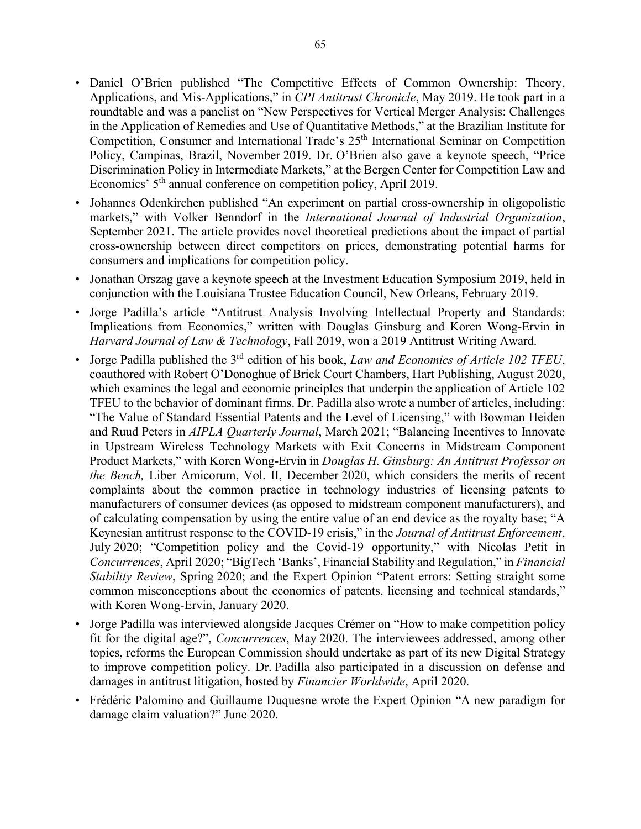- Daniel O'Brien published "The Competitive Effects of Common Ownership: Theory, Applications, and Mis-Applications," in *CPI Antitrust Chronicle*, May 2019. He took part in a roundtable and was a panelist on "New Perspectives for Vertical Merger Analysis: Challenges in the Application of Remedies and Use of Quantitative Methods," at the Brazilian Institute for Competition, Consumer and International Trade's 25<sup>th</sup> International Seminar on Competition Policy, Campinas, Brazil, November 2019. Dr. O'Brien also gave a keynote speech, "Price Discrimination Policy in Intermediate Markets," at the Bergen Center for Competition Law and Economics' 5<sup>th</sup> annual conference on competition policy, April 2019.
- Johannes Odenkirchen published "An experiment on partial cross-ownership in oligopolistic markets," with Volker Benndorf in the *International Journal of Industrial Organization*, September 2021. The article provides novel theoretical predictions about the impact of partial cross-ownership between direct competitors on prices, demonstrating potential harms for consumers and implications for competition policy.
- Jonathan Orszag gave a keynote speech at the Investment Education Symposium 2019, held in conjunction with the Louisiana Trustee Education Council, New Orleans, February 2019.
- Jorge Padilla's article "Antitrust Analysis Involving Intellectual Property and Standards: Implications from Economics," written with Douglas Ginsburg and Koren Wong-Ervin in *Harvard Journal of Law & Technology*, Fall 2019, won a 2019 Antitrust Writing Award.
- Jorge Padilla published the 3rd edition of his book, *Law and Economics of Article 102 TFEU*, coauthored with Robert O'Donoghue of Brick Court Chambers, Hart Publishing, August 2020, which examines the legal and economic principles that underpin the application of Article 102 TFEU to the behavior of dominant firms. Dr. Padilla also wrote a number of articles, including: "The Value of Standard Essential Patents and the Level of Licensing," with Bowman Heiden and Ruud Peters in *AIPLA Quarterly Journal*, March 2021; "Balancing Incentives to Innovate in Upstream Wireless Technology Markets with Exit Concerns in Midstream Component Product Markets," with Koren Wong-Ervin in *Douglas H. Ginsburg: An Antitrust Professor on the Bench,* Liber Amicorum, Vol. II, December 2020, which considers the merits of recent complaints about the common practice in technology industries of licensing patents to manufacturers of consumer devices (as opposed to midstream component manufacturers), and of calculating compensation by using the entire value of an end device as the royalty base; "A Keynesian antitrust response to the COVID-19 crisis," in the *Journal of Antitrust Enforcement*, July 2020; "Competition policy and the Covid-19 opportunity," with Nicolas Petit in *Concurrences*, April 2020; "BigTech 'Banks', Financial Stability and Regulation," in *Financial Stability Review*, Spring 2020; and the Expert Opinion "Patent errors: Setting straight some common misconceptions about the economics of patents, licensing and technical standards," with Koren Wong-Ervin, January 2020.
- Jorge Padilla was interviewed alongside Jacques Crémer on "How to make competition policy fit for the digital age?", *Concurrences*, May 2020. The interviewees addressed, among other topics, reforms the European Commission should undertake as part of its new Digital Strategy to improve competition policy. Dr. Padilla also participated in a discussion on defense and damages in antitrust litigation, hosted by *Financier Worldwide*, April 2020.
- Frédéric Palomino and Guillaume Duquesne wrote the Expert Opinion "A new paradigm for damage claim valuation?" June 2020.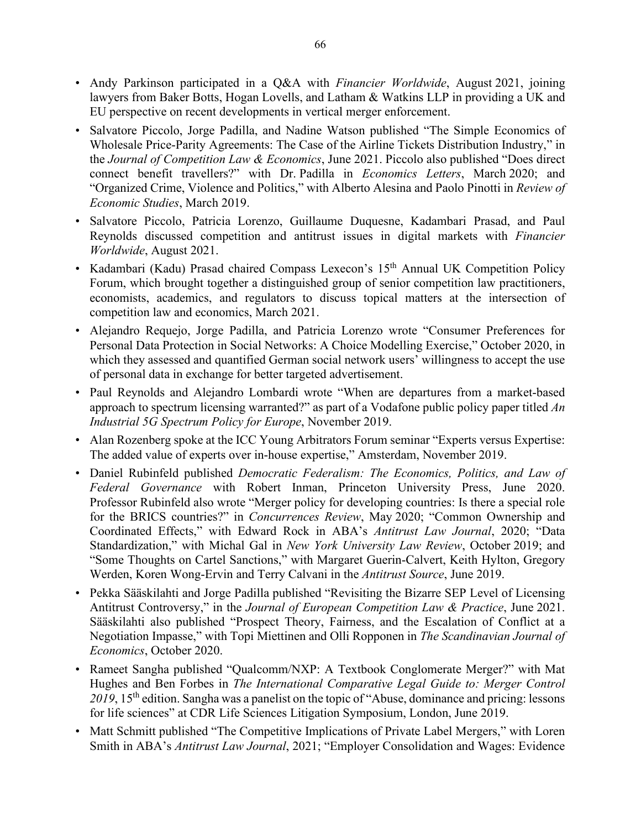- Andy Parkinson participated in a Q&A with *Financier Worldwide*, August 2021, joining lawyers from Baker Botts, Hogan Lovells, and Latham & Watkins LLP in providing a UK and EU perspective on recent developments in vertical merger enforcement.
- Salvatore Piccolo, Jorge Padilla, and Nadine Watson published "The Simple Economics of Wholesale Price-Parity Agreements: The Case of the Airline Tickets Distribution Industry," in the *Journal of Competition Law & Economics*, June 2021. Piccolo also published "Does direct connect benefit travellers?" with Dr. Padilla in *Economics Letters*, March 2020; and "Organized Crime, Violence and Politics," with Alberto Alesina and Paolo Pinotti in *Review of Economic Studies*, March 2019.
- Salvatore Piccolo, Patricia Lorenzo, Guillaume Duquesne, Kadambari Prasad, and Paul Reynolds discussed competition and antitrust issues in digital markets with *Financier Worldwide*, August 2021.
- Kadambari (Kadu) Prasad chaired Compass Lexecon's 15<sup>th</sup> Annual UK Competition Policy Forum, which brought together a distinguished group of senior competition law practitioners, economists, academics, and regulators to discuss topical matters at the intersection of competition law and economics, March 2021.
- Alejandro Requejo, Jorge Padilla, and Patricia Lorenzo wrote "Consumer Preferences for Personal Data Protection in Social Networks: A Choice Modelling Exercise," October 2020, in which they assessed and quantified German social network users' willingness to accept the use of personal data in exchange for better targeted advertisement.
- Paul Reynolds and Alejandro Lombardi wrote "When are departures from a market-based approach to spectrum licensing warranted?" as part of a Vodafone public policy paper titled *An Industrial 5G Spectrum Policy for Europe*, November 2019.
- Alan Rozenberg spoke at the ICC Young Arbitrators Forum seminar "Experts versus Expertise: The added value of experts over in-house expertise," Amsterdam, November 2019.
- Daniel Rubinfeld published *Democratic Federalism: The Economics, Politics, and Law of Federal Governance* with Robert Inman, Princeton University Press, June 2020. Professor Rubinfeld also wrote "Merger policy for developing countries: Is there a special role for the BRICS countries?" in *Concurrences Review*, May 2020; "Common Ownership and Coordinated Effects," with Edward Rock in ABA's *Antitrust Law Journal*, 2020; "Data Standardization," with Michal Gal in *New York University Law Review*, October 2019; and "Some Thoughts on Cartel Sanctions," with Margaret Guerin-Calvert, Keith Hylton, Gregory Werden, Koren Wong-Ervin and Terry Calvani in the *Antitrust Source*, June 2019.
- Pekka Sääskilahti and Jorge Padilla published "Revisiting the Bizarre SEP Level of Licensing Antitrust Controversy," in the *Journal of European Competition Law & Practice*, June 2021. Sääskilahti also published "Prospect Theory, Fairness, and the Escalation of Conflict at a Negotiation Impasse," with Topi Miettinen and Olli Ropponen in *The Scandinavian Journal of Economics*, October 2020.
- Rameet Sangha published "Qualcomm/NXP: A Textbook Conglomerate Merger?" with Mat Hughes and Ben Forbes in *The International Comparative Legal Guide to: Merger Control*  2019, 15<sup>th</sup> edition. Sangha was a panelist on the topic of "Abuse, dominance and pricing: lessons for life sciences" at CDR Life Sciences Litigation Symposium, London, June 2019.
- Matt Schmitt published "The Competitive Implications of Private Label Mergers," with Loren Smith in ABA's *Antitrust Law Journal*, 2021; "Employer Consolidation and Wages: Evidence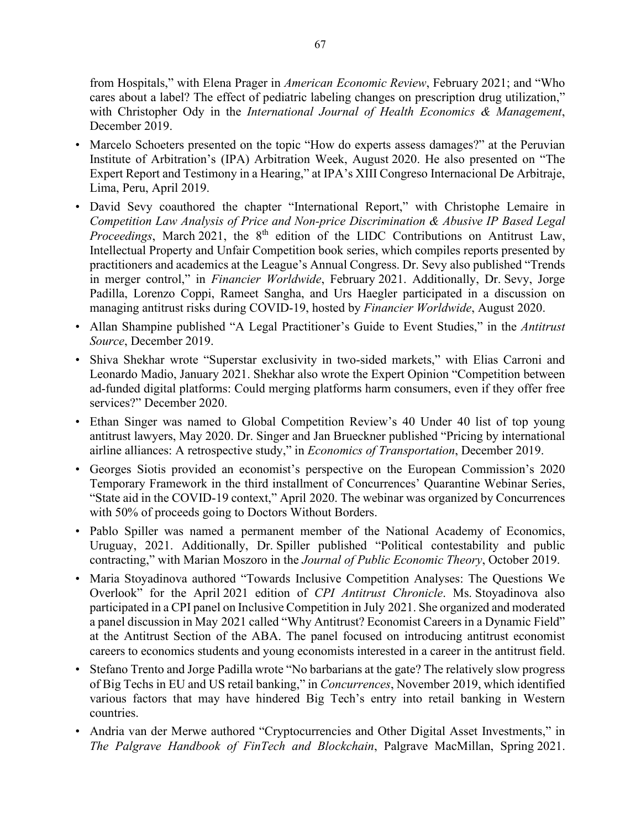from Hospitals," with Elena Prager in *American Economic Review*, February 2021; and "Who cares about a label? The effect of pediatric labeling changes on prescription drug utilization," with Christopher Ody in the *International Journal of Health Economics & Management*, December 2019.

- Marcelo Schoeters presented on the topic "How do experts assess damages?" at the Peruvian Institute of Arbitration's (IPA) Arbitration Week, August 2020. He also presented on "The Expert Report and Testimony in a Hearing," at IPA's XIII Congreso Internacional De Arbitraje, Lima, Peru, April 2019.
- David Sevy coauthored the chapter "International Report," with Christophe Lemaire in *Competition Law Analysis of Price and Non-price Discrimination & Abusive IP Based Legal Proceedings*, March 2021, the 8<sup>th</sup> edition of the LIDC Contributions on Antitrust Law, Intellectual Property and Unfair Competition book series, which compiles reports presented by practitioners and academics at the League's Annual Congress. Dr. Sevy also published "Trends in merger control," in *Financier Worldwide*, February 2021. Additionally, Dr. Sevy, Jorge Padilla, Lorenzo Coppi, Rameet Sangha, and Urs Haegler participated in a discussion on managing antitrust risks during COVID-19, hosted by *Financier Worldwide*, August 2020.
- Allan Shampine published "A Legal Practitioner's Guide to Event Studies," in the *Antitrust Source*, December 2019.
- Shiva Shekhar wrote "Superstar exclusivity in two-sided markets," with Elias Carroni and Leonardo Madio, January 2021. Shekhar also wrote the Expert Opinion "Competition between ad-funded digital platforms: Could merging platforms harm consumers, even if they offer free services?" December 2020.
- Ethan Singer was named to Global Competition Review's 40 Under 40 list of top young antitrust lawyers, May 2020. Dr. Singer and Jan Brueckner published "Pricing by international airline alliances: A retrospective study," in *Economics of Transportation*, December 2019.
- Georges Siotis provided an economist's perspective on the European Commission's 2020 Temporary Framework in the third installment of Concurrences' Quarantine Webinar Series, "State aid in the COVID-19 context," April 2020. The webinar was organized by Concurrences with 50% of proceeds going to Doctors Without Borders.
- Pablo Spiller was named a permanent member of the National Academy of Economics, Uruguay, 2021. Additionally, Dr. Spiller published "Political contestability and public contracting," with Marian Moszoro in the *Journal of Public Economic Theory*, October 2019.
- Maria Stoyadinova authored "Towards Inclusive Competition Analyses: The Questions We Overlook" for the April 2021 edition of *CPI Antitrust Chronicle*. Ms. Stoyadinova also participated in a CPI panel on Inclusive Competition in July 2021. She organized and moderated a panel discussion in May 2021 called "Why Antitrust? Economist Careers in a Dynamic Field" at the Antitrust Section of the ABA. The panel focused on introducing antitrust economist careers to economics students and young economists interested in a career in the antitrust field.
- Stefano Trento and Jorge Padilla wrote "No barbarians at the gate? The relatively slow progress of Big Techs in EU and US retail banking," in *Concurrences*, November 2019, which identified various factors that may have hindered Big Tech's entry into retail banking in Western countries.
- Andria van der Merwe authored "Cryptocurrencies and Other Digital Asset Investments," in *The Palgrave Handbook of FinTech and Blockchain*, Palgrave MacMillan, Spring 2021.